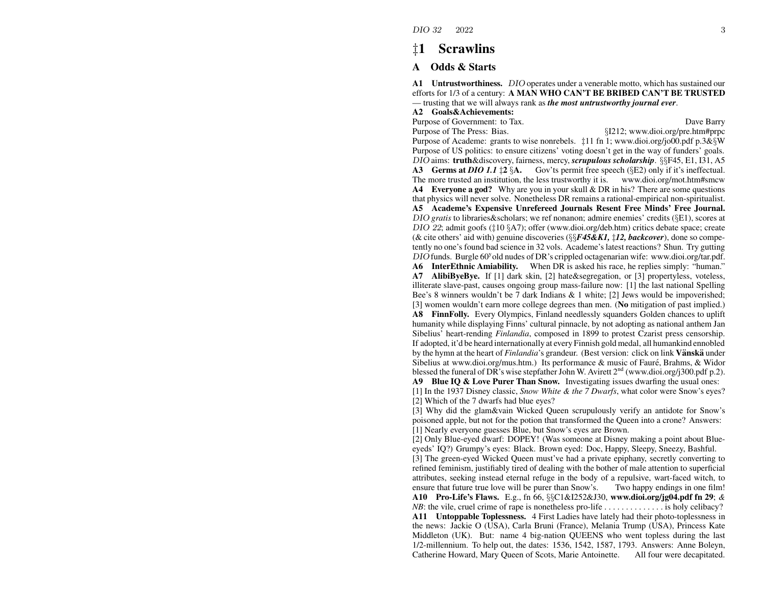#### **Scrawlins**  $\pm$ 1

#### **Odds & Starts**  ${\bf A}$

A1 Untrustworthiness. DIO operates under a venerable motto, which has sustained our efforts for 1/3 of a century: A MAN WHO CAN'T BE BRIBED CAN'T BE TRUSTED — trusting that we will always rank as the most untrustworthy journal ever.

### A2 Goals&Achievements:

Purpose of Government: to Tax.

Dave Barry

Purpose of The Press: Bias. §I212; www.dioi.org/pre.htm#prpc Purpose of Academe: grants to wise nonrebels.  $\pm 11$  fn 1; www.dioi.org/jo00.pdf p.3& W Purpose of US politics: to ensure citizens' voting doesn't get in the way of funders' goals. DIO aims: truth&discovery, fairness, mercy, scrupulous scholarship. §§F45, E1, I31, A5 **A3** Germs at *DIO 1.1*  $\sharp$  2 §**A.** Gov'ts permit free speech (§E2) only if it's ineffectual. The more trusted an institution, the less trustworthy it is. www.dioi.org/mot.htm#smcw **A4** Everyone a god? Why are you in your skull & DR in his? There are some questions that physics will never solve. Nonetheless DR remains a rational-empirical non-spiritualist. A5 Academe's Expensive Unrefereed Journals Resent Free Minds' Free Journal. DIO gratis to libraries & scholars; we ref nonanon; admire enemies' credits ( $\S$ E1), scores at  $DIO$  22; admit goofs ( $\ddagger$ 10 §A7); offer (www.dioi.org/deb.htm) critics debate space; create (& cite others' aid with) genuine discoveries ( $\S$  $F$ **45&K1**,  $\sharp$ **12, backcover**), done so competently no one's found bad science in 32 vols. Academe's latest reactions? Shun. Try gutting  $DIO$  funds. Burgle 60<sup>y</sup> old nudes of DR's crippled octagenarian wife: www.dioi.org/tar.pdf.

A6 InterEthnic Amiability. When DR is asked his race, he replies simply: "human." A7 AlibiByeBye. If [1] dark skin, [2] hate & segregation, or [3] propertyless, voteless, illiterate slave-past, causes ongoing group mass-failure now: [1] the last national Spelling Bee's 8 winners wouldn't be 7 dark Indians & 1 white; [2] Jews would be impoverished; [3] women wouldn't earn more college degrees than men. (No mitigation of past implied.) A8 FinnFolly. Every Olympics, Finland needlessly squanders Golden chances to uplift humanity while displaying Finns' cultural pinnacle, by not adopting as national anthem Jan Sibelius' heart-rending *Finlandia*, composed in 1899 to protest Czarist press censorship. If adopted, it'd be heard internationally at every Finnish gold medal, all humankind ennobled by the hymn at the heart of *Finlandia's* grandeur. (Best version: click on link **Vänskä** under Sibelius at www.dioi.org/mus.htm.) Its performance & music of Fauré, Brahms, & Widor blessed the funeral of DR's wise stepfather John W. Avirett  $2^{nd}$  (www.dioi.org/j300.pdf p.2).

A9 Blue IQ & Love Purer Than Snow. Investigating issues dwarfing the usual ones: [1] In the 1937 Disney classic, Snow White & the 7 Dwarfs, what color were Snow's eyes? [2] Which of the 7 dwarfs had blue eves?

[3] Why did the glam & vain Wicked Queen scrupulously verify an antidote for Snow's poisoned apple, but not for the potion that transformed the Queen into a crone? Answers: [1] Nearly everyone guesses Blue, but Snow's eyes are Brown.

[2] Only Blue-eyed dwarf: DOPEY! (Was someone at Disney making a point about Blueeyeds' IQ?) Grumpy's eyes: Black. Brown eyed: Doc, Happy, Sleepy, Sneezy, Bashful.

[3] The green-eyed Wicked Queen must've had a private epiphany, secretly converting to refined feminism, justifiably tired of dealing with the bother of male attention to superficial attributes, seeking instead eternal refuge in the body of a repulsive, wart-faced witch, to ensure that future true love will be purer than Snow's. Two happy endings in one film! A10 Pro-Life's Flaws. E.g., fn 66,  $\S$ C1&I252&J30, www.dioi.org/jg04.pdf fn 29; &  $NB$ : the vile, cruel crime of rape is nonetheless pro-life ................ is holy celibacy? A11 Untoppable Toplessness. 4 First Ladies have lately had their photo-toplessness in the news: Jackie O (USA), Carla Bruni (France), Melania Trump (USA), Princess Kate Middleton (UK). But: name 4 big-nation QUEENS who went topless during the last  $1/2$ -millennium. To help out, the dates:  $1536$ ,  $1542$ ,  $1587$ ,  $1793$ . Answers: Anne Boleyn, Catherine Howard, Mary Queen of Scots, Marie Antoinette. All four were decapitated.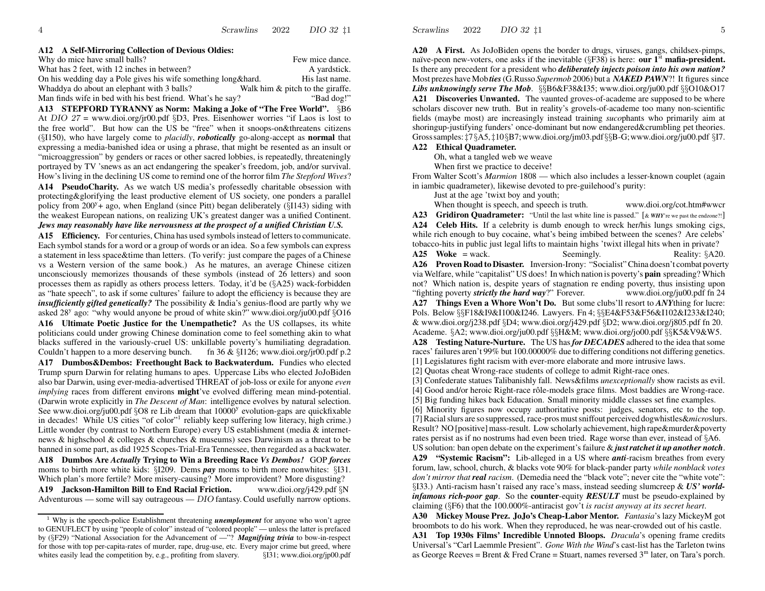#### **A12A Self-Mirroring Collection of Devious Oldies:**

| Why do mice have small balls?                                 | Few mice dance.                  |
|---------------------------------------------------------------|----------------------------------|
| What has 2 feet, with 12 inches in between?                   | A vardstick.                     |
| On his wedding day a Pole gives his wife something long&hard. | His last name.                   |
| Whaddya do about an elephant with 3 balls?                    | Walk him & pitch to the giraffe. |
| Man finds wife in bed with his best friend. What's he say?    | "Bad dog!"                       |

**A13 STEPFORD TYRANNY as Norm: Making <sup>a</sup> Joke of "The Free World".** §B6 At DIO 27 = www.dioi.org/jr00.pdf §D3, Pres. Eisenhower worries "if Laos is lost to the free world". But ho w can the US be "free" when it snoops-on&threatens citizens (§I150), who have largely come to *placidly*, *robotically* go-along-accept as **normal** that expressing <sup>a</sup> media-banished idea or using <sup>a</sup> phrase, that might be resented as an insult or "microaggression" by genders or races or other sacred lobbies, is repeatedly, threateningly portrayed by TV 'snews as an act endangering the speaker's freedom, job, and/or survival. How's living in the declining US come to remind one of the horror film *The Stepford Wives*?

**A14 PseudoCharity.** As we watch US media's professedly charitable obsession with protecting&glorifying the least productive element of US society, one ponders <sup>a</sup> parallel policy from  $200^{\circ}$  + ago, when England (since Pitt) began deliberately ( $\S$ 143) siding with the weakest European nations, on realizing UK's greatest danger was a unified Continent. *Jews may reasonably have like nervousness at the prospect of <sup>a</sup> unified Christian U.S.*

A15 **Efficiency.** For centuries, China has used symbols instead of letters to communicate. Each symbol stands for <sup>a</sup> word or <sup>a</sup> group of words or an idea. So <sup>a</sup> fe w symbols can express a statement in less space&time than letters. (To verify: just compare the pages of <sup>a</sup> Chinese vs a Western version of the same book.) As he matures, an average Chinese citizen unconsciously memorizes thousands of these symbols (instead of 26 letters) and soon processes them as rapidly as others process letters. Today, it'd be (§A25) wack-forbidden as "hate speech", to ask if some cultures' failure to adopt the efficiency is because they are *insufficiently gifted genetically?* The possibility & India's genius-flood are partly why we asked 28<sup>y</sup> ago: "why would anyone be proud of white skin?" www.dioi.org/ju00.pdf  $\S016$ **A16 Ultimate Poetic Justice for the Unempathetic?** As the US collapses, its white politicians could under growing Chinese domination come to feel something akin to what blacks suffered in the variously-cruel US: unkillable poverty's humiliating degradation. Couldn't happen to a more deserving bunch. fn 36 &  $\S1126$ ; www.dioi.org/jr00.pdf p.2 **A17 Dumbos&Dembos: Freethought Back to Backwaterdum.** Fundies who elected Trump spurn Darwin for relating humans to apes. Uppercase Libs who elected JoJoBiden also bar Darwin, using ever-media-advertised THREAT of job-loss or exile for anyone *even implying* races from different environs **might**'ve evolved differing mean mind-potential. (Darwin wrote explicitly in *The Descent of Man*: intelligence evolves by natural selection. See www.dioi.org/ju00.pdf  $\S$ O8 re Lib dream that 10000<sup>y</sup> evolution-gaps are quickfixable in decades! While US cities "of color"<sup>1</sup> reliably keep suffering low literacy, high crime.) Little wonder (by contrast to Northern Europe) every US establishment (media & internetnews & highschool & colleges & churches & museums) sees Darwinism as <sup>a</sup> threat to be banned in some part, as did 1925 Scopes-Trial-Era Tennessee, then regarded as <sup>a</sup> backwater. **A18 Dumbos Are** *Actually* **Trying to Win <sup>a</sup> Breeding Race** *Vs Dembos!* GOP *forces* moms to birth more white kids: §I209. Dems *pay* moms to birth more nonwhites: §I31. Which plan's more fertile? More misery-causing? More improvident? More disgusting? **A19 Jackson-Hamilton Bill to End Racial Friction.** www.dioi.org/j429.pdf §N Adventurous — some will say outrageous — DIO fantasy. Could usefully narrow options.

<sup>1</sup> Why is the speech-police Establishment threatening *unemployment* for anyone who won't agree to GENUFLECT by using "people of color" instead of "colored people" — unless the latter is prefaced by (§F29) "National Association for the Advancement of —"? *Magnifying trivia* to bow-in-respect for those with top per-capita-rates of murder, rape, drug-use, etc. Every major crime but greed, where whites easily lead the competition by, e.g., profiting from slavery. <br>§I31; www.dioi.org/jp00.pdf Scrawlins 20222 DIO 32  $\sharp$ 1 5

**A20A First.** As JoJoBiden opens the border to drugs, viruses, gangs, childsex-pimps, naïve-peon new-voters, one asks if the inevitable  $(\S$ F38) is here: **our 1**<sup>st</sup> **mafia-president.** Is there any precedent for <sup>a</sup> president who *deliberately injects poison into his own nation?* Most prezes have Mob *ties*(G.Russo *Supermob* 2006) but <sup>a</sup> *NAKED PAWN*?! It figures since *Libs unknowingly serve The Mob*. §§B6&F38&I35; www.dioi.org/ju00.pdf §§O10&O17 **A21 Discoveries Unwanted.** The vaunted groves-of-academe are supposed to be where scholars discover ne w truth. But in reality's grovels-of-academe too many non-scientific fields (maybe most) are increasingly instead training *suco*phants who primarily aim at shoringup-justifying funders' once-dominant but no w endangered&crumbling pe<sup>t</sup> theories. Grosssamples:‡7§A5,‡10§B7;www.dioi.org/jm03.pdf§§B-G;www.dioi.org/ju00.pdf §I7.

**A22 Ethical Quadrameter.**

Oh, what <sup>a</sup> tangled web we weave

When first we practice to deceive!

FromWalter Scott's *Marmion* 1808 — which also includes <sup>a</sup> lesser-known couplet (again in iambic quadrameter), likewise devoted to pre-guilehood's purity:

Just at the age 'twixt boy and youth;

When thought is speech, and speech is truth. www.dioi.org/cot.htm#wwcr

**A23 Gridiron Quadrameter:** "Until the last white line is passed." [& *WHY*'re we pas<sup>t</sup> the endzone?!] **A24 Celeb Hits.** If <sup>a</sup> celebrity is dumb enough to wreck her/his lungs smoking cigs, while rich enough to buy cocaine, what's being imbibed between the scenes? Are celebs' tobacco-hits in public just legal lifts to maintain highs 'twixt illegal hits when in private?

**A25Woke** <sup>=</sup>wack.Seemingly. Reality: §A20. **A26 Proven Road to Disaster.** Inversion-Irony: "Socialist"China doesn't combat poverty via Welfare, while "capitalist" US does! In which nation is poverty's **pain** spreading? Which not? Which nation is, despite years of stagnation re ending poverty, thus insisting upon "fighting poverty *strictly the hard way*?" Forever.www.dioi.org/ju00.pdf fn 24

**A27 Things Even <sup>a</sup> Whore Won't Do.** But some clubs'll resort to *ANY*thing for lucre: Pols. Belo w §§F18&I9&I100&I246. Lawyers. Fn 4; §§E4&F53&F56&I102&I233&I240; & www.dioi.org/j238.pdf §D4; www.dioi.org/j429.pdf §D2; www.dioi.org/j805.pdf fn 20. Academe. §A2; www.dioi.org/ju00.pdf §§H&M; www.dioi.org/jo00.pdf §§K5&V9&W5.

**A28 Testing Nature-Nurture.** The US has *for DECADES* adhered to the idea thatsome races' failures aren't 99% but 100.00000% due to differing conditions not differing genetics. [1] Legislatures fight racism with ever-more elaborate and more intrusive laws.

[2] Quotas cheat Wrong-race students of college to admit Right-race ones.

[3] Confederate statues Talibanishly fall. News&films *unexceptionally* sho w racists as evil. [4] Good and/or heroic Right-race rôle-models grace films. Most baddies are Wrong-race. [5] Big funding hikes back Education. Small minority middle classes set fine examples.

[6] Minority figures no w occupy authoritative posts: judges, senators, etc to the top. [7]Racialslurs are so suppressed, race-prosmustsniffout perceived dogwhistles&*micro*slurs. Result? NO [positive] mass-result. Low scholarly achievement, high rape&murder&poverty rates persist as if no nostrums had even been tried. Rage worse than ever, instead of §A6. US solution: ban open debate on the experiment's failure & *justratchet it up another notc h*.

**A29 "Systemic Racism":** Lib-alleged in <sup>a</sup> US where *anti*-racism breathes from every forum, la w, school, church, & blacks vote 90% for black-pander party *while nonblack votes don't mirror that real racism*. (Demedia need the "black vote"; never cite the "white vote": §I33.) Anti-racism hasn't raised any race's mass, instead seeding slumcreep & *US' worldinfamous rich-poor gap*. So the **counter**-equity *RESUL T* must be pseudo-explained by claiming (§F6) that the 100.000%-antiracist gov't *is racist anyway at its secret heart*.

**A30 Mickey Mouse Prez. JoJo's Cheap-Labor Mentor.** *Fantasia*'s lazy MickeyM go<sup>t</sup> broombots to do his work. When they reproduced, he was near-crowded out of his castle. **A31 Top 1930s Films' Incredible Unnoted Bloops.** *Dracula*'s opening frame credits Universal's "Carl Laemmle Presient". *Gone With the Wind*'s cast-list has the Tarleton twins as George Reeves = Brent & Fred Crane = Stuart, names reversed 3 $^{\rm m}$  later, on Tara's porch.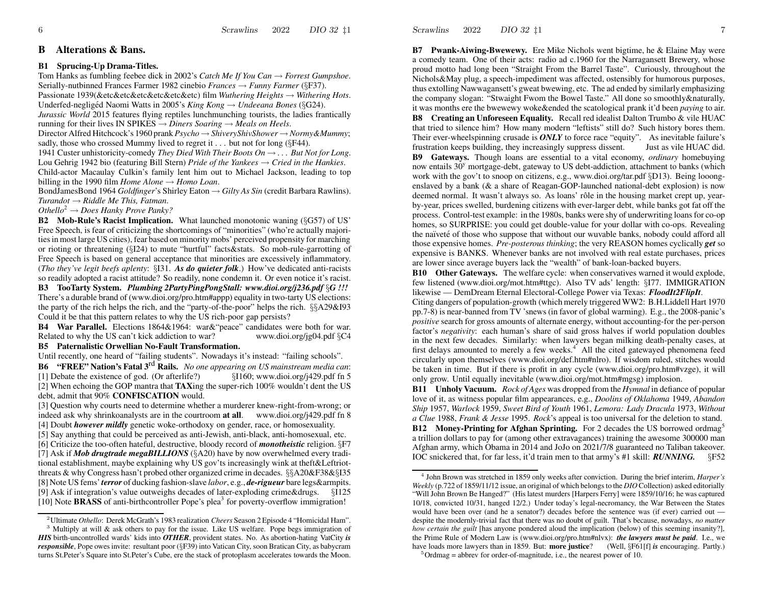#### **BAlterations & Bans.**

#### **B1 Sprucing-Up Drama-Titles.**

Tom Hanks as fumbling feebee dick in 2002's *Catch Me If You Can* →*Forrest Gumpshoe*. Serially-nutbinned Frances Farmer 1982 cinebio *Frances* → *Funny Farmer* (§F37). Passionate 1939(&etc&etc&etc&etc&etc&etc) film *Wuthering Heights* →*Withering Hots*. Underfed-negligéd Naomi Watts in 2005's *King Kong* → *Undeeana Bones* (§G24).

*Jurassic World* 2015 features flying reptiles lunchmunching tourists, the ladies frantically running for their lives IN SPIKES  $\rightarrow$  *Diners Soaring*  $\rightarrow$  *Meals on Heels.* 

Director Alfred Hitchcock's 1960 prank *Psycho* → *ShiveryShivShower* <sup>→</sup>*Normy&Mummy*; sadly, those who crossed Mummy lived to regret it  $\ldots$  but not for long (§F44).

1941 Custer unhistoricity-comedy *They Died With Their Boots On* → *. . . But Not for Long*. Lou Gehrig 1942 bio (featuring Bill Stern) *Pride of the Yankees* → *Cried in the Hankies*. Child-actor Macaulay Culkin's family lent him out to Michael Jackson, leading to top billing in the 1990 film *Home Alone* → *Homo Loan*.

BondJamesBond 1964 *Goldfinger*'s Shirley Eaton → *Gilty As Sin* (credit Barbara Rawlins). *Turandot* → *Riddle Me This, Fatman*.

*Othello*<sup>2</sup> <sup>→</sup> *Does Hanky Prove Panky?*

**B2 Mob-Rule's Racist Implication.** What launched monotonic waning (§G57) of US' Free Speech, is fear of criticizing the shortcomings of "minorities" (who're actually majorities in most large US cities), fear based on minority mobs' perceived propensity for marching or rioting or threatening (§I24) to mute "hurtful" facts&stats. So mob-rule-garrotting of Free Speech is based on general acceptance that minorities are excessively inflammatory. (*Tho they've legit beefs aplenty*: §I31. *As do quieter folk*.) How've dedicated anti-racists so readily adopted <sup>a</sup> racist attitude? So readily, none condemn it. Or even notice it's racist.

**B3 TooTarty System.** *Plumbing 2PartyPingPongStall: www.dioi.org/j236.pdf* §*G !!!* There's a durable brand of (www.dioi.org/pro.htm#appp) equality in two-tarty US elections: the party of the rich helps the rich, and the "party-of-the-poor" helps the rich. §§A29&I93 Could it be that this pattern relates to why the US rich-poor gap persists?

**B4 War Parallel.** Elections 1864&1964: war&"peace" candidates were both for war. Related to why the US can't kick addiction to war?www.dioi.org/jg04.pdf §C4

### **B5 Paternalistic Orwellian No-Fault Transformation.**

Until recently, one heard of "failing students". No wadays it's instead: "failing schools".

**B6 "FREE" Nation's Fatal <sup>3</sup>**rd **Rails.** *No one appearing on US mainstream media can*: [1] Debate the existence of god. (Or afterlife?)  $\qquad$  §I160; www.dioi.org/j429.pdf fn 5 [2] When echoing the GOP mantra that **TAX**ing the super-rich 100% wouldn't dent the US debt, admit that 90% **CONFISCATION** would.

[3] Question why courts need to determine whether <sup>a</sup> murderer knew-right-from-wrong; or indeed ask why shrinkoanalysts are in the courtroom **at all**. www.dioi.org/j429.pdf fn 8 [4] Doubt *ho wever mildly* genetic woke-orthodoxy on gender, race, or homosexuality.

[5] Say anything that could be perceived as anti-Jewish, anti-black, anti-homosexual, etc. [6] Criticize the too-often hateful, destructive, bloody record of *monotheistic* religion. §F7 [7] Ask if *Mob drugtrade megaBILLIONS* (§A20) have by no w overwhelmed every traditional establishment, maybe explaining why US gov'ts increasingly wink at theft&Leftriotthreats & why Congress hasn't probed other organized crime in decades. §§A20&F38&§I35 [8] Note US fems'*terror* of ducking fashion-slave *labor*, e.g., *de-rigueur* bare legs&armpits. [9] Ask if integration's value outweighs decades of later-exploding crime&drugs. §I125 [10] Note BRASS of anti-birthcontroller Pope's plea<sup>3</sup> for poverty-overflow immigration!

Scrawlins 20222 DIO 32  $\sharp$ 1 7

**B7 Pwank-Aiwing-Bwewewy.** Ere Mike Nichols went bigtime, he & Elaine May were a comedy team. One of their acts: radio ad c.1960 for the Narragansett Brewery, whose proud motto had long been "Straight From the Barrel Taste". Curiously, throughout the Nichols&May plug, <sup>a</sup> speech-impediment was affected, ostensibly for humorous purposes, thus extolling Nawwagansett's gwea<sup>t</sup> bwewing, etc. The ad ended by similarly emphasizing the company slogan: "Stwaight Fwom the Bowel Taste." All done so smoothly&naturally, it was months ere the bwewewy woke&ended the scatological prank it'd been *paying* to air.

**B8 Creating an Unforeseen Equality.** Recall red idealist Dalton Trumbo& vile HUA Cthat tried to silence him? Ho w many modern "leftists" still do? Such history bores them. Their ever-wheelspinning crusade is *ONL Y* to force race "equity". As inevitable failure's frustration keeps building, they increasingly suppress dissent. Just as vile HUA C did.

**B9 Gateways.** Though loans are essential to <sup>a</sup> vital economy, *ordinary* homebuying now entails 30<sup>y</sup> mortgage-debt, gateway to US debt-addiction, attachment to banks (which work with the gov't to snoop on citizens, e.g., www.dioi.org/tar.pdf §D13). Being looongenslaved by <sup>a</sup> bank (& <sup>a</sup> share of Reagan-GOP-launched national-debt explosion) is no wdeemed normal. It wasn't always so. As loans' rôle in the housing market crept up, yearby-year, prices swelled, burdening citizens with ever-larger debt, while banks go<sup>t</sup> fat off the process. Control-test example: in the 1980s, banks were shy of underwriting loansfor co-op homes, so SURPRISE: you could ge<sup>t</sup> double-value for your dollar with co-ops. Revealing the naïveté of those who suppose that without our wuvable banks, nobody could afford all those expensive homes. *Pre-posterous thinking*; the very REASON homes cyclically *get* so expensive is BANKS. Whenever banks are not involved with real estate purchases, prices are lower since average buyers lack the "wealth" of bank-loan-backed buyers.

**B10** Other Gateways. The welfare cycle: when conservatives warned it would explode, few listened (www.dioi.org/mot.htm#ttgc). Also TV ads' length: §I77. IMMIGRATION likewise — DemDream Eternal Electoral-College Power via Texas: *FloodIt2FlipIt*.

Citing dangers of population-growth (which merely triggered WW2: B.H.Liddell Hart 1970 pp.7-8) is near-banned from TV 'snews (in favor of global warming). E.g., the 2008-panic's *positive* search for gross amounts of alternate energy, without accounting-for the per-person factor's *negativity*: each human's share of said gross halves if world population doubles in the next fe w decades. Similarly: when lawyers began milking death-penalty cases, at first delays amounted to merely a few weeks.<sup>4</sup> All the cited gatewayed phenomena feed circularly upon themselves (www.dioi.org/def.htm#nlro). If wisdom ruled, stitches would be taken in time. But if there is profit in any cycle (www.dioi.org/pro.htm#vzge), it will only gro w. Until equally inevitable (www.dioi.org/mot.htm#mgsg) implosion.

**B11 Unholy Vacuum.** *Rock of Ages* was dropped from the *Hymnal* in defiance of popular love of it, as witness popular film appearances, e.g., *Doolins of Oklahoma* 1949, *Abandon Ship* 1957, *Warlock* 1959, *Sweet Bird of Youth* 1961, *Lemora: Lady Dracula* 1973, *Without a Clue* 1988, *Frank & Jesse* 1995. *Rock*'s appeal is too universal for the deletion to stand. **B12 Money-Printing for Afghan Sprinting.** For <sup>2</sup> decades the US borrowed ordmag<sup>5</sup> a trillion dollars to pay for (among other extravagances) training the awesome 300000 man Afghan army, which Obama in 2014 and JoJo on 2021/7/8 guaranteed no Taliban takeover. IOC snickered that, for far less, it'd train men to that army's #1 skill: *RUNNING.*§F52

<sup>2</sup>Ultimate *Othello*: Derek McGrath's 1983 realization *Cheers* Season 2 Episode 4 "Homicidal Ham".

<sup>&</sup>lt;sup>3</sup> Multiply at will & ask others to pay for the issue. Like US welfare. Pope begs immigration of *HIS* birth-uncontrolled wards' kids into *OTHER*, provident states. No. As abortion-hating VatCity *is responsible*, Pope owes invite: resultant poor (§F39) into Vatican City, soon Bratican City, as babycram turns St.Peter's Square into St.Peter's Cube, ere the stack of protoplasm accelerates to wards the Moon.

<sup>4</sup> John Brown was stretched in 1859 only weeks after conviction. During the brief interim, *Harper's Weekly* (p.722 of 1859/11/12 issue, an original of which belongs to the *DIO* Collection) asked editorially "Will John Brown Be Hanged?" (His latest murders [Harpers Ferry] were 1859/10/16; he was captured 10/18, convicted 10/31, hanged 12/2.) Under today's legal-necromancy, the War Between the States would have been over (and he a senator?) decades before the sentence was (if ever) carried out despite the modernly-trivial fact that there was no doubt of guilt. That's because, no wadays, *no matter how certain the guilt* [has anyone pondered aloud the implication (below) of this seeming insanity?], the Prime Rule of Modern Law is (www.dioi.org/pro.htm#nlvx): *the lawyers must be paid*. I.e., we have loads more lawyers than in 1859. But: **more justice**? (Well, §F61[f] *is* encouraging. Partly.)

 $5$ Ordmag = abbrev for order-of-magnitude, i.e., the nearest power of 10.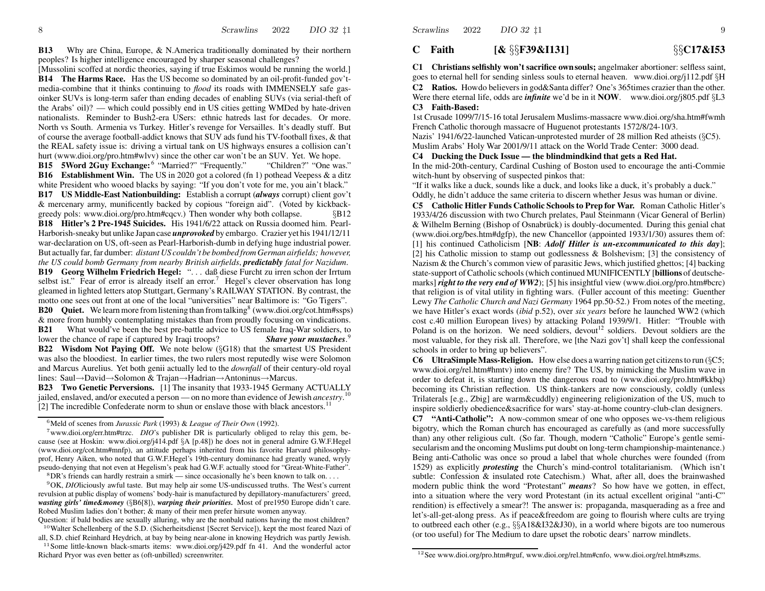**B13**3 Why are China, Europe, & N.America traditionally dominated by their northern peoples? Is higher intelligence encouraged by sharper seasonal challenges?

[Mussolini scoffed at nordic theories, saying if true Eskimos would be running the world.] **B14 The Harms Race.** Has the US become so dominated by an oil-profit-funded gov'tmedia-combine that it thinks continuing to *flood* its roads with IMMENSELY safe gasoinker SUVs is long-term safer than ending decades of enabling SUVs (via serial-theft of the Arabs' oil)? — which could possibly end in US cities getting WMDed by hate-driven nationalists. Reminder to Bush2-era USers: ethnic hatreds last for decades. Or more. North vs South. Armenia vs Turkey. Hitler's revenge for Versailles. It's deadly stuff. But of course the average football-addict knows that SUV ads fund his TV-football fixes, & that the REAL safety issue is: driving <sup>a</sup> virtual tank on US highways ensures <sup>a</sup> collision can't hurt (www.dioi.org/pro.htm#wlvv) since the other car won't be an SUV. Yet. We hope.

**B15 5Word 2Guy Exchange:** <sup>6</sup> "Married?" "Frequently." "Children?" "One was." **B16** Establishment Win. The US in 2020 got a colored (fn 1) pothead Veepess & a ditz white President who wooed blacks by saying: "If you don't vote for me, you ain't black."

**B17 US Middle-East Nationbuilding:** Establish <sup>a</sup> corrup<sup>t</sup> (*always* corrupt) client gov't & mercenary army, munificently backed by copious "foreign aid". (Voted by kickbackgreedy pols: www.dioi.org/pro.htm#cqcv.) Then wonder why both collapse. §B12

**B18 Hitler's 2 Pre-1945 Suicides.** His 1941/6/22 attack on Russia doomed him. Pearl-Harborish-sneaky but unlike Japan case *unprovoked* by embargo. Crazier ye<sup>t</sup> his 1941/12/11 war-declaration on US, oft-seen as Pearl-Harborish-dumb in defying huge industrial power. But actually far, far dumber: *distant US couldn't be bombed from German airfields; however, the US could bomb Germany from nearby British airfields*, *predictably fatal for Nazidum*.

**B19 Georg Wilhelm Friedrich Hegel:** ". . . daß diese Furcht zu irren schon der Irrtum selbst ist." Fear of error is already itself an error.<sup>7</sup> Hegel's clever observation has long gleamed in lighted letters atop Stuttgart, Germany's RAILWAY STATION. By contrast, the motto one sees out front at one of the local "universities" near Baltimore is: "Go Tigers".

**B20** Quiet. We learn more from listening than from talking<sup>8</sup> (www.dioi.org/cot.htm#ssps) & more from humbly contemplating mistakes than from proudly focusing on vindications.

**B21** What would've been the best pre-battle advice to US female Iraq-War soldiers, to lower the chance of rape if captured by Iraqi troops? *Shave your mustaches*. 9 **B22 Wisdom Not Paying Off.** We note belo w (§G18) that the smartest US President was also the bloodiest. In earlier times, the two rulers most reputedly wise were Solomon and Marcus Aurelius. Yet both genii actually led to the *downfall* of their century-old royal lines: Saul→David→Solomon & Trajan→Hadrian→Antoninus→Marcus.

**B23Two Genetic Perversions.** [1] The insanity that 1933-1945 Germany ACTUALLY jailed, enslaved, and/or executed a person — on no more than evidence of Jewish *ancestry*.<sup>10</sup> [2] The incredible Confederate norm to shun or enslave those with black ancestors.<sup>11</sup>

<sup>7</sup>www.dioi.org/err.htm#trzc. *DIO*'s publisher DR is particularly obliged to relay this gem, because (see at Hoskin: www.dioi.org/j414.pdf §A [p.48]) he does not in general admire G.W.F.Hegel (www.dioi.org/cot.htm#mnfp), an attitude perhaps inherited from his favorite Harvard philosophyprof, Henry Aiken, who noted that G.W.F.Hegel's 19th-century dominance had greatly waned, wryly pseudo-denying that not even at Hegelism's peak had G.W.F. actually stood for "Great-White-Father".

 $8$ DR's friends can hardly restrain a smirk — since occasionally he's been known to talk on... <sup>9</sup>OK, *DIO*liciously awful taste. But may help air some US-undiscussed truths. The West's current revulsion at public display of womens' body-hair is manufactured by depillatory-manufacturers' greed, *wasting girls' time&money* (§B6[8]), *warping their priorities.* Most of pre1950 Europe didn't care. Robed Muslim ladies don't bother; & many of their men prefer hirsute women anyway.

Question: if bald bodies are sexually alluring, why are the nonbald nations having the most children? <sup>10</sup> Walter Schellenberg of the S.D. (Sicherheitsdienst [Secret Service]), kept the most feared Nazi of

all, S.D. chief Reinhard Heydrich, at bay by being near-alone in knowing Heydrich was partly Jewish. <sup>11</sup> Some little-known black-smarts items: www.dioi.org/j429.pdf fn 41. And the wonderful actor Richard Pryor was even better as (oft-unbilled) screenwriter.

#### **CFaith[&** §§**F39&I131]** §§**C17&I53**

Scrawlins

2022

**C1 Christians selfishly won't sacrifice ownsouls;** angelmaker abortioner: selfless saint, goes to eternal hell for sending sinless souls to eternal heaven. www.dioi.org/j112.pdf §H **C2 Ratios.** Ho wdo believers in god&Santa differ? One's 365times crazier than the other. Were there eternal life, odds are *infinite* we'd be in it **NOW**. www.dioi.org/j805.pdf §L3 **C3Faith-Based:**

1st Crusade 1099/7/15-16 total Jerusalem Muslims-massacre www.dioi.org/sha.htm#fwmh French Catholic thorough massacre of Huguenot protestants 1572/8/24-10/3.

Nazis' 1941/6/22-launched Vatican-unprotested murder of 28 million Red atheists (§C5).

Muslim Arabs' Holy War 2001/9/11 attack on the World Trade Center: 3000 dead. **C4 Ducking the Duck Issue — the blindmindkind that gets <sup>a</sup> Red Hat.**

In the mid-20th-century, Cardinal Cushing of Boston used to encourage the anti-Commie witch-hunt by observing of suspected pinkos that:

"If it walks like <sup>a</sup> duck, sounds like <sup>a</sup> duck, and looks like <sup>a</sup> duck, it's probably <sup>a</sup> duck." Oddly, he didn't adduce the same criteria to discern whether Jesus was human or divine.

**C5 Catholic Hitler Funds Catholic Schools to Prep for War.** Roman Catholic Hitler's 1933/4/26 discussion with two Church prelates, Paul Steinmann (Vicar General of Berlin) & Wilhelm Berning (Bishop of Osnabruck) ¨ is doubly-documented. During this genial chat (www.dioi.org/bes.htm#dgfp), the ne w Chancellor (appointed 1933/1/30) assures them of: [1] his continued Catholicism [**NB**: *Adolf Hitler is un-excommunicated to this day*]; [2] his Catholic mission to stamp out godlessness & Bolshevism; [3] the consistency of Nazism & the Church's common vie w of parasitic Jews, which justified ghettos; [4] backing state-support ofCatholic schools(which continued MUNIFICENTLY [**billions** of deutschemarks] *right to the very end of WW2*); [5] his insightful vie w (www.dioi.org/pro.htm#bcrc) that religion is of vital utility in fighting wars. (Fuller account of this meeting: Guenther Lewy *The Catholic Church and Nazi Germany* 1964 pp.50-52.) From notes of the meeting, we have Hitler's exact words (*ibid* p.52), over *six years* before he launched WW2 (which cost c.40 million European lives) by attacking Poland 1939/9/1. Hitler: "Trouble with Poland is on the horizon. We need soldiers, devout<sup>12</sup> soldiers. Devout soldiers are the most valuable, for they risk all. Therefore, we [the Nazi gov't] shall keep the confessional schools in order to bring up believers".

**C6 UltraSimpleMass-Religion.** Ho w else does <sup>a</sup> warring nation ge<sup>t</sup> citizensto run (§C5; www.dioi.org/rel.htm#hmtv) into enemy fire? The US, by mimicking the Muslim wave in order to defeat it, is starting down the dangerous road to (www.dioi.org/pro.htm#kkbq) becoming its Christian reflection. US think-tankers are no w consciously, coldly (unless Trilaterals [e.g., Zbig] are warm&cuddly) engineering religionization of the US, much to inspire soldierly obedience&sacrifice for wars' stay-at-home country-club-clan designers.

**C7 "Anti-Catholic":** A now-common smear of one who opposes we-vs-them religious bigotry, which the Roman church has encouraged as carefully as (and more successfully than) any other religious cult. (So far. Though, modern "Catholic" Europe's gentle semisecularism and the oncoming Muslims pu<sup>t</sup> doubt on long-term championship-maintenance.) Being anti-Catholic was once so proud <sup>a</sup> label that whole churches were founded (from 1529) as explicitly *protesting* the Church's mind-control totalitarianism. (Which isn't subtle: Confession  $\&$  insulated rote Catechism.) What, after all, does the brainwashed modern public think the word "Protestant" *means*? So ho w have we gotten, in effect, into <sup>a</sup> situation where the very word Protestant (in its actual excellent original "anti-C" rendition) is effectively <sup>a</sup> smear?! The answer is: propaganda, masquerading as <sup>a</sup> free and let's-all-get-along press. As if peace&freedom are going to flourish where cults are trying to outbreed each other (e.g., §§A18&I32&J30), in <sup>a</sup> world where bigots are too numerous (or too useful) for The Medium to dare upse<sup>t</sup> the robotic dears' narro w mindlets.

<sup>6</sup>Meld of scenes from *Jurassic Park* (1993) & *League of Their Own* (1992).

 $12$ See www.dioi.org/pro.htm#rguf, www.dioi.org/rel.htm#cnfo, www.dioi.org/rel.htm#szms.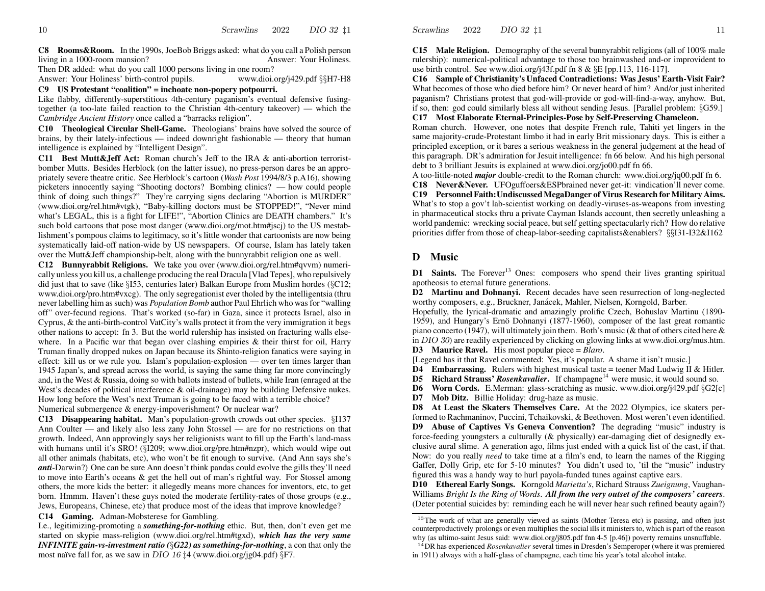**C8 Rooms&Room.** In the 1990s, JoeBob Briggs asked: what do you call <sup>a</sup> Polish person living in a 1000-room mansion? Your Holiness.

Then DR added: what do you call 1000 persons living in one room? Answer: Yourwww.dioi.org/j429.pdf §§H7-H8

### **C9 US Protestant "coalition" = inchoate non-popery potpourri.**

Like flabby, differently-superstitious 4th-century paganism's eventual defensive fusingtogether (a too-late failed reaction to the Christian 4th-century takeover) — which the *Cambridge Ancient History* once called <sup>a</sup> "barracks religion".

**C10 Theological Circular Shell-Game.** Theologians' brains have solved the source of brains, by their lately-infectious — indeed downright fashionable — theory that human intelligence is explained by "Intelligent Design".

**C11 Best Mutt&Jeff Act:** Roman church's Jeff to the IRA & anti-abortion terroristbomber Mutts. Besides Herblock (on the latter issue), no press-person dares be an appropriately severe theatre critic. See Herblock's cartoon (*Wash Post* 1994/8/3 p.A16), showing picketers innocently saying "Shooting doctors? Bombing clinics? — ho w could people think of doing such things?" They're carrying signs declaring "Abortion is MURDER" (www.dioi.org/rel.htm#vtgk), "Baby-killing doctors must be STOPPED!", "Never mind what's LEGAL, this is <sup>a</sup> fight for LIFE!", "Abortion Clinics are DEATH chambers." It's such bold cartoons that pose most danger (www.dioi.org/mot.htm#jscj) to the US mestablishment's pompous claims to legitimacy, so it's little wonder that cartoonists are no w being systematically laid-off nation-wide by US newspapers. Of course, Islam has lately taken over the Mutt&Jeff championship-belt, along with the bunnyrabbit religion one as well.

**C12 Bunnyrabbit Religions.** We take you over (www.dioi.org/rel.htm#qvvm) numerically unless you kill us, <sup>a</sup> challenge producing the real Dracula [Vlad Tepes], who repulsively did just that to save (like §I53, centuries later) Balkan Europe from Muslim hordes (§C12; www.dioi.org/pro.htm#vxcg). The only segregationist ever tholed by the intelligentsia (thru never labelling him as such) was *Population Bomb* author Paul Ehrlich who was for "walling off" over-fecund regions. That's worked (so-far) in Gaza, since it protects Israel, also in Cyprus, & the anti-birth-control VatCity's walls protect it from the very immigration it begs other nations to accept: fn 3. But the world rulership has insisted on fracturing walls elsewhere. In <sup>a</sup> Pacific war that began over clashing empiries & their thirst for oil, Harry Truman finally dropped nukes on Japan because its Shinto-religion fanatics were saying in effect: kill us or we rule you. Islam's population-explosion — over ten times larger than 1945 Japan's, and spread across the world, is saying the same thing far more convincingly and, in the West & Russia, doing so with ballots instead of bullets, while Iran (enraged at the West's decades of political interference & oil-drainage) may be building Defensive nukes. Ho w long before the West's next Truman is going to be faced with <sup>a</sup> terrible choice? Numerical submergence & energy-impoverishment? Or nuclear war?

**C13 Disappearing habitat.** Man's population-growth crowds out other species. §I137 Ann Coulter — and likely also less zany John Stossel — are for no restrictions on that growth. Indeed, Ann approvingly says her religionists want to fill up the Earth's land-mass with humans until it's SRO! (§I209; www.dioi.org/pre.htm#nzpr), which would wipe out all other animals (habitats, etc), who won't be fit enough to survive. (And Ann says she's *anti*-Darwin?) One can be sure Ann doesn't think pandas could evolve the gills they'll need to move into Earth's oceans & ge<sup>t</sup> the hell out of man's rightful way. For Stossel among others, the more kids the better: it allegedly means more chances for inventors, etc, to ge<sup>t</sup> born. Hmmm. Haven't these guys noted the moderate fertility-rates of those groups (e.g., Jews, Europeans, Chinese, etc) that produce most of the ideas that improve knowledge? **C14 Gaming.** Adman-Mobsterese for Gambling.

I.e., legitimizing-promoting <sup>a</sup> *something-for-nothing* ethic. But, then, don't even ge<sup>t</sup> me started on skypie mass-religion (www.dioi.org/rel.htm#tgxd), *whic h has the very same INFINITE gain-vs-investment ratio (*§*G22) as something-for-nothing*, <sup>a</sup> con that only the most naïve fall for, as we saw in *DIO*  $16 \ddagger 4$  (www.dioi.org/jg04.pdf) §F7.

**C15 Male Religion.** Demography of the several bunnyrabbit religions (all of 100% male rulership): numerical-political advantage to those too brainwashed and-or improvident to use birth control. See www.dioi.org/j43f.pdf fn 8 & §E [pp.113, 116-117].

**C16 Sample of Christianity's Unfaced Contradictions: Was Jesus' Earth-Visit Fair?** What becomes of those who died before him? Or never heard of him? And/or just inherited paganism? Christians protest that god-will-provide or god-will-find-a-way, anyho w. But, if so, then: god could similarly bless all without sending Jesus. [Parallel problem: §G59.] **C17 Most Elaborate Eternal-Principles-Pose by Self-Preserving Chameleon.**

Roman church. However, one notes that despite French rule, Tahiti ye<sup>t</sup> lingers in the same majority-crude-Protestant limbo it had in early Brit missionary days. This is either <sup>a</sup> principled exception, or it bares <sup>a</sup> serious weakness in the general judgement at the head of this paragraph. DR's admiration for Jesuit intelligence: fn 66 belo w. And his high personal debt to 3 brilliant Jesuits is explained at www.dioi.org/jo00.pdf fn 66.

A too-little-noted *major* double-credit to the Roman church: www.dioi.org/jq00.pdf fn 6. **C18 Never&Never.** UFOguffoers&ESPbrained never get-it: vindication'll never come. **C19 Personnel Faith:UndiscussedMegaDanger of Virus Research for Military Aims.** What's to stop <sup>a</sup> gov't lab-scientist working on deadly-viruses-as-weapons from investing in pharmaceutical stocks thru <sup>a</sup> private Cayman Islands account, then secretly unleashing <sup>a</sup> world pandemic: wrecking social peace, but self getting spectacularly rich? How do relative priorities differ from those of cheap-labor-seeding capitalists&enablers? §§I31-I32&I162

# **D Music**

Scrawlins

2022

**D1** Saints. The Forever<sup>13</sup> Ones: composers who spend their lives granting spiritual apotheosis to eternal future generations.

**D2 Martinu and Dohnanyi.** Recent decades have seen resurrection of long-neglected worthy composers, e.g., Bruckner, Janácek, Mahler, Nielsen, Korngold, Barber.

Hopefully, the lyrical-dramatic and amazingly prolific Czech, Bohuslav Martinu (1890- 1959), and Hungary's Ernö Dohnanyi (1877-1960), composer of the last great romantic piano concerto (1947), will ultimately join them. Both's music (& that of others cited here & in DIO 30) are readily experienced by clicking on glowing links at www.dioi.org/mus.htm.

**D3 Maurice Ravel.** His most popular piece = *Blaro*.

[Legend has it that Ravel commented: Yes, it's popular. A shame it isn't music.]

**D4** Embarrassing. Rulers with highest musical taste = teener Mad Ludwig II & Hitler.

**D5 Richard Strauss'** *Rosenkavalier*. If champagne<sup>14</sup> were music, it would sound so.

**D6** Worn Cords. E.Merman: glass-scratching as music. www.dioi.org/j429.pdf §G2[c]

**D7 Mob Ditz.** Billie Holiday: drug-haze as music.

**D8 At Least the Skaters Themselves Care.** At the 2022 Olympics, ice skaters performed to Rachmaninov, Puccini, Tchaikovski, & Beethoven. Most weren't even identified. **D9 Abuse of Captives Vs Geneva Convention?** The degrading "music" industry is force-feeding youngsters <sup>a</sup> culturally (& physically) ear-damaging diet of designedly exclusive aural slime. A generation ago, films just ended with <sup>a</sup> quick list of the cast, if that. Now: do you really *need* to take time at <sup>a</sup> film's end, to learn the names of the Rigging

Gaffer, Dolly Grip, etc for 5-10 minutes? You didn't used to, 'til the "music" industry figured this was a handy way to hurl payola-funded tunes against captive ears. **D10 Ethereal Early Songs.** Korngold *Marietta's*, Richard Strauss *Zueignung*, Vaughan-

Williams *Bright Is the Ring of Words*. *All from the very outset of the composers' careers*. (Deter potential suicides by: reminding each he will never hear such refined beauty again?)

<sup>&</sup>lt;sup>13</sup>The work of what are generally viewed as saints (Mother Teresa etc) is passing, and often just counterproductively prolongs or even multiplies the social ills it ministers to, which is par<sup>t</sup> of the reason why (as ultimo-saint Jesus said: www.dioi.org/j805.pdf fnn 4-5 [p.46]) poverty remains unsnuffable.

<sup>14</sup>DR has experienced *Rosenkavalier* several times in Dresden's Semperoper (where it was premiered in 1911) al ways with <sup>a</sup> half-glass of champagne, each time his year's total alcohol intake.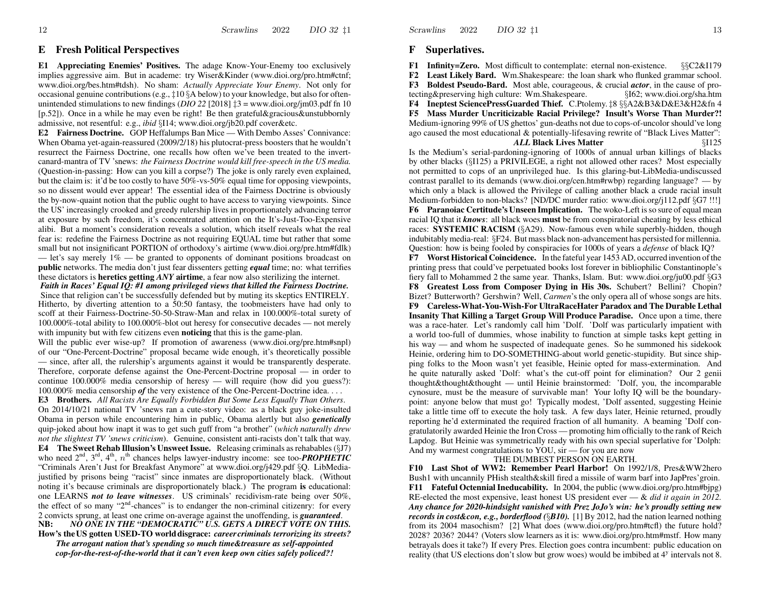### **E** Fresh Political Perspectives

**E1** Appreciating Enemies' Positives. The adage Know-Your-Enemy too exclusively implies aggressive aim. But in academe: try Wiser&Kinder (www.dioi.org/pro.htm#ctnf; www.dioi.org/bes.htm#tdsh). No sham: Actually Appreciate Your Enemy. Not only for occasional genuine contributions (e.g.,  $\ddagger$ 10 §A below) to your knowledge, but also for oftenunintended stimulations to new findings (DIO 22 [2018]  $\pm 3$  = www.dioi.org/jm03.pdf fn 10  $[p.52]$ . Once in a while he may even be right! Be then grateful&gracious&unstubbornly admissive, not resentful: e.g., *ibid* §I14; www.dioi.org/jb20.pdf cover&etc.

**E2** Fairness Doctrine. GOP Heffalumps Ban Mice — With Dembo Asses' Connivance: When Obama yet-again-reassured (2009/2/18) his plutocrat-press boosters that he wouldn't resurrect the Fairness Doctrine, one recalls how often we've been treated to the invertcanard-mantra of TV 'snews: the Fairness Doctrine would kill free-speech in the US media. (Question-in-passing: How can you kill a corpse?) The joke is only rarely even explained, but the claim is: it'd be too costly to have 50%-vs-50% equal time for opposing viewpoints, so no dissent would ever appear! The essential idea of the Fairness Doctrine is obviously the by-now-quaint notion that the public ought to have access to varying viewpoints. Since the US' increasingly crooked and greedy rulership lives in proportionately advancing terror at exposure by such freedom, it's concentrated attention on the It's-Just-Too-Expensive alibi. But a moment's consideration reveals a solution, which itself reveals what the real fear is: redefine the Fairness Doctrine as not requiring EQUAL time but rather that some small but not insignificant PORTION of orthodoxy's airtime (www.dioi.org/pre.htm#fdlk)

- let's say merely  $1\%$  - be granted to opponents of dominant positions broadcast on **public** networks. The media don't just fear dissenters getting *equal* time; no: what terrifies these dictators is **heretics getting ANY** airtime, a fear now also sterilizing the internet.

Faith in Races' Equal IQ: #1 among privileged views that killed the Fairness Doctrine. Since that religion can't be successfully defended but by muting its skeptics ENTIRELY. Hitherto, by diverting attention to a 50.50 fantasy, the toobmeisters have had only to scoff at their Fairness-Doctrine-50-50-Straw-Man and relax in 100.000%-total surety of 100.000%-total ability to 100.000%-blot out heresy for consecutive decades — not merely with impunity but with few citizens even **noticing** that this is the game-plan.

Will the public ever wise-up? If promotion of awareness (www.dioi.org/pre.htm#snpl) of our "One-Percent-Doctrine" proposal became wide enough, it's theoretically possible — since, after all, the rulership's arguments against it would be transparently desperate. Therefore, corporate defense against the One-Percent-Doctrine proposal — in order to continue  $100.000\%$  media censorship of heresy — will require (how did you guess?): 100.000% media censorship of the very existence of the One-Percent-Doctrine idea...

**E3** Brothers. All Racists Are Equally Forbidden But Some Less Equally Than Others. On 2014/10/21 national TV 'snews ran a cute-story video: as a black guy joke-insulted Obama in person while encountering him in public, Obama alertly but also *genetically* quip-joked about how inapt it was to get such guff from "a brother" (which naturally drew not the slightest TV 'snews criticism). Genuine, consistent anti-racists don't talk that way. **E4** The Sweet Rehab Illusion's Unsweet Issue. Releasing criminals as rehabables  $(\S17)$ who need  $2<sup>nd</sup>$ ,  $3<sup>rd</sup>$ ,  $4<sup>th</sup>$ ,  $n<sup>th</sup>$  chances helps lawyer-industry income: see too-**PROPHETIC** "Criminals Aren't Just for Breakfast Anymore" at www.dioi.org/j429.pdf §Q. LibMediajustified by prisons being "racist" since inmates are disproportionately black. (Without noting it's because criminals are disproportionately black.) The program is educational: one LEARNS not to leave witnesses. US criminals' recidivism-rate being over 50%, the effect of so many " $2<sup>nd</sup>$ -chances" is to endanger the non-criminal citizenry: for every 2 convicts sprung, at least one crime on-average against the unoffending, is *guaranteed*. NO ONE IN THE "DEMOCRATIC" U.S. GETS A DIRECT VOTE ON THIS. NB: How's the US gotten USED-TO world disgrace: *career criminals terrorizing its streets*?

The arrogant nation that's spending so much time&treasure as self-appointed cop-for-the-rest-of-the-world that it can't even keep own cities safely policed?! Scrawlins 2022 DIO 32 11

### **F** Superlatives.

**F1** Infinity=Zero. Most difficult to contemplate: eternal non-existence.  $\S$  $C2&I179$ **F2** Least Likely Bard. Wm. Shakespeare: the loan shark who flunked grammar school. F3 Boldest Pseudo-Bard. Most able, courageous, & crucial *actor*, in the cause of pro-§162; www.dioi.org/sha.htm tecting&preserving high culture: Wm.Shakespeare. **F4** Ineptest SciencePressGuarded Thief. C.Ptolemy. 18 §§A2&B3&D&E3&H2&fn 4 F5 Mass Murder Uncriticizable Racial Privilege? Insult's Worse Than Murder?! Medium-ignoring 99% of US ghettos' gun-deaths not due to cops-of-uncolor should've long ago caused the most educational & potentially-lifesaving rewrite of "Black Lives Matter": **ALL Black Lives Matter**  $$I125$ 

Is the Medium's serial-pardoning-ignoring of 1000s of annual urban killings of blacks by other blacks (§I125) a PRIVILEGE, a right not allowed other races? Most especially not permitted to cops of an unprivileged hue. Is this glaring-but-LibMedia-undiscussed contrast parallel to its demands (www.dioi.org/cen.htm#rwbp) regarding language? — by which only a black is allowed the Privilege of calling another black a crude racial insult Medium-forbidden to non-blacks? [ND/DC murder ratio: www.dioi.org/j112.pdf §G7 !!!] F6 Paranoiac Certitude's Unseen Implication. The woko-Left is so sure of equal mean racial IQ that it knows: all black woes must be from conspiratorial cheating by less ethical races: **SYSTEMIC RACISM** (§A29). Now-famous even while superbly-hidden, though indubitably media-real: §F24. But mass black non-advancement has persisted for millennia. Question: how is being fooled by conspiracies for 1000s of years a *defense* of black IQ?

**F7** Worst Historical Coincidence. In the fateful year 1453 AD, occurred invention of the printing press that could've perpetuated books lost forever in bibliophilic Constantinople's fiery fall to Mohammed 2 the same year. Thanks, Islam. But: www.dioi.org/ju00.pdf §G3 F8 Greatest Loss from Composer Dying in His 30s. Schubert? Bellini? Chopin? Bizet? Butterworth? Gershwin? Well, *Carmen*'s the only opera all of whose songs are hits. F9 Careless-What-You-Wish-For UltraRaceHater Paradox and The Durable Lethal Insanity That Killing a Target Group Will Produce Paradise. Once upon a time, there was a race-hater. Let's randomly call him 'Dolf. 'Dolf was particularly impatient with a world too-full of dummies, whose inability to function at simple tasks kept getting in his way — and whom he suspected of inadequate genes. So he summoned his sidekook Heinie, ordering him to DO-SOMETHING-about world genetic-stupidity. But since shipping folks to the Moon wasn't yet feasible. Heinie opted for mass-extermination. And he quite naturally asked 'Dolf: what's the cut-off point for elimination? Our 2 genii thought&thought&thought — until Heinie brainstormed: 'Dolf, you, the incomparable cynosure, must be the measure of survivable man! Your lofty IQ will be the boundarypoint: anyone below that must go! Typically modest, 'Dolf assented, suggesting Heinie take a little time off to execute the holy task. A few days later, Heinie returned, proudly reporting he'd exterminated the required fraction of all humanity. A beaming 'Dolf congratulatorily awarded Heinie the Iron Cross — promoting him officially to the rank of Reich Lapdog. But Heinie was symmetrically ready with his own special superlative for 'Dolph: And my warmest congratulations to YOU, sir — for you are now

### THE DUMBEST PERSON ON EARTH.

F10 Last Shot of WW2: Remember Pearl Harbor! On 1992/1/8, Pres&WW2hero Bush1 with uncannily PH ish stealth & skill fired a missile of warm barf into JapPres' groin. F11 Fateful Octennial Ineducability. In 2004, the public (www.dioi.org/pro.htm#bipg) RE-elected the most expensive, least honest US president ever  $-\&$  did it again in 2012. Any chance for 2020-hindsight vanished with Prez JoJo's win: he's proudly setting new *records in cost&con, e.g., borderflood* (\\fora>BIO). [1] By 2012, had the nation learned nothing from its 2004 masochism? [2] What does (www.dioi.org/pro.htm#tcfl) the future hold? 2028? 2036? 2044? (Voters slow learners as it is: www.dioi.org/pro.htm#mstf. How many betrayals does it take?) If every Pres. Election goes contra incumbent: public education on reality (that US elections don't slow but grow woes) would be imbibed at 4<sup>y</sup> intervals not 8.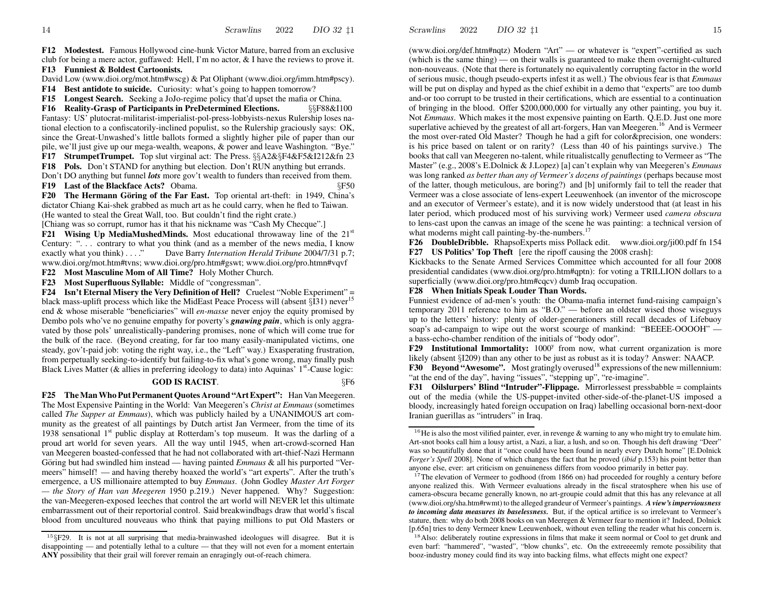**F12 Modestest.** Famous Hollywood cine-hunk Victor Mature, barred from an exclusive club for being <sup>a</sup> mere actor, guffawed: Hell, I'm no actor, & I have the reviews to prove it. **F13 Funniest & Boldest Cartoonists.**

David Lo w (www.dioi.org/mot.htm#wscg) &Pat Oliphant (www.dioi.org/imm.htm#pscy).

**F14 Best antidote to suicide.** Curiosity: what's going to happen tomorrow?

**F15 Longest Search.** Seeking <sup>a</sup> JoJo-regime policy that'd upse<sup>t</sup> the mafia or China.

**F16 Reality-Grasp of Participants in PreDetermined Elections.** §§F88&I100 Fantasy: US' plutocrat-militarist-imperialist-pol-press-lobbyists-nexus Rulership loses national election to <sup>a</sup> confiscatorily-inclined populist, so the Rulership graciously says: OK, since the Great-Unwashed's little ballots formed <sup>a</sup> slightly higher pile of paper than our pile, we'll just give up our mega-wealth, weapons, & power and leave Washington. "Bye."

**F17 StrumpetTrumpet.** Top slut virginal act: The Press. §§A2&§F4&F5&I212&fn 23

**F18 Pols.** Don't STAND for anything but election. Don't RUN anything but errands. Don't DO anything but funnel *lots* more gov't wealth to funders than received from them.

**F19 Last of the Blackface Acts?** Obama. §F50

**F20** The Hermann Göring of the Far East. Top oriental art-theft: in 1949, China's dictator Chiang Kai-shek grabbed as much art as he could carry, when he fled to Taiwan. (He wanted to steal the Great Wall, too. But couldn't find the right crate.)

[Chiang was so corrupt, rumor has it that his nickname was "Cash My Checque".]

**F21** Wising Up MediaMushedMinds. Most educational throwaway line of the 21<sup>st</sup> Century: ". . . contrary to what you think (and as <sup>a</sup> member of the news media, I kno w exactly what you think) . . . ." Dave Barry *Internation Herald Tribune* 2004/7/31 p.7; www.dioi.org/mot.htm#tvns; www.dioi.org/pro.htm#gswt; www.dioi.org/pro.htmn#vqvf

**F22 Most Masculine Mom of All Time?** Holy Mother Church.

**F23 Most Superfluous Syllable:** Middle of "congressman".

**F24 Isn't Eternal Misery the Very Definition of Hell?** Cruelest "Noble Experiment" = black mass-uplift process which like the MidEast Peace Process will (absent §I31) never<sup>15</sup> end& whose miserable "beneficiaries" will *en-masse* never enjoy the equity promised by Dembo pols who've no genuine empathy for poverty's *gnawing pain*, which is only aggravated by those pols' unrealistically-pandering promises, none of which will come true for the bulk of the race. (Beyond creating, for far too many easily-manipulated victims, one steady, gov't-paid job: voting the right way, i.e., the "Left" way.) Exasperating frustration, from perpetually seeking-to-identify but failing-to-fix what's gone wrong, may finally push Black Lives Matter (& allies in preferring ideology to data) into Aquinas' 1<sup>st</sup>-Cause logic:

### **GOD IS RACIST**. §F6

**F25 TheManWhoPut PermanentQuotes Around "ArtExpert":** Han Van Meegeren. The Most Expensive Painting in the World: Van Meegeren's *Christ at Emmaus* (sometimes called *The Supper at Emmaus*), which was publicly hailed by <sup>a</sup> UNANIMOUS art community as the greatest of all paintings by Dutch artist Jan Vermeer, from the time of its 1938 sensational  $1<sup>st</sup>$  public display at Rotterdam's top museum. It was the darling of a proud art world for seven years. All the way until 1945, when art-crowd-scorned Han van Meegeren boasted-confessed that he had not collaborated with art-thief-Nazi Hermann Göring but had swindled him instead — having painted *Emmaus &* all his purported "Vermeers" himself! — and having thereby hoaxed the world's "art experts". After the truth's emergence, <sup>a</sup> US millionaire attempted to buy *Emmaus*. (John Godley *Master Art Forger — the Story of Han van Meegeren* 1950 p.219.) Never happened. Why? Suggestion: the van-Meegeren-exposed leeches that control the art world will NEVER let this ultimate embarrassment out of their reportorial control. Said breakwindbags dra w that world's fiscal blood from uncultured nouveaus who think that paying millions to pu<sup>t</sup> Old Masters or (www.dioi.org/def.htm#nqtz) Modern "Art" — or whatever is "expert"-certified as such (which is the same thing) — on their walls is guaranteed to make them overnight-cultured non-nouveaus. (Note that there is fortunately no equivalently corrupting factor in the world of serious music, though pseudo-experts infest it as well.) The obvious fear is that *Emmaus* will be pu<sup>t</sup> on display and hyped as the chief exhibit in <sup>a</sup> demo that "experts" are too dumb and-or too corrup<sup>t</sup> to be trusted in their certifications, which are essential to <sup>a</sup> continuation of bringing in the blood. Offer \$200,000,000 for virtually any other painting, you buy it. Not *Emmaus*. Which makes it the most expensive painting on Earth. Q.E.D. Just one more superlative achieved by the greatest of all art-forgers, Han van Meegeren.<sup>16</sup> And is Vermeer the most over-rated Old Master? Though he had <sup>a</sup> gift for color&precision, one wonders: is his price based on talent or on rarity? (Less than 40 of his paintings survive.) The books that call van Meegeren no-talent, while ritualistcally genuflecting to Vermeer as "The Master" (e.g., 2008's E.Dolnick & J.Lopez) [a] can't explain why van Meegeren's *Emmaus* was long ranked *as better than any of Vermeer's dozens of paintings* (perhaps because most of the latter, though meticulous, are boring?) and [b] uniformly fail to tell the reader that Vermeer was a close associate of lens-expert Leeuwenhoek (an inventor of the microscope and an executor of Vermeer's estate), and it is no w widely understood that (at least in his later period, which produced most of his surviving work) Vermeer used *camera obscura* to lens-cast upon the canvas an image of the scene he was painting: <sup>a</sup> technical version of what moderns might call painting-by-the-numbers.<sup>17</sup>

**F26 DoubleDribble.** RhapsoExperts miss Pollack edit. www.dioi.org/ji00.pdf fn 154 **F27 US Politics' Top Theft** [ere the ripoff causing the 2008 crash]:

Kickbacks to the Senate Armed Services Committee which accounted for all four 2008 presidential candidates (www.dioi.org/pro.htm#qptn): for voting <sup>a</sup> TRILLION dollars to <sup>a</sup> superficially (www.dioi.org/pro.htm#cqcv) dumb Iraq occupation.

**F28 When Initials Speak Louder Than Words.**

Funniest evidence of ad-men's youth: the Obama-mafia internet fund-raising campaign's temporary 2011 reference to him as "B.O." — before an oldster wised those wiseguys up to the letters' history: plenty of older-generationers still recall decades of Lifebuoy soap's ad-campaign to wipe out the worst scourge of mankind: "BEEEE-OOOOH" a bass-echo-chamber rendition of the initials of "body odor".

**F29** Institutional Immortality: 1000<sup>y</sup> from now, what current organization is more likely (absent §I209) than any other to be just as robust as it is today? Answer: NAACP.

**F30** Beyond "Awesome". Most gratingly overused<sup>18</sup> expressions of the new millennium: "at the end of the day", having "issues", "stepping up", "re-imagine".

**F31 Oilslurpers' Blind "Intruder"-Flippage.** Mirrorlessest pressbabble = complaints out of the media (while the US-puppet-invited other-side-of-the-planet-US imposed <sup>a</sup> bloody, increasingly hated foreign occupation on Iraq) labelling occasional born-next-door Iranian guerillas as "intruders" in Iraq.

 $15$ §F29. It is not at all surprising that media-brainwashed ideologues will disagree. But it is disappointing — and potentially lethal to <sup>a</sup> culture — that they will not even for <sup>a</sup> moment entertain **ANY** possibility that their grail will forever remain an enragingly out-of-reach chimera.

<sup>&</sup>lt;sup>16</sup>He is also the most vilified painter, ever, in revenge & warning to any who might try to emulate him. Art-snot books call him <sup>a</sup> lousy artist, <sup>a</sup> Nazi, <sup>a</sup> liar, <sup>a</sup> lush, and so on. Though his deft drawing "Deer" was so beautifully done that it "once could have been found in nearly every Dutch home" [E.Dolnick *Forger's Spell* 2008]. None of which changes the fact that he proved (*ibid* p.153) his point better than anyone else, ever: art criticism on genuineness differs from voodoo primarily in better pay.

<sup>&</sup>lt;sup>17</sup>The elevation of Vermeer to godhood (from 1866 on) had proceeded for roughly a century before anyone realized this. With Vermeer evaluations already in the fiscal stratosphere when his use of camera-obscura became generally known, no art-groupie could admit that this has any relevance at all (www.dioi.org/sha.htm#rwmt) to the alleged grandeur of Vermeer's paintings. *A view'simperviousness to incoming data measures its baselessness.* But, if the optical artifice is so irrelevant to Vermeer'sstature, then: why do both 2008 books on van Meeregen & Vermeer fear to mention it? Indeed, Dolnick [p.65n] tries to deny Vermeer kne w Leeuwenhoek, without even telling the reader what his concern is.

<sup>&</sup>lt;sup>18</sup>Also: deliberately routine expressions in films that make it seem normal or Cool to get drunk and even barf: "hammered", "wasted", "blo w chunks", etc. On the extreeeemly remote possibility that booz-industry money could find its way into backing films, what effects might one expect?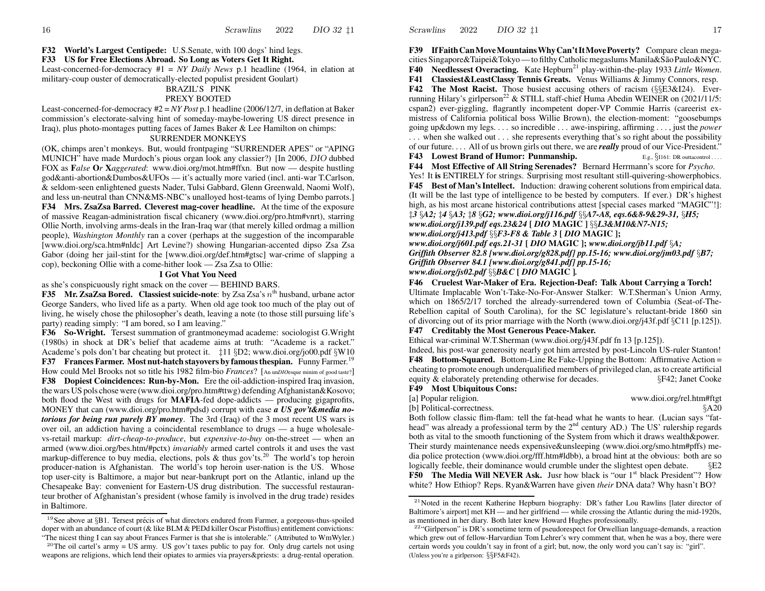**F32World's Largest Centipede:** U.S.Senate, with 100 dogs' hind legs.

#### **F33 US for Free Elections Abroad. So Long as Voters Get It Right.**

Least-concerned-for-democracy #1 = *NY Daily News* p.1 headline (1964, in elation at military-coup ouster of democratically-elected populist president Goulart)

#### BRAZIL'S PINKPREXY BOOTED

Least-concerned-for-democracy #2 = *NY Post* p.1 headline (2006/12/7, in deflation at Baker commission's electorate-salving hint of someday-maybe-lowering US direct presence in Iraq), plus photo-montages putting faces of James Baker & Lee Hamilton on chimps:

#### SURRENDER MONKEYS

(OK, chimps aren't monkeys. But, would frontpaging "SURRENDER APES" or "APING MUNICH" have made Murdoch's pious organ look any classier?) [In 2006, DIO dubbed FO X as **F***alse* **O***r* **X***aggerated*: www.dioi.org/mot.htm#ffxn. But no w — despite hustling god&anti-abortion&Dumbos&UFOs — it's actually more varied (incl. anti-war T.Carlson, & seldom-seen enlightened guests Nader, Tulsi Gabbard, Glenn Greenwald, Naomi Wolf), and less un-neutral than CNN&MS-NBC's unalloyed host-teams of lying Dembo parrots.] **F34 Mrs. ZsaZsa Barred. Cleverest mag-cover headline.** At the time of the exposure of massive Reagan-administration fiscal chicanery (www.dioi.org/pro.htm#vnrt), starring Ollie North, involving arms-deals in the Iran-Iraq war (that merely killed ordmag <sup>a</sup> million people), *Washington Monthly* ran <sup>a</sup> cover (perhaps at the suggestion of the incomparable [www.dioi.org/sca.htm#nldc] Art Levine?) showing Hungarian-accented dipso Zsa Zsa Gabor (doing her jail-stint for the [www.dioi.org/def.htm#gtsc] war-crime of slapping <sup>a</sup> cop), beckoning Ollie with <sup>a</sup> come-hither look — Zsa Zsa to Ollie:

#### **I Got Vhat You Need**

as she's conspicuously right smack on the cover — BEHIND BARS.

**F35** Mr. **ZsaZsa Bored.** Classiest suicide-note: by Zsa Zsa's  $n^{\text{th}}$  husband, urbane actor George Sanders, who lived life as <sup>a</sup> party. When old age took too much of the play out of living, he wisely chose the philosopher's death, leaving <sup>a</sup> note (to those still pursuing life's party) reading simply: "I am bored, so I am leaving."

**F36** So-Wright. Tersest summation of grantmoneymad academe: sociologist G.Wright (1980s) in shock at DR's belief that academe aims at truth: "Academe is <sup>a</sup> racket." Academe's pols don't bar cheating but protect it. ‡11 §D2; www.dioi.org/jo00.pdf §W10 **F37 Frances Farmer. Most nut-hatch stayovers by famousthespian.** Funny Farmer.<sup>19</sup> Ho w could Mel Brooks not so title his 1982 film-bio *Frances*? [An un*DIO*esque minim of goo<sup>d</sup> taste?] **F38 Dopiest Coincidences: Run-by-Mon.** Ere the oil-addiction-inspired Iraq invasion, the wars US pols chose were (www.dioi.org/pro.htm#ttwg) defending Afghanistan&Kosovo; both flood the West with drugs for **MAFIA**-fed dope-addicts — producing gigaprofits, MONEY that can (www.dioi.org/pro.htm#pdsd) corrup<sup>t</sup> with ease *<sup>a</sup> US gov't&media notoriousfor being run purely BY money*. The 3rd (Iraq) of the 3 most recent US wars is over oil, an addiction having <sup>a</sup> coincidental resemblance to drugs — <sup>a</sup> huge wholesalevs-retail markup: *dirt-cheap-to-produce*, but *expensive-to-buy* on-the-street — when an armed (www.dioi.org/bes.htm/#pctx) *invariably* armed cartel controls it and uses the vast markup-difference to buy media, elections, pols & thus gov'ts.<sup>20</sup> The world's top heroin producer-nation is Afghanistan. The world's top heroin user-nation is the US. Whose top user-city is Baltimore, <sup>a</sup> major but near-bankrupt por<sup>t</sup> on the Atlantic, inland up the Chesapeake Bay: convenient for Eastern-US drug distribution. The successful restauranteur brother of Afghanistan's president (whose family is involved in the drug trade) resides in Baltimore.

Scrawlins 20222 DIO 32  $\sharp$ 1 17

**F39 If FaithCanMoveMountainsWhyCan'tItMovePoverty?** Compare clean megacities Singapore&Taipei&Tokyo — to filthy Catholic megaslums Manila&São Paulo&NYC. **F40** Needlessest Overacting. Kate Hepburn<sup>21</sup> play-within-the-play 1933 *Little Women*. **F41** Classiest&LeastClassy Tennis Greats. Venus Williams & Jimmy Connors, resp. **F42 The Most Racist.** Those busiest accusing others of racism (§§E3&I24). Everrunning Hilary's girlperson<sup>22</sup> & STILL staff-chief Huma Abedin WEINER on (2021/11/5: cspan2) ever-giggling, flagrantly incompetent doper-VP Commie Harris (careerist exmistress of California political boss Willie Brown), the election-moment: "goosebumps going up&down my legs. . . . so incredible . . . awe-inspiring, affirming . . . , just the *power* . . . when she walked out . . . she represents everything that's so right about the possibility of our future. . . . All of us brown girls out there, we are *really* proud of our Vice-President."

**F43 Lowest Brand of Humor: Punmanship.** E.g.,  $\S$ I161: DR outtacontrol....

**F44 Most Effective of All String Serenades?** Bernard Herrmann's score for *Psycho*. Yes! It **is** ENTIRELY for strings. Surprising most resultant still-quivering-showerphobics. **F45 Best of Man'sIntellect.** Induction: drawing coherentsolutionsfrom empirical data. (It will be the last type of intelligence to be bested by computers. If ever.) DR's highest high, as his most arcane historical contributions attest [special cases marked "MAGIC"!]: ‡*3* §*A2;* ‡*4* §*A3;* ‡*8* §*G2; www.dioi.org/j116.pdf* §§*A7-A8, eqs.6&8-9&29-31,* §*H5;*

*www.dioi.org/j139.pdf eqs.23&24* **[** *DIO* **MAGIC ]** §§*L3&M10&N7-N15;*

*www.dioi.org/j413.pdf* §§*F3-F8 &Table 3* **[** *DIO* **MAGIC ];**

*www.dioi.org/j601.pdf eqs.21-31* **[** *DIO* **MAGIC ];** *www.dioi.org/jb11.pdf* §*A; Griffith Observer 82.8 [www.dioi.org/g828.pdf] pp.15-16; www.dioi.org/jm03.pdf* §*B7; Griffith Observer 84.1 [www.dioi.org/g841.pdf] pp.15-16;*

*www.dioi.org/js02.pdf* §§*B&C* **[** *DIO* **MAGIC ]***.*

#### **F46 Cruelest War-Maker of Era. Rejection-Deaf: Talk About Carrying <sup>a</sup> Torch!**

Ultimate Implacable Won't-Take-No-For-Answer Stalker: W.T.Sherman's Union Army, which on 1865/2/17 torched the already-surrendered town of Columbia (Seat-of-The-Rebellion capital of South Carolina), for the SC legislature's reluctant-bride 1860 sin of divorcing out of its prior marriage with the North (www.dioi.org/j43f.pdf §C11 [p.125]).

### **F47 Creditably the Most Generous Peace-Maker.**

Ethical war-criminal W.T.Sherman (www.dioi.org/j43f.pdf fn 13 [p.125]).

Indeed, his post-war generosity nearly go<sup>t</sup> him arrested by post-Lincoln US-ruler Stanton! **F48 Bottom-Squared.** Bottom-Line Re Fake-Upping the Bottom: Affirmative Action =cheating to promote enough underqualified members of privileged clan, asto create artificial equity & elaborately pretending otherwise for decades. §F42; Janet Cooke

**F49 Most Ubiquitous Cons:**

[a] Popular religion. www.dioi.org/rel.htm#ftgt [b] Political-correctness. §A20

Both follo w classic flim-flam: tell the fat-head what he wants to hear. (Lucian says "fathead" was already a professional term by the  $2<sup>nd</sup>$  century AD.) The US' rulership regards both as vital to the smooth functioning of the System from which it draws wealth&power. Their sturdy maintenance needs expensive&unsleeping (www.dioi.org/smo.htm#pffs) media police protection (www.dioi.org/fff.htm#ldbb), <sup>a</sup> broad hint at the obvious: both are so logically feeble, their dominance would crumble under the slightest open debate.  $\Sigma$ **F50** The Media Will NEVER Ask. Just how black is "our 1<sup>st</sup> black President"? How white? How Ethiop? Reps. Ryan&Warren have given *their* DNA data? Why hasn't BO?

 $19$  See above at  $\S 1$ . Tersest précis of what directors endured from Farmer, a gorgeous-thus-spoiled doper with an abundance of court (& like BLM & PEDd killer Oscar Pistoffius) entitlement convictions: "The nicest thing I can say about Frances Farmer is that she is intolerable." (Attributed to WmWyler.)

<sup>&</sup>lt;sup>20</sup>The oil cartel's army = US army. US gov't taxes public to pay for. Only drug cartels not using weapons are religions, which lend their opiates to armies via prayers&priests: <sup>a</sup> drug-rental operation.

 $2<sup>21</sup>$ Noted in the recent Katherine Hepburn biography: DR's father Lou Rawlins [later director of Baltimore's airport] met KH — and her girlfriend — while crossing the Atlantic during the mid-1920s, as mentioned in her diary. Both later kne w Ho ward Hughes professionally.

 $22^{\circ}$ "Girlperson" is DR's sometime term of pseudorespect for Orwellian language-demands, a reaction which gre w out of fellow-Harvardian Tom Lehrer's wry comment that, when he was a boy, there were certain words you couldn't say in front of <sup>a</sup> girl; but, no w, the only word you can't say is: "girl". (Unless you're <sup>a</sup> <sup>g</sup>irlperson: §§F5&F42).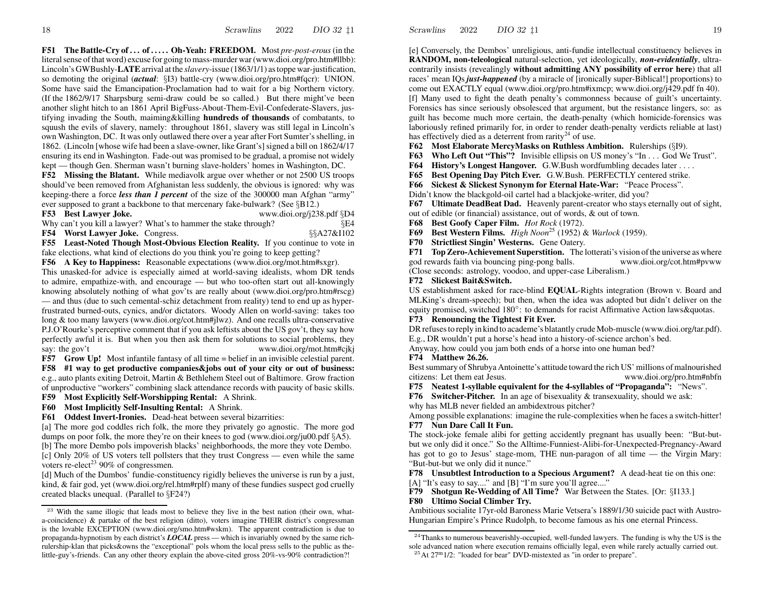**F51 The Battle-Cry of . . . of . . . . . Oh-Yeah: FREEDOM.** Most *pre-post-erous* (in the literal sense of that word) excuse for going to mass-murder war (www.dioi.org/pro.htm#llbb): Lincoln's GWBushly-**LATE**arrival at the *slavery*-issue (1863/1/1) astoppe war-justification, so demoting the original (*actual*: §I3) battle-cry (www.dioi.org/pro.htm#fqcr): UNION. Some have said the Emancipation-Proclamation had to wait for a big Northern victory. (If the 1862/9/17 Sharpsburg semi-dra w could be so called.) But there might've been another slight hitch to an 1861 April BigFuss-About-Them-Evil-Confederate-Slavers, justifying invading the South, maiming&killing **hundreds of thousands** of combatants, to squush the evils of slavery, namely: throughout 1861, slavery was still legal in Lincoln's own Washington, DC. It was only outlawed there over <sup>a</sup> year after Fort Sumter'sshelling, in 1862. (Lincoln [whose wife had been a slave-owner, like Grant's] signed a bill on 1862/4/17 ensuring its end in Washington. Fade-out was promised to be gradual, <sup>a</sup> promise not widely kept — though Gen. Sherman wasn't burning slave-holders' homes in Washington, DC.

**F52 Missing the Blatant.** While mediavolk argue over whether or not 2500 US troops should've been removed from Afghanistan less suddenly, the obvious is ignored: why waskeeping-there <sup>a</sup> force *less than 1 percent* of the size of the 300000 man Afghan "army" ever supposed to gran<sup>t</sup> <sup>a</sup> backbone to that mercenary fake-bul wark? (See §B12.)

F53 Best Lawyer Joke.

Why can't you kill a lawyer? What's to hammer the stake through? §E4

**www.dioi.org/j238.pdf** §D4

**F54Worst Lawyer Joke.** Congress. §§A27&I102 **F55 Least-Noted Though Most-Obvious Election Reality.** If you continue to vote in fake elections, what kind of elections do you think you're going to keep getting?

**F56 A Key to Happiness:** Reasonable expectations (www.dioi.org/mot.htm#sxgr).

This unasked-for advice is especially aimed at world-saving idealists, whom DR tends to admire, empathize-with, and encourage — but who too-often start out all-knowingly knowing absolutely nothing of what gov'ts are really about (www.dioi.org/pro.htm#rscg) — and thus (due to such cemental-schiz detachment from reality) tend to end up as hyperfrustrated burned-outs, cynics, and/or dictators. Woody Allen on world-saving: takes too long & too many lawyers (www.dioi.org/cot.htm#jlwz). And one recalls ultra-conservative P.J.O'Rourke's perceptive comment that if you ask leftists about the US gov't, they say ho w perfectly awful it is. But when you then ask them for solutions to social problems, they say: the gov't www.dioi.org/mot.htm#cjkj

**F57 Grow Up!** Most infantile fantasy of all time = belief in an invisible celestial parent.

**F58 #1 way to get productive companies&jobs out of your city or out of business:** e.g., auto plants exiting Detroit, Martin & Bethlehem Steel out of Baltimore. Gro w fraction of unproductive "workers" combining slack attendance records with paucity of basic skills.

**F59 Most Explicitly Self-Worshipping Rental:** A Shrink.

**F60 Most Implicitly Self-Insulting Rental:** A Shrink.

**F61 Oddest Invert-Ironies.** Dead-heat between several bizarrities:

[a] The more god coddles rich folk, the more they privately go agnostic. The more god dumps on poor folk, the more they're on their knees to god (www.dioi.org/ju00.pdf §A5). [b] The more Dembo pols impoverish blacks' neighborhoods, the more they vote Dembo. [c] Only 20% of US voters tell pollsters that they trust Congress — even while the same voters re-elect<sup>23</sup> 90% of congressmen.

[d] Much of the Dumbos' fundie-constituency rigidly believes the universe is run by <sup>a</sup> just, kind, & fair god, ye<sup>t</sup> (www.dioi.org/rel.htm#rplf) many of these fundies suspec<sup>t</sup> god cruelly created blacks unequal. (Parallel to §F24?)

[e] Conversely, the Dembos' unreligious, anti-fundie intellectual constituency believes in **RANDOM, non-teleological** natural-selection, ye<sup>t</sup> ideologically, *non-evidentially*, ultracontrarily insists (revealingly **without admitting ANY possibility of error here**) that all races' mean IQs *just-happened* (by <sup>a</sup> miracle of [ironically super-Biblical!] proportions) to come out EXACTLY equal (www.dioi.org/pro.htm#ixmcp; www.dioi.org/j429.pdf fn 40). [f] Many used to fight the death penalty's commonness because of guilt's uncertainty. Forensics has since seriously obsolesced that argument, but the resistance lingers, so: as guilt has become much more certain, the death-penalty (which homicide-forensics was laboriously refined primarily for, in order to render death-penalty verdicts reliable at last) has effectively died as a deterrent from rarity<sup>24</sup> of use.

**F62 Most Elaborate MercyMasks on Ruthless Ambition.** Rulerships (§I9).

**F63 Who Left Out "This"?** Invisible ellipsis on US money's "In . . . God We Trust".

**F64 History's Longest Hangover.** G.W.Bush wordfumbling decades later . . . .

**F65 Best Opening Day Pitch Ever.** G.W.Bush. PERFECTLY centered strike.

**F66 Sickest & Slickest Synonym for Eternal Hate-War:** "Peace Process".

Didn't know the blackgold-oil cartel had <sup>a</sup> blackjoke-writer, did you?

**F67 Ultimate DeadBeat Dad.** Heavenly parent-creator who stays eternally out of sight, out of edible (or financial) assistance, out of words, & out of town.

**F68 Best Goofy Caper Film.** *Hot Rock* (1972).

**F69 Best Wester n Films.** *High Noon*<sup>25</sup> (1952) & *Warlock* (1959).

**F70 Strictliest Singin' Westerns.** Gene Oatery.

**F71 Top Zero-Achievement Superstition.** The lotterati's vision of the universe as where god re wards faith via bouncing ping-pong balls. www.dioi.org/cot.htm#pvww (Close seconds: astrology, voodoo, and upper-case Liberalism.)

# **F72 Slickest Bait&Switch.**

US establishment asked for race-blind **EQ UAL**-Rights integration (Brown v. Board and MLKing's dream-speech); but then, when the idea was adopted but didn't deliver on the equity promised, switched  $180°$ : to demands for racist Affirmative Action laws & quotas.

### **F73 Renouncing the Tightest Fit Ever.**

DR refuses to reply in kind to academe's blatantly crude Mob-muscle (www.dioi.org/tar.pdf). E.g., DR wouldn't pu<sup>t</sup> <sup>a</sup> horse's head into <sup>a</sup> history-of-science archon's bed.

Anyway, ho w could you jam both ends of <sup>a</sup> horse into one human bed?

### **F74 Matthew 26.26.**

Best summary of Shrubya Antoinette's attitude toward the rich US' millions of malnourished citizens: Let themwww.dioi.org/pro.htm#nbfn

**F75 Neatest 1-syllable equivalent for the 4-syllables of "Propaganda":** "News".

**F76 Switcher-Pitcher.** In an age of bisexuality & transexuality, should we ask:

why has MLB never fielded an ambidextrous pitcher?

Among possible explanations: imagine the rule-complexities when he faces <sup>a</sup> switch-hitter! **F77 Nun Dare Call It Fun.**

The stock-joke female alibi for getting accidently pregnan<sup>t</sup> has usually been: "But-butbut we only did it once." So the Alltime-Funniest-Alibi-for-Unexpected-Pregnancy-Award has go<sup>t</sup> to go to Jesus' stage-mom, THE nun-paragon of all time — the Virgin Mary: "But-but-but we only did it nunce."

**F78 Unsubtlest Introduction to <sup>a</sup> Specious Argument?** A dead-heat tie on this one: [A] "It's easy to say...." and [B] "I'm sure you'll agree...."

**F79Shotgun Re-Wedding of All Time?** War Between the States. [Or: §I133.]

# **F80 Ultimo Social Climber Try.**

Ambitious socialite 17yr-old Baroness Marie Vetsera's 1889/1/30 suicide pac<sup>t</sup> with Austro-Hungarian Empire's Prince Rudolph, to become famous as his one eternal Princess.

<sup>&</sup>lt;sup>23</sup> With the same illogic that leads most to believe they live in the best nation (their own, whata-coincidence) & partake of the best religion (ditto), voters imagine THEIR district's congressman is the lovable EXCEPTION (www.dioi.org/smo.htm#wskm). The apparen<sup>t</sup> contradiction is due to propaganda-hypnotism by each district's *LOCAL* press — which is invariably owned by the same richrulership-klan that picks&owns the "exceptional" pols whom the local press sells to the public as thelittle-guy's-friends. Can any other theory explain the above-cited gross 20%-vs-90% contradiction?!

 $24$ Thanks to numerous beaverishly-occupied, well-funded lawyers. The funding is why the US is the sole advanced nation where execution remains officially legal, even while rarely actually carried out.

 $^{25}$ At 27<sup>m</sup> 1/2: "loaded for bear" DVD-mistexted as "in order to prepare".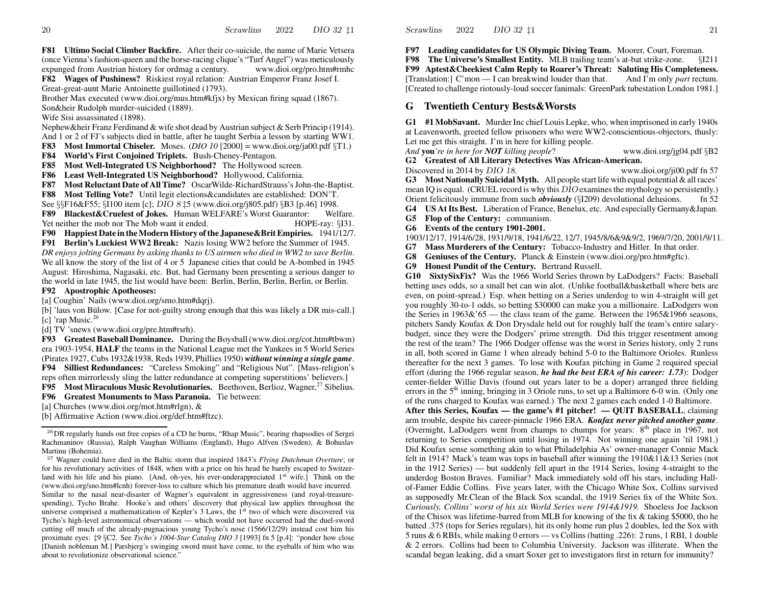**F81 Ultimo Social Climber Backfire.** After their co-suicide, the name of Marie Vetsera(once Vienna's fashion-queen and the horse-racing clique's "Turf Angel") was meticulously expunged from Austrian history for ordmag <sup>a</sup> century. www.dioi.org/pro.htm#rmhc

**F82 Wages of Pushiness?** Riskiest royal relation: Austrian Emperor Franz Josef I. Great-great-aunt Marie Antoinette guillotined (1793).

Brother Max executed (www.dioi.org/mus.htm#kfjx) by Mexican firing squad (1867). Son&heir Rudolph murder-suicided (1889).

Wife Sisi assassinated (1898).

Nephew&heir Franz Ferdinand & wife shot dead by Austrian subject & Serb Princip (1914). And 1 or 2 of FJ's subjects died in battle, after he taught Serbia <sup>a</sup> lesson by starting WW1.

**F83 Most Immortal Chiseler.** Moses. (*DIO 10* [2000] = www.dioi.org/ja00.pdf §T1.)

**F84 World's First Conjoined Triplets.** Bush-Cheney-Pentagon.

**F85 Most Well-Integrated US Neighborhood?** The Hollywood screen.

**F86 Least Well-Integrated US Neighborhood?** Hollywood, California.

**F87 Most Reluctant Date of All Time?** OscarWilde-RichardStrauss'sJohn-the-Baptist.

**F88 Most Telling Vote?** Until legit elections&candidates are established: DON'T.

See §§F16&F55; §I100 item [c]; DIO 8 ‡5 (www.dioi.org/j805.pdf) §B3 [p.46] 1998.

**F89 Blackest&Cruelest of Jokes.** Human WELFARE's Worst Guarantor: Welfare.Yet neither the mob nor The Mob want $H$ OPE-ray: §I31.

**F90 Happiest Date in theModer nHistory ofthe Japanese&BritEmpiries.** 1941/12/7.

**F91 Berlin's Luckiest WW2 Break:** Nazis losing WW2 before the Summer of 1945. *DR enjoys jolting Germans by asking thanks to US airmen who died in WW2 to save Berlin*. We all know the story of the list of 4 or 5 Japanese cities that could be A-bombed in 1945 August: Hiroshima, Nagasaki, etc. But, had Germany been presenting <sup>a</sup> serious danger to the world in late 1945, the list would have been: Berlin, Berlin, Berlin, Berlin, or Berlin.

**F92Apostrophic Apotheoses:**

[a] Coughin' Nails (www.dioi.org/smo.htm#dqrj).

[b] 'laus von Bülow. [Case for not-guilty strong enough that this was likely a DR mis-call.] [c] 'rap Music. $26$ 

[d] TV 'snews (www.dioi.org/pre.htm#rsrh).

**F93 GreatestBaseball Dominance.** During theBoysball(www.dioi.org/cot.htm#tbwm) era 1903-1954, **HALF** the teams in the National League met the Yankees in 5 World Series (Pirates 1927, Cubs 1932&1938, Reds 1939, Phillies 1950) *without winning <sup>a</sup> single game*. **F94 Silliest Redundances:** "Careless Smoking" and "Religious Nut". [Mass-religion's reps often mirrorlessly sling the latter redundance at competing superstitions' believers.] **F95** Most Miraculous Music Revolutionaries. Beethoven, Berlioz, Wagner,<sup>27</sup> Sibelius.

**F96 Greatest Monuments to Mass Paranoia.**Tie between:

[a] Churches (www.dioi.org/mot.htm#rlgn), &

[b] Affirmative Action (www.dioi.org/def.htm#ftzc).

**F97 Leading candidates for US Olympic Diving Team.** Moorer, Court, Foreman.

**F98 The Universe's Smallest Entity.** MLB trailing team's at-bat strike-zone. §I211 **F99 Aptest&Cheekiest Calm Reply to Roarer's Threat: Saluting His Completeness.**

[Translation:] C'mon — I can breakwind louder than that. And I'm only *par<sup>t</sup>* rectum. [Created to challenge riotously-loud soccer fanimals: GreenPark tubestation London 1981.]

# **G Twentieth Century Bests&Worsts**

Scrawlins

2022

**G1 #1 MobSavant.** Murder Inc chief Louis Lepke, who, when imprisoned in early 1940s at Leavenworth, greeted fello w prisoners who were WW2-conscientious-objectors, thusly: Let me ge<sup>t</sup> this straight. I'm in here for killing people.

*And* **you***'re in here for NO T*www.dioi.org/jg04.pdf §B2 **G2 Greatest of All Literary Detectives Was African-American.**

Discovered in 2014 by DIO 18. www.dioi.org/ji00.pdf fn 57 **G3 Most Nationally Suicidal Myth.** All people start life with equal potential & allraces' mean IQ is equal. (CRUEL record is why this DIO examines the mythology so persistently.) Orient felicitously immune from such *obviously* (§I209) devolutional delusions. fn 52

**G4 US AtIts Best.** Liberation of France, Benelux, etc. And especially Germany&Japan.

**G5 Flop of the Century:** communism.

**G6 Events of the century 1901-2001.**

1903/12/17, 1914/6/28, 1931/9/18, 1941/6/22, 12/7, 1945/8/6&9&9/2, 1969/7/20, 2001/9/11.

**G7 Mass Murderers of the Century:** Tobacco-Industry and Hitler. In that order.

**G8Geniuses of the Century.** Planck & Einstein (www.dioi.org/pro.htm#gftc).

**G9Honest Pundit of the Century.** Bertrand Russell.

**G10 SixtySixFix?** Was the 1966World Series thrown by LaDodgers? Facts: Baseball betting uses odds, so <sup>a</sup> small bet can win alot. (Unlike football&basketball where bets are even, on point-spread.) Esp. when betting on <sup>a</sup> Series underdog to win 4-straight will ge<sup>t</sup> you roughly 30-to-1 odds, so betting \$30000 can make you <sup>a</sup> millionaire. LaDodgers wonthe Series in 1963&'65 — the class team of the game. Between the 1965&1966 seasons, pitchers Sandy Koufax& Don Drysdale held out for roughly half the team's entire salarybudget, since they were the Dodgers' prime strength. Did this trigger resentment among the rest of the team? The 1966 Dodger offense was theworst in Series history, only 2 runs in all, both scored in Game 1 when already behind 5-0 to the Baltimore Orioles. Runless thereafter for the next 3 games. To lose with Koufax pitching in Game 2 required special effort (during the 1966 regular season, *he had the best ERA of his career: 1.73*): Dodger center-fielder Willie Davis (found out years later to be <sup>a</sup> doper) arranged three fielding errors in the  $5<sup>th</sup>$  inning, bringing in 3 Oriole runs, to set up a Baltimore 6-0 win. (Only one of the runs charged to Koufaxwas earned.) The next 2 games each ended 1-0 Baltimore.

**After this Series, Koufax— the game's #1 pitcher! —QUIT BASEBALL**, claiming arm trouble, despite his career-pinnacle 1966 ERA. *Koufax never pitched another game*. (Overnight, LaDodgers went from champs to chumps for years: 8<sup>th</sup> place in 1967, not returning to Series competition until losing in 1974. Not winning one again 'til 1981.) DidKoufax sense something akin to what Philadelphia As' owner-manager Connie Mack felt in 1914? Mack's team was tops in baseball after winning the 1910&11&13 Series (not in the 1912 Series) — but suddenly fell apar<sup>t</sup> in the 1914 Series, losing 4-straight to the underdog Boston Braves. Familiar? Mack immediately sold off his stars, including Hallof-Famer Eddie Collins. Five years later, with the Chicago White Sox, Collins survived as supposedly Mr.Clean of the Black Sox scandal, the 1919 Series fix of the White Sox. *Curiously, Collins' worst of his six World Series were 1914&1919.* Shoeless Joe Jackson of the Chisoxwas lifetime-barred from MLB for knowing of the fix & taking \$5000, tho he batted .375 (tops for Series regulars), hit its only home run plus 2 doubles, led the Sox with 5 runs & 6 RBIs, while making 0 errors — vs Collins (batting .226): 2 runs, 1 RBI, 1 double & 2 errors. Collins had been to Columbia University. Jackson was illiterate. When the scandal began leaking, did <sup>a</sup> smart Soxer ge<sup>t</sup> to investigators first in return for immunity?

 $^{26}$ DR regularly hands out free copies of a CD he burns, "Rhap Music", bearing rhapsodies of Sergei Rachmaninov (Russia), Ralph Vaughan Williams (England), Hugo Alfven (Sweden), & Bohuslav Martinu (Bohemia).

<sup>27</sup> Wagner could have died in the Baltic storm that inspired 1843's *Flying Dutchman Overture*; or for his revolutionary activities of 1848, when with <sup>a</sup> price on his head he barely escaped to Switzerland with his life and his piano. [And, oh-yes, his ever-underappreciated 1<sup>st</sup> wife.] Think on the (www.dioi.org/sno.htm#lcnh) forever-loss to culture which his premature death would have incurred. Similar to the nasal near-disaster of Wagner's equivalent in aggressiveness (and royal-treasurespending), Tycho Brahe. Hooke's and others' discovery that physical law applies throughout the universe comprised a mathematization of Kepler's 3 Laws, the 1<sup>st</sup> two of which were discovered via Tycho's high-level astronomical observations — which would not have occurred had the duel-sword cutting off much of the already-pugnacious young Tycho's nose (1566/12/29) instead cost him his proximate eyes: ‡9 §C2. See *Tycho's 1004-Star Catalog DIO 3* [1993] fn 5 [p.4]: "ponder ho w close [Danish nobleman M.] Parsbjerg's swinging sword must have come, to the eyeballs of him who was about to revolutionize observational science."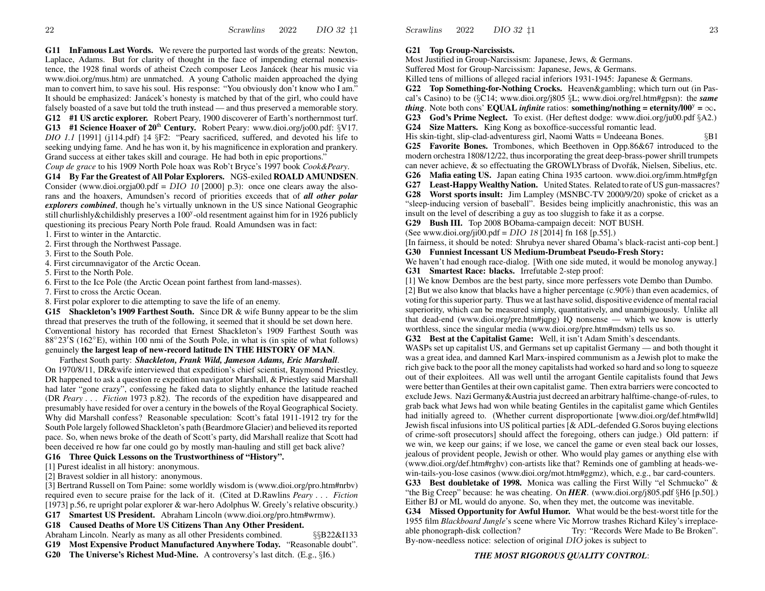**G11 InFamous Last Words.** We revere the purported last words of the greats: Newton, Laplace, Adams. But for clarity of thought in the face of impending eternal nonexistence, the 1928 final words of atheist Czech composer Leos Janácek (hear his music via www.dioi.org/mus.htm) are unmatched. A young Catholic maiden approached the dying man to convert him, to save his soul. His response: "You obviously don't kno w who I am." It should be emphasized: Janácek's honesty is matched by that of the girl, who could have falsely boasted of <sup>a</sup> save but told the truth instead — and thus preserved <sup>a</sup> memorable story. **G12 #1 US arctic explorer.** Robert Peary, 1900 discoverer of Earth's northernmost turf. **G13 #1 Science Hoaxer of <sup>20</sup>**th **Century.** Robert Peary: www.dioi.org/jo00.pdf: §V17. *DIO 1.1* [1991] (j114.pdf) ‡4 §F2: "Peary sacrificed, suffered, and devoted his life to seeking undying fame. And he has won it, by his magnificence in exploration and prankery.

Grand success at either takes skill and courage. He had both in epic proportions."

*Coup de grace* to his 1909 North Pole hoax was Rob't Bryce's 1997 book *Cook&Peary*.

**G14 By Far the Greatest of All Polar Explorers.** NGS-exiled **ROALD AMUNDSEN**. Consider (www.dioi.orgja00.pdf =  $DIO$  10 [2000] p.3): once one clears away the alsorans and the hoaxers, Amundsen's record of priorities exceeds that of *all other polar explorers combined*, though he's virtually unknown in the US since National Geographic still churlishly&childishly preserves a 100<sup>y</sup>-old resentment against him for in 1926 publicly questioning its precious Peary North Pole fraud. Roald Amundsen was in fact:

1. First to winter in the Antarctic.

2. First through the Northwest Passage.

3. First to the South Pole.

4. First circumnavigator of the Arctic Ocean.

5. First to the North Pole.

6. First to the Ice Pole (the Arctic Ocean point farthest from land-masses).

7. First to cross the Arctic Ocean.

8. First polar explorer to die attempting to save the life of an enemy.

**G15 Shackleton's 1909 Farthest South.** Since DR & wife Bunny appear to be the slim thread that preserves the truth of the following, it seemed that it should be set down here. Conventional history has recorded that Ernest Shackleton's 1909 Farthest South was  $88°23'S$  (162°E), within 100 nmi of the South Pole, in what is (in spite of what follows) genuinely **the largest leap of new-record latitude IN THE HISTORY OF MAN**.

Farthest South party: *Shackleton, Frank Wild, Jameson Adams, Eric Marshall*. On 1970/8/11, DR&wife interviewed that expedition's chief scientist, Raymond Priestley. DR happened to ask <sup>a</sup> question re expedition navigator Marshall, & Priestley said Marshall had later "gone crazy", confessing he faked data to slightly enhance the latitude reached (DR *Peary . . . Fiction* 1973 p.82). The records of the expedition have disappeared and presumably have resided for over <sup>a</sup> century in the bowels of the Royal Geographical Society. Why did Marshall confess? Reasonable speculation: Scott's fatal 1911-1912 try for the South Pole largely followed Shackleton's path (Beardmore Glacier) and believed itsreported pace. So, when news broke of the death of Scott's party, did Marshall realize that Scott had been deceived re ho w far one could go by mostly man-hauling and still ge<sup>t</sup> back alive?

### **G16 Three Quick Lessons on the Trustworthiness of "History".**

[1] Purest idealist in all history: anonymous.

[2] Bravest soldier in all history: anonymous.

[3] Bertrand Russell on Tom Paine: some worldly wisdom is (www.dioi.org/pro.htm#nrbv) required even to secure praise for the lack of it. (Cited at D.Rawlins *Peary . . . Fiction* [1973] p.56, re upright polar explorer & war-hero Adolphus W. Greely's relative obscurity.)

**G17 Smartest US President.** Abraham Lincoln (www.dioi.org/pro.htm#wrmw).

### **G18 Caused Deaths of More US Citizens Than Any Other President.**

Abraham Lincoln. Nearly as many as all other Presidents combined. §§B22&I133

**G19 Most Expensive Product Manufactured Anywhere Today.** "Reasonable doubt".

**G20 The Universe's Richest Mud-Mine.** A controversy's last ditch. (E.g., §I6.)

**G21Top Group-Narcissists.**

2022

Scrawlins

Most Justified in Group-Narcissism: Japanese, Jews, & Germans.

Suffered Most for Group-Narcissism: Japanese, Jews, & Germans.

Killed tens of millions of alleged racial inferiors 1931-1945: Japanese & Germans.

**G22Top Something-for-Nothing Crocks.** Heaven&gambling; which turn out (in Pascal's Casino) to be (§C14; www.dioi.org/j805 §L; www.dioi.org/rel.htm#gpsn): the *same thing*. Note both cons' **EQUAL** *infinite* ratios: **something/nothing** = **eternity/l00**<sup>y</sup> =  $\infty$ . **G23 God's Prime Neglect.** To exist. (Her deftest dodge: www.dioi.org/ju00.pdf §A2.) **G24 Size Matters.** King Kong as boxoffice-successful romantic lead.

His skin-tight, slip-clad-adventuress girl, Naomi Watts = Undeeana Bones. §B1 **G25 Favorite Bones.** Trombones, which Beethoven in Opp.86&67 introduced to the

modern orchestra 1808/12/22, thus incorporating the grea<sup>t</sup> deep-brass-power shrill trumpets can never achieve, & so effectuating the GROWLYbrass of Dvořák, Nielsen, Sibelius, etc.

**G26 Mafia eating US.** Japan eating China 1935 cartoon. www.dioi.org/imm.htm#gfgn **G27Least-Happy Wealthy Nation.** United States. Related to rate of US gun-massacres?

**G28 Worst sports insult:** Jim Lampley (MSNBC-TV 2000/9/20) spoke of cricket as <sup>a</sup> "sleep-inducing version of baseball". Besides being implicitly anachronistic, this was aninsult on the level of describing <sup>a</sup> guy as too sluggish to fake it as <sup>a</sup> corpse.

**G29 Bush III.** Top 2008 BObama-campaign deceit: NO TBUSH.

(See www.dioi.org/ji00.pdf = DIO 18 [2014] fn 168 [p.55].)

[In fairness, it should be noted: Shrubya never shared Obama's black-racist anti-cop bent.] **G30 Funniest Incessant US Medium-Drumbeat Pseudo-Fresh Story:**

We haven't had enough race-dialog. [With one side muted, it would be monolog anyway.] **G31 Smartest Race: blacks.** Irrefutable 2-step proof:

[1] We kno w Dembos are the best party, since more perfessers vote Dembo than Dumbo. [2] But we also kno w that blacks have <sup>a</sup> higher percentage (c.90%) than even academics, of voting forthissuperior party. Thus we at last have solid, dispositive evidence of mentalracial

superiority, which can be measured simply, quantitatively, and unambiguously. Unlike all that dead-end (www.dioi.org/pre.htm#jqpg) IQ nonsense — which we kno w is utterly worthless, since the singular media (www.dioi.org/pre.htm#mdsm) tells us so.

**G32 Best at the Capitalist Game:** Well, it isn't Adam Smith's descendants.

WASPs set up capitalist US, and Germans set up capitalist Germany — and both thought it was a grea<sup>t</sup> idea, and damned Karl Marx-inspired communism as <sup>a</sup> Jewish plot to make the rich give back to the poor all the money capitalists had worked so hard and so long to squeeze out of their exploitees. All was well until the arrogan<sup>t</sup> Gentile capitalists found that Jews were better than Gentiles at their own capitalist game. Then extra barriers were concocted to exclude Jews. Nazi Germany&Austria just decreed an arbitrary halftime-change-of-rules, to grab back what Jews had won while beating Gentiles in the capitalist game which Gentiles had initially agreed to. (Whether current disproportionate [www.dioi.org/def.htm#wlld] Jewish fiscal infusions into US political parties [& ADL-defended G.Soros buying elections of crime-soft prosecutors] should affect the foregoing, others can judge.) Old pattern: if we win, we keep our gains; if we lose, we cancel the game or even steal back our losses, jealous of provident people, Jewish or other. Who would play games or anything else with (www.dioi.org/def.htm#rghv) con-artists like that? Reminds one of gambling at heads-wewin-tails-you-lose casinos (www.dioi.org/mot.htm#ggmz), which, e.g., bar card-counters.

**G33 Best doubletake of 1998.** Monica was calling the First Willy "el Schmucko" &"the Big Creep" because: he was cheating. On *HER*. (www.dioi.org/j805.pdf §H6 [p.50].) Either BJ or ML would do anyone. So, when they met, the outcome was inevitable.

**G34 Missed Opportunity for Awful Humor.** What would be the best-worst title for the 1955 film *Blackboard Jungle*'s scene where Vic Morrow trashes Richard Kiley's irreplaceable phonograph-disk collection? Try: "Records Were Made to Be Broken". By-now-needless notice: selection of original DIO jokes is subject to

# *THE MOST RIGOROUS Q UALITY CONTROL*: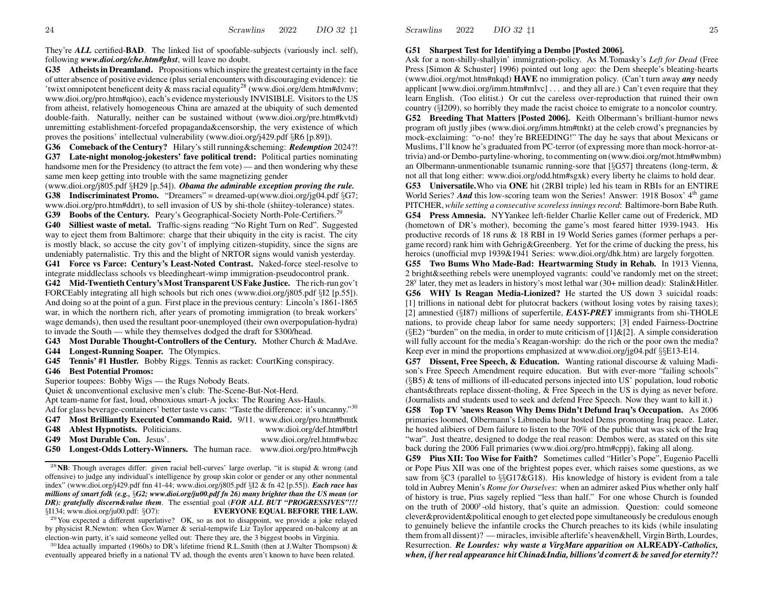They're *ALL* certified-**BAD**. The linked list of spoofable-subjects (variously incl. self), following *www.dioi.org/che.htm#ghst*, will leave no doubt.

**G35 Atheistsin Dreamland.** Propositions which inspire the greatest certainty in the face of utter absence of positive evidence (plusserial encounters with discouraging evidence): tie 'twixt omnipotent beneficent deity & mass racial equality<sup>28</sup> (www.dioi.org/dem.htm#dvmv; www.dioi.org/pro.htm#qioo), each's evidence mysteriously INVISIBLE. Visitorsto the USfrom atheist, relatively homogeneous China are amazed at the ubiquity of such demented double-faith. Naturally, neither can be sustained without (www.dioi.org/pre.htm#kvtd) unremitting establishment-forcefed propaganda&censorship, the very existence of which proves the positions' intellectual vulnerability (www.dioi.org/j429.pdf §R6 [p.89]).

**G36 Comeback of the Century?** Hilary'sstill running&scheming: *Redemption* 2024?!

**G37 Late-night monolog-jokesters' fave political trend:** Political parties nominating handsome men for the Presidency (to attract the fem vote) — and then wondering why these same men keep getting into trouble with the same magnetizing gender

(www.dioi.org/j805.pdf §H29 [p.54]). *Obama the admirable exception proving the rule.* **G38 Indiscriminatest Promo.** "Dreamers" = dreamed-up(www.dioi.org/jg04.pdf §G7; www.dioi.org/pro.htm#ddrt), to sell invasion of US by shi-thole (shiitey-tolerance) states. **G39 Boobs of the Century.** Peary's Geographical-Society North-Pole-Certifiers.<sup>29</sup>

**G40 Silliest waste of metal.** Traffic-signs reading "No Right Turn on Red". Suggested way to eject them from Baltimore: charge that their ubiquity in the city is racist. The city is mostly black, so accuse the city gov't of implying citizen-stupidity, since the signs are undeniably paternalistic. Try this and the blight of NRTOR signs would vanish yesterday.

**G41 Force vs Farce: Century's Least-Noted Contrast.** Naked-force steel-resolve to integrate middleclass schools vs bleedingheart-wimp immigration-pseudocontrol prank.

**G42 Mid-Twentieth Century'sMost Transparent US Fake Justice.** The rich-run gov't FORCEably integrating all high schools but rich ones (www.dioi.org/j805.pdf §I2 [p.55]). And doing so at the point of <sup>a</sup> gun. First place in the previous century: Lincoln's 1861-1865 war, in which the northern rich, after years of promoting immigration (to break workers' wage demands), then used the resultant poor-unemployed (their own overpopulation-hydra) to invade the South — while they themselves dodged the draft for \$300/head.

**G43 Most Durable Thought-Controllers of the Century.** Mother Church & MadAve.

**G44 Longest-Running Soaper.** The Olympics.

**G45 Tennis' #1 Hustler.** Bobby Riggs. Tennis as racket: CourtKing conspiracy.

### **G46 Best Potential Promos:**

Superior toupees: Bobby Wigs — the Rugs Nobody Beats.

Quiet & unconventional exclusive men's club: The-Scene-But-Not-Herd.

Apt team-name for fast, loud, obnoxious smart-A jocks: The Roaring Ass-Hauls.

Ad for glass beverage-containers' better taste vs cans: "Taste the difference: it's uncanny."<sup>30</sup>

- **G47 Most Brilliantly Executed Commando Raid.** 9/11. www.dioi.org/pro.htm#bmtk
- **G48 Ablest Hypnotists.** Politicians. www.dioi.org/def.htm#btrl
- **G49 Most Durable Con.** Jesus'. www.dioi.org/rel.htm#wbzc
- **G50 Longest-Odds Lottery-Winners.** The human race. www.dioi.org/pro.htm#wcjh

**G51 Sharpest Test for Identifying <sup>a</sup> Dembo [Posted 2006].**

Scrawlins

2022

Ask for <sup>a</sup> non-shilly-shallyin' immigration-policy. As M.Tomasky's *Left for Dead* (Free Press [Simon & Schuster] 1996) pointed out long ago: the Dem sheeple's bleating-hearts (www.dioi.org/mot.htm#nkqd) **HAVE** no immigration policy. (Can't turn away *any* needy applicant [www.dioi.org/imm.htm#mlvc] . . . and they all are.) Can't even require that they learn English. (Too elitist.) Or cut the careless over-reproduction that ruined their own country (§I209), so horribly they made the racist choice to emigrate to <sup>a</sup> noncolor country. **G52 Breeding That Matters [Posted 2006].** Keith Olbermann's brilliant-humor news program oft justly jibes (www.dioi.org/imm.htm#tnkt) at the celeb crowd's pregnancies by mock-exclaiming: "o-no! they're BREEDING!" The day he says that about Mexicans or Muslims, I'll kno w he's graduated from PC-terror (of expressing more than mock-horror-attrivia) and-or Dembo-partyline-whoring, to commenting on (www.dioi.org/mot.htm#wmbm) an Olbermann-unmentionable tsunamic running-sore that [§G57] threatens (long-term, &not all that long either: www.dioi.org/odd.htm#sgxk) every liberty he claims to hold dear. **G53 Universatile.**Who via **ONE** hit (2RBI triple) led his team in RBIs for an ENTIRE World Series? *And* this low-scoring team won the Series! Answer: 1918 Bosox' 4<sup>th</sup> game

PITCHER,*while setting <sup>a</sup> consecutive scorelessinningsrecord*: Baltimore-born Babe Ruth. **G54 Press Amnesia.** NYYankee left-fielder Charlie Keller came out of Frederick, MD

(hometown of DR's mother), becoming the game's most feared hitter 1939-1943. His productive records of 18 runs & 18 RBI in 19 World Series games (former perhaps <sup>a</sup> pergame record) rank him with Gehrig&Greenberg. Yet for the crime of ducking the press, his heroics (unofficial mvp 1939&1941 Series: www.dioi.org/dhk.htm) are largely forgotten.

**G55Two Bums Who Made-Bad: Heartwarming Study in Rehab.** In 1913 Vienna, 2 bright&seething rebels were unemployed vagrants: could've randomly met on the street; 28<sup>y</sup> later, they met as leaders in history's most lethal war (30+ million dead): Stalin&Hitler.

**G56 WHY Is Reagan Media-Lionized?** He started the US down 3 suicidal roads: [1] trillions in national debt for plutocrat backers (without losing votes by raising taxes); [2] amnestied (§I87) millions of superfertile, *EASY-PREY* immigrants from shi-THOLE nations, to provide cheap labor for same needy supporters; [3] ended Fairness-Doctrine(§E2) "burden" on the media, in order to mute criticism of [1]&[2]. A simple consideration will fully account for the media's Reagan-worship: do the rich or the poor own the media? Keep ever in mind the proportions emphasized at www.dioi.org/jg04.pdf  $\S$ E13-E14.

**G57 Dissent, Free Speech, & Education.** Wanting rational discourse & valuing Madison's Free Speech Amendment require education. But with ever-more "failing schools" (§B5) & tens of millions of ill-educated persons injected into US' population, loud robotic chants&threats replace dissent-tholing, & Free Speech in the US is dying as never before. (Journalists and students used to seek and defend Free Speech. No w they want to kill it.)

**G58 Top TV 'snews Reason Why Dems Didn't Defund Iraq's Occupation.** As 2006 primaries loomed, Olbermann's Libmedia hour hosted Dems promoting Iraq peace. Later, he hosted alibiers of Dem failure to listen to the 70% of the public that was sick of the Iraq "war". Just theatre, designed to dodge the real reason: Dembos were, as stated on this site back during the 2006 Fall primaries (www.dioi.org/pro.htm#cppj), faking all along.

**G59 Pius XII: Too Wise for Faith?** Sometimes called "Hitler's Pope", Eugenio Pacelli or Pope Pius XII was one of the brightest popes ever, which raises some questions, as we saw from §C3 (parallel to §§G17&G18). His knowledge of history is evident from <sup>a</sup> tale told in Aubrey Menin's *Rome for Ourselves*: when an admirer asked Pius whether only half of history is true, Pius sagely replied "less than half." For one whose Church is founded on the truth of 2000<sup>y</sup>-old history, that's quite an admission. Question: could someone clever&provident&political enough to ge<sup>t</sup> elected pope simultaneously be credulous enough to genuinely believe the infantile crocks the Church preaches to its kids (while insulating them from all dissent)? —miracles, invisible afterlife's heaven&hell, VirginBirth, Lourdes, Resurrection. *Re Lourdes: why waste a VirgMare apparition on* **ALREAD Y***-Catholics, when, if herreal appearance hitChina&India, billions'd convert & be saved for eternity?!*

<sup>28</sup>**NB**: Though averages differ: given racial bell-curves' large overlap, "it is stupid & wrong (and offensive) to judge any individual's intelligence by group skin color or gender or any other nonmental index" (www.dioi.org/j429.pdf fnn 41-44; www.dioi.org/j805.pdf §I2 & fn 42 [p.55]). *Each race has millions of smart folk (e.g.,* §*G2; www.dioi.org/ju00.pdf fn 26) many brighter than the US mean (or DR): gratefully discern&value them*. The essential goal (*FOR ALL BUT "PROGRESSIVES"!!!*  $\S$ I134; www.dioi.org/ju00.pdf:  $\S$ O7): **UAL BEFORE THE LAW.**

<sup>&</sup>lt;sup>29</sup> You expected a different superlative? OK, so as not to disappoint, we provide a joke relayed by physicist R.Newton: when Gov.Warner & serial-tempwife Liz Taylor appeared on-balcony at an election-win party, it's said someone yelled out: There they are, the 3 biggest boobs in Virginia.

<sup>&</sup>lt;sup>30</sup>Idea actually imparted (1960s) to DR's lifetime friend R.L.Smith (then at J.Walter Thompson) & eventually appeared briefly in <sup>a</sup> national TV ad, though the events aren't known to have been related.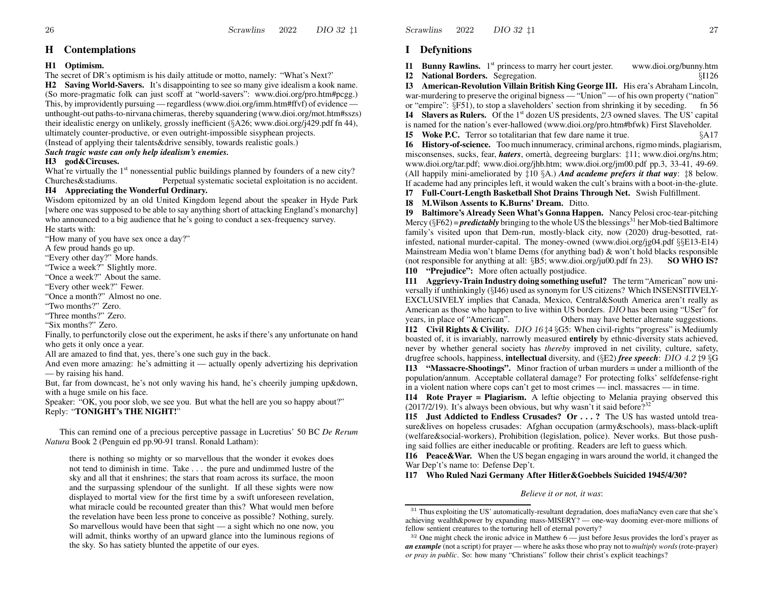26

### **H Contemplations**

#### **H1 Optimism.**

The secret of DR's optimism is his daily attitude or motto, namely: "What's Next?'

**H2 Saving World-Savers.** It's disappointing to see so many give idealism <sup>a</sup> kook name. (So more-pragmatic folk can just scoff at "world-savers": www.dioi.org/pro.htm#pcgg.) This, by improvidently pursuing — regardless (www.dioi.org/imm.htm#ffvf) of evidence unthought-out paths-to-nirvana chimeras, thereby squandering (www.dioi.org/mot.htm#sszs) their idealistic energy on unlikely, grossly inefficient (§A26; www.dioi.org/j429.pdf fn 44), ultimately counter-productive, or even outright-impossible sisyphean projects.

(Instead of applying their talents&drive sensibly, to wards realistic goals.)

### *Suc h tragic waste can only help idealism's enemies.*

### **H3 god&Circuses.**

What're virtually the 1<sup>st</sup> nonessential public buildings planned by founders of a new city? Churches&stadiums.Perpetual systematic societal exploitation is no accident.

#### **H4 Appreciating the Wonderful Ordinary.**

Wisdom epitomized by an old United Kingdom legend about the speaker in Hyde Park [where one was supposed to be able to say anything short of attacking England's monarchy] who announced to <sup>a</sup> big audience that he's going to conduct <sup>a</sup> sex-frequency survey. He starts with:

"Ho w many of you have sex once <sup>a</sup> day?"

A fe w proud hands go up.

"Every other day?" More hands.

"Twice <sup>a</sup> week?" Slightly more.

"Once <sup>a</sup> week?" About the same.

"Every other week?" Fewer.

"Once <sup>a</sup> month?" Almost no one.

"Two months?" Zero.

"Three months?" Zero.

"Six months?" Zero.

Finally, to perfunctorily close out the experiment, he asks if there's any unfortunate on hand who gets it only once <sup>a</sup> year.

All are amazed to find that, yes, there's one such guy in the back.

And even more amazing: he's admitting it — actually openly advertizing his deprivation — by raising his hand.

But, far from downcast, he's not only waving his hand, he's cheerily jumping up&down, with <sup>a</sup> huge smile on his face.

Speaker: "OK, you poor slob, we see you. But what the hell are you so happy about?" Reply: "**TONIGHT's THE NIGHT!**"

This can remind one of <sup>a</sup> precious perceptive passage in Lucretius' 50 BC *De Rerum Natura* Book 2 (Penguin ed pp.90-91 transl. Ronald Latham):

there is nothing so mighty or so marvellous that the wonder it evokes does not tend to diminish in time. Take . . . the pure and undimmed lustre of the sky and all that it enshrines; the stars that roam across its surface, the moon and the surpassing splendour of the sunlight. If all these sights were no w displayed to mortal vie w for the first time by <sup>a</sup> swift unforeseen revelation, what miracle could be recounted greater than this? What would men before the revelation have been less prone to conceive as possible? Nothing, surely. So marvellous would have been that sight — <sup>a</sup> sight which no one no w, you will admit, thinks worthy of an upward glance into the luminous regions of the sky. So has satiety blunted the appetite of our eyes.

Scrawlins 20222 DIO 32  $\sharp$ 1 27

### **I Defynitions**

**I1 Bunny Rawlins.** 1<sup>st</sup> princess to marry her court jester. www.dioi.org/bunny.htm **I2 National Borders.** Segregation. §I126

**I3 American-RevolutionVillain British King George III.** His era's Abraham Lincoln, war-murdering to preserve the original bigness — "Union" — of his own property ("nation" or "empire": §F51), to stop a slaveholders' section from shrinking it by seceding. fn 56 **I4** Slavers as Rulers. Of the 1<sup>st</sup> dozen US presidents, 2/3 owned slaves. The US' capital is named for the nation's ever-hallowed (www.dioi.org/pro.htm#bfwk) First Slaveholder.

**I5** Woke P.C. Terror so totalitarian that few dare name it true.  $\S$ A17

**I6 History-of-science.** Toomuch innumeracy, criminal archons, rigmominds, plagiarism, misconsenses, sucks, fear, *haters*, omertà, degreeing burglars:  $\pm 11$ ; www.dioi.org/ns.htm; www.dioi.org/tar.pdf; www.dioi.org/jhb.htm; www.dioi.org/jm00.pdf pp.3, 33-41, 49-69. (All happily mini-ameliorated by ‡10 §A.) *And academe prefers it that way*: ‡8 belo w. If academe had any principles left, it would waken the cult's brains with <sup>a</sup> boot-in-the-glute.

**I7 Full-Court-Length Basketball Shot Drains Through Net.** Swish Fulfillment.

**I8 M.Wilson Assents to K.Burns' Dream.** Ditto.

**I9 Baltimore's Already Seen What's Gonna Happen.** Nancy Pelosi croc-tear-pitching Mercy (§F62) = *predictably* bringing to the whole US the blessings<sup>31</sup> her Mob-tied Baltimore family's visited upon that Dem-run, mostly-black city, no w (2020) drug-besotted, ratinfested, national murder-capital. The money-owned (www.dioi.org/jg04.pdf §§E13-E14) Mainstream Media won't blame Dems (for anything bad) & won't hold blacks responsible (not responsible for anything at all: §B5; www.dioi.org/ju00.pdf fn 23). **SO WHO IS? I10 "Prejudice":** More often actually postjudice.

**I11 Aggrievy-Train Industry doing something useful?** The term "American" no w universally if unthinkingly (§I46) used as synonym for US citizens? Which INSENSITIVELY-EXCLUSIVELY implies that Canada, Mexico, Central&South America aren't really as American as those who happen to live within US borders. DIO has been using "USer" for years, in place of "American". Others may have better alternate suggestions. **I12 Civil Rights & Civility.** DIO 16 ‡4 §G5: When civil-rights "progress" is Mediumly boasted of, it is invariably, narrowly measured **entirely** by ethnic-diversity stats achieved, never by whether general society has *thereby* improved in net civility, culture, safety, drugfree schools, happiness, **intellectual** diversity, and (§E2) *free speec h*: DIO 4.2 ‡9 §G **I13 "Massacre-Shootings".** Minor fraction of urban murders = under <sup>a</sup> millionth of the population/annum. Acceptable collateral damage? For protecting folks' selfdefense-right

in <sup>a</sup> violent nation where cops can't ge<sup>t</sup> to most crimes — incl. massacres — in time.

**I14 Rote Prayer = Plagiarism.** A leftie objecting to Melania praying observed this (2017/2/19). It's always been obvious, but why wasn't it said before?<sup>32</sup>

**I15 Just Addicted to Endless Crusades? Or . . . ?** The US has wasted untold treasure&lives on hopeless crusades: Afghan occupation (army&schools), mass-black-uplift (welfare&social-workers), Prohibition (legislation, police). Never works. But those pushing said follies are either ineducable or profiting. Readers are left to guess which.

**I16 Peace&War.** When the US began engaging in wars around the world, it changed the War Dep't's name to: Defense Dep't.

**I17 Who Ruled Nazi Germany After Hitler&Goebbels Suicided 1945/4/30?**

*Believe it or not, it was*:

 $31$  Thus exploiting the US' automatically-resultant degradation, does mafiaNancy even care that she's achieving wealth&power by expanding mass-MISERY? — one-way dooming ever-more millions of fellow sentient creatures to the torturing hell of eternal poverty?

 $32$  One might check the ironic advice in Matthew  $6$  — just before Jesus provides the lord's prayer as *an example* (not <sup>a</sup> script) for prayer — where he asksthose who pray not to *multiply words*(rote-prayer) *or pray in public*. So: ho w many "Christians" follo w their christ's explicit teachings?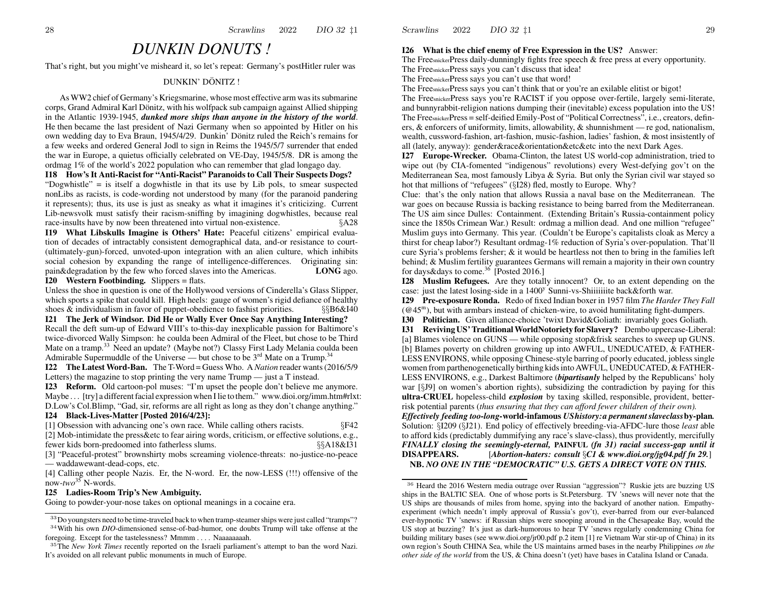# *DUNKIN DONUTS !*

That's right, but you might've misheard it, so let's repeat: Germany's postHitler ruler was

### DUNKIN' DÖNITZ !

As WW2 chief of Germany's Kriegsmarine, whose most effective arm wasitssubmarine corps, Grand Admiral Karl Dönitz, with his wolfpack sub campaign against Allied shipping in the Atlantic 1939-1945, *dunked more ships than anyone in the history of the world*. He then became the last president of Nazi Germany when so appointed by Hitler on his own wedding day to Eva Braun, 1945/4/29. Dunkin' Dönitz ruled the Reich's remains for a fe w weeks and ordered General Jodl to sign in Reims the 1945/5/7 surrender that ended the war in Europe, <sup>a</sup> quietus officially celebrated on VE-Day, 1945/5/8. DR is among the ordmag 1% of the world's 2022 population who can remember that glad longago day.

**I18 How's It Anti-Racist for "Anti-Racist" Paranoids to Call Their Suspects Dogs?** "Dogwhistle" = is itself <sup>a</sup> dogwhistle in that its use by Lib pols, to smear suspected nonLibs as racists, is code-wording not understood by many (for the paranoid pandering it represents); thus, its use is just as sneaky as what it imagines it's criticizing. Current Lib-newsvolk must satisfy their racism-sniffing by imagining dogwhistles, because real race-insults have by now been threatened into virtual non-existence.  $\S A28$ 

**I19 What Libskulls Imagine is Others' Hate:** Peaceful citizens' empirical evaluation of decades of intractably consistent demographical data, and-or resistance to court- (ultimately-gun)-forced, unvoted-upon integration with an alien culture, which inhibits social cohesion by expanding the range of intelligence-differences. Originating sin: pain&degradation by the few who forced slaves into the Americas. **LONG** LONG ago.

#### **I20 Wester n Footbinding.** Slippers = flats.

Unless the shoe in question is one of the Hollywood versions of Cinderella's Glass Slipper, which sports <sup>a</sup> spike that could kill. High heels: gauge of women's rigid defiance of healthy shoes & individualism in favor of puppet-obedience to fashist priorities.  $\S$ §B6&I40

**I21 The Jerk of Windsor. Did He or Wally Ever Once Say Anything Interesting?**

Recall the deft sum-up of Edward VIII's to-this-day inexplicable passion for Baltimore's twice-divorced Wally Simpson: he coulda been Admiral of the Fleet, but chose to be Third Mate on a tramp.<sup>33</sup> Need an update? (Maybe not?) Classy First Lady Melania coulda been Admirable Supermuddle of the Universe — but chose to be  $3<sup>rd</sup>$  Mate on a Trump.<sup>34</sup>

**I22 TheLatest Word-Ban.** The T-Word = Guess Who. A *Nation* reader wants(2016/5/9 Letters) the magazine to stop printing the very name Trump — just <sup>a</sup> T instead.

**I23 Reform.** Old cartoon-pol muses: "I'm upse<sup>t</sup> the people don't believe me anymore. Maybe . . . [try] a different facial expression when I lie to them." www.dioi.org/imm.htm#rlxt: D.Low's Col.Blimp, "Gad, sir, reforms are all right as long as they don't change anything."

### **I24 Black-Lives-Matter [Posted 2016/4/23]:**

[1] Obsession with advancing one's own race. While calling others racists. §F42 [2] Mob-intimidate the press&etc to fear airing words, criticism, or effective solutions, e.g., fewer kids born-predoomed into fatherless slums. §§A18&I31

[3] "Peaceful-protest" brownshirty mobs screaming violence-threats: no-justice-no-peace —waddawe want-dead-cops, etc.

 [4] Calling other people Nazis. Er, the N-word. Er, the now-LESS (!!!) offensive of the now-*two*<sup>35</sup> N-words.

#### **I25 Ladies-Room Trip's New Ambiguity.**

Going to powder-your-nose takes on optional meanings in <sup>a</sup> cocaine era.

Scrawlins 20222 DIO  $32 \text{ } \frac{1}{4}1$  29

#### **I26 What is the chief enemy of Free Expression in the US?** Answer:

The FreesnickerPress daily-dunningly fights free speech & free press at every opportunity.

The FreesnickerPress says you can't discuss that idea! The FreesnickerPress says you can't use that word!

The FreesnickerPress says you can't think that or you're an exilable elitist or bigot!

The FreesnickerPress says you're RACIST if you oppose over-fertile, largely semi-literate, and bunnyrabbit-religion nations dumping their (inevitable) excess population into the US! The FreesnickerPress = self-deified Emily-Post of "Political Correctness", i.e., creators, definers, & enforcers of uniformity, limits, allo wability, & shunnishment — re god, nationalism, wealth, cussword-fashion, art-fashion, music-fashion, ladies' fashion, & most insistently of all (lately, anyway): gender&race&orientation&etc&etc into the next Dark Ages.

**I27 Europe-Wrecker.** Obama-Clinton, the latest US world-cop administration, tried to wipe out (by CIA-fomented "indigenous" revolutions) every West-defying gov't on the Mediterranean Sea, most famously Libya & Syria. But only the Syrian civil war stayed so hot that millions of "refugees" (§I28) fled, mostly to Europe. Why?

Clue: that's the only nation that allows Russia <sup>a</sup> naval base on the Mediterranean. The war goes on because Russia is backing resistance to being barred from the Mediterranean. The US aim since Dulles: Containment. (Extending Britain's Russia-containment policy since the 1850s Crimean War.) Result: ordmag a million dead. And one million "refugee" Muslim guys into Germany. This year. (Couldn't be Europe's capitalists cloak as Mercy <sup>a</sup> thirst for cheap labor?) Resultant ordmag-1% reduction of Syria's over-population. That'll cure Syria's problems fersher; & it would be heartless not then to bring in the families left behind; & Muslim fertility guarantees Germans will remain <sup>a</sup> majority in their own country for days&days to come.<sup>36</sup> [Posted 2016.]

**I28 Muslim Refugees.** Are they totally innocent? Or, to an extent depending on the case: just the latest losing-side in a 1400<sup>y</sup> Sunni-vs-Shiiiiiiite back&forth war.

**I29 Pre-exposure Ronda.** Redo of fixed Indian boxer in 1957 film *The Harder They Fall*  $(\mathcal{Q}45^m)$ , but with armbars instead of chicken-wire, to avoid humilitating fight-dumpers.

**I30 Politician.** Given alliance-choice 'twixt David&Goliath: invariably goes Goliath.

**I31 Reviving US' Traditional WorldNotoriety for Slavery?** Dembo uppercase-Liberal: [a] Blames violence on GUNS — while opposing stop&frisk searches to sweep up GUNS. [b] Blames poverty on children growing up into AWFUL, UNEDUCATED, & FATHER-LESS ENVIRONS, while opposing Chinese-style barring of poorly educated, jobless single women from parthenogenetically birthing kidsinto AWFUL, UNEDUCATED, & FATHER-LESS ENVIRONS, e.g., Darkest Baltimore (*bipartisanly* helped by the Republicans' holy war [§J9] on women's abortion rights), subsidizing the contradiction by paying for this **ultra-CRUEL** hopeless-child *explosion* by taxing skilled, responsible, provident, betterrisk potential parents (*thus ensuring that they can afford fewer children of their own).*

*Effectively feeding too-long-***world-infamous** *UShistory:a permanentslaveclass***by-plan***.* Solution: §I209 (§J21). End policy of effectively breeding-via-AFDC-lure those *least* able to afford kids (predictably dummifying any race's slave-class), thus providently, mercifully *FINALL Y closing the seemingly-eternal,* **PAINFUL** *(fn 31) racial success-gap until it* **DISAPPEARS.** [*Abortion-haters: consult* §*C1 & www.dioi.org/jg04.pdf fn 29.*] **NB.** *NO ONE IN THE "DEMOCRATIC" U.S. GETS A DIRECT VOTE ON THIS.*

 $33D$ o youngsters need to be time-traveled back to when tramp-steamer ships were just called "tramps"? 34 With his own *DIO*-dimensioned sense-of-bad-humor, one doubts Trump will take offense at the foregoing. Except for the tastelessness? Mmmm . . . . Naaaaaaaah.

<sup>35</sup>The *Ne w York Times* recently reported on the Israeli parliament's attempt to ban the word Nazi. It's avoided on all relevant public monuments in much of Europe.

<sup>&</sup>lt;sup>36</sup> Heard the 2016 Western media outrage over Russian "aggression"? Ruskie jets are buzzing US ships in the BALTIC SEA. One of whose ports is St.Petersburg. TV 'snews will never note that the US ships are thousands of miles from home, spying into the backyard of another nation. Empathyexperiment (which needn't imply approval of Russia's gov't), ever-barred from our ever-balanced ever-hypnotic TV 'snews: if Russian ships were snooping around in the Chesapeake Bay, would the US stop at buzzing? It's just as dark-humorous to hear TV 'snews regularly condemning China for building military bases (see www.dioi.org/jr00.pdf p.2 item [1] re Vietnam War stir-up of China) in its own region's South CHINA Sea, while the US maintains armed bases in the nearby Philippines *on the other side of the world* from the US, & China doesn't (yet) have bases in Catalina Island or Canada.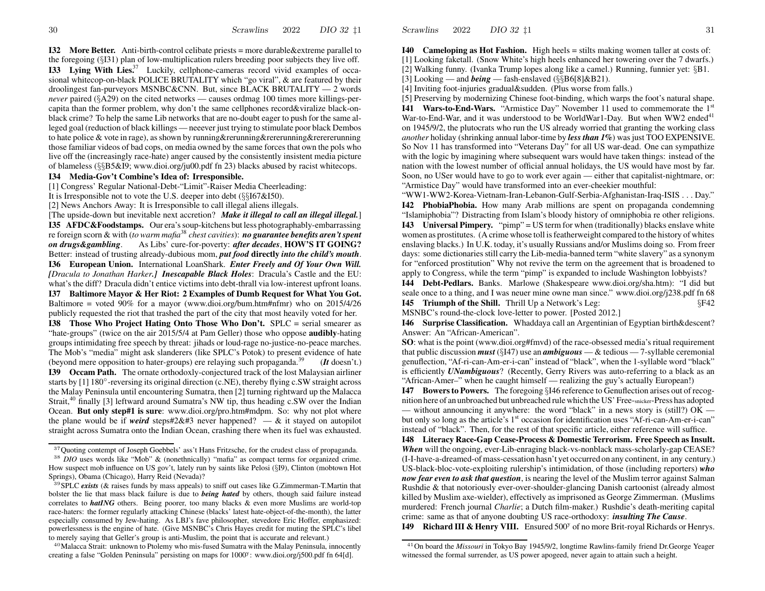**I32** More Better. Anti-birth-control celibate priests = more durable & extreme parallel to the foregoing  $(\S131)$  plan of low-multiplication rulers breeding poor subjects they live off. **133** Lying With Lies<sup>37</sup> Luckily, cellphone-cameras record vivid examples of occasional whitecop-on-black POLICE BRUTALITY which "go viral", & are featured by their droolingest fan-purveyors MSNBC&CNN. But, since BLACK BRUTALITY — 2 words *never* paired ( $\S$ A29) on the cited networks — causes ordmag 100 times more killings-percapita than the former problem, why don't the same cellphones record&viralize black-onblack crime? To help the same Lib networks that are no-doubt eager to push for the same alleged goal (reduction of black killings — neeever just trying to stimulate poor black Dembos to hate police & vote in rage), as shown by running & rerunning & rererunning  $\&$  rerererunning those familiar videos of bad cops, on media owned by the same forces that own the pols who live off the (increasingly race-hate) anger caused by the consistently insistent media picture of blameless  $(\S_{\S}B5\&I9 www.dioi.org/ju00.pdf$  fn 23) blacks abused by racist whitecops.

### I34 Media-Gov't Combine's Idea of: Irresponsible.

[1] Congress' Regular National-Debt-"Limit"-Raiser Media Cheerleading:

It is Irresponsible not to vote the U.S. deeper into debt  $(\S\S167\&150)$ .

[2] News Anchors Away: It is Irresponsible to call illegal aliens illegals.

[The upside-down but inevitable next accretion? Make it illegal to call an illegal illegal.] **I35 AFDC&Foodstamps.** Our era's soup-kitchens but less photographably-embarrassing re foreign scorn & with (to warm mafia<sup>38</sup> chest cavities): **no guarantee benefits aren't spent** on drugs&gambling. As Libs' cure-for-poverty: after decades, HOW'S IT GOING? Better: instead of trusting already-dubious mom, put food directly into the child's mouth. 136 European Union. International LoanShark. Enter Freely and Of Your Own Will. [Dracula to Jonathan Harker.] Inescapable Black Holes: Dracula's Castle and the EU: what's the diff? Dracula didn't entice victims into debt-thrall via low-interest upfront loans.

137 Baltimore Mayor & Her Riot: 2 Examples of Dumb Request for What You Got. Baltimore = voted  $90\%$  for a mayor (www.dioi.org/bum.htm#nfmr) who on 2015/4/26 publicly requested the riot that trashed the part of the city that most heavily voted for her.

**138** Those Who Project Hating Onto Those Who Don't. SPLC = serial smearer as "hate-groups" (twice on the air 2015/5/4 at Pam Geller) those who oppose **audibly**-hating groups intimidating free speech by threat: jihads or loud-rage no-justice-no-peace marches. The Mob's "media" might ask slanderers (like SPLC's Potok) to present evidence of hate (beyond mere opposition to hater-groups) ere relaying such propaganda.<sup>39</sup>  $(It doesn't.)$ **139 Occam Path.** The ornate orthodoxly-conjectured track of the lost Malaysian airliner starts by  $[1] 180^\circ$ -reversing its original direction (c.NE), thereby flying c.SW straight across the Malay Peninsula until encountering Sumatra, then [2] turning rightward up the Malacca Strait,<sup>40</sup> finally [3] leftward around Sumatra's NW tip, thus heading c.SW over the Indian Ocean. But only step#1 is sure: www.dioi.org/pro.htm#mdpm. So: why not plot where the plane would be if weird steps#2&#3 never happened?  $-\&$  it stayed on autopilot straight across Sumatra onto the Indian Ocean, crashing there when its fuel was exhausted.

<sup>40</sup>Malacca Strait: unknown to Ptolemy who mis-fused Sumatra with the Malay Peninsula, innocently creating a false "Golden Peninsula" persisting on maps for 1000<sup>y</sup>: www.dioi.org/j500.pdf fn 64[d].

140 Cameloping as Hot Fashion. High heels  $=$  stilts making women taller at costs of: [1] Looking faketall. (Snow White's high heels enhanced her towering over the 7 dwarfs.)

[2] Walking funny. (Ivanka Trump lopes along like a camel.) Running, funnier yet: §B1.

[3] Looking — and *being* — fash-enslaved  $(\S\S B6[8] \& B21)$ .

[4] Inviting foot-injuries gradual & sudden. (Plus worse from falls.)

[5] Preserving by modernizing Chinese foot-binding, which warps the foot's natural shape. **141 Wars-to-End-Wars.** "Armistice Day" November 11 used to commemorate the 1<sup>st</sup> War-to-End-War, and it was understood to be WorldWar1-Day. But when WW2 ended<sup>41</sup> on 1945/9/2, the plutocrats who run the US already worried that granting the working class *another* holiday (shrinking annual labor-time by less than 1%) was just TOO EXPENSIVE. So Nov 11 has transformed into "Veterans Day" for all US war-dead. One can sympathize with the logic by imagining where subsequent wars would have taken things: instead of the nation with the lowest number of official annual holidays, the US would have most by far. Soon, no USer would have to go to work ever again — either that capitalist-nightmare, or: "Armistice Day" would have transformed into an ever-cheekier mouthful:

"WW1-WW2-Korea-Vietnam-Iran-Lebanon-Gulf-Serbia-Afghanistan-Iraq-ISIS ... Day." 142 PhobiaPhobia. How many Arab millions are spent on propaganda condemning "Islamiphobia"? Distracting from Islam's bloody history of omniphobia re other religions. **143** Universal Pimpery. "pimp" = US term for when (traditionally) blacks enslave white women as prostitutes. (A crime whose toll is featherweight compared to the history of whites enslaving blacks.) In U.K. today, it's usually Russians and/or Muslims doing so. From freer days: some dictionaries still carry the Lib-media-banned term "white slavery" as a synonym for "enforced prostitution" Why not revive the term on the agreement that is broadened to apply to Congress, while the term "pimp" is expanded to include Washington lobbyists?

144 Debt-Pedlars. Banks. Marlowe (Shakespeare www.dioi.org/sha.htm): "I did but seale once to a thing, and I was neuer mine owne man since." www.dioi.org/j238.pdf fn 68 145 Triumph of the Shill. Thrill Up a Network's Leg:  $\S{F42}$ 

MSNBC's round-the-clock love-letter to power. [Posted 2012.]

**146** Surprise Classification. Whaddaya call an Argentinian of Egyptian birth & descent? Answer: An "African-American".

**SO:** what is the point (www.dioi.org#fmvd) of the race-obsessed media's ritual requirement that public discussion *must* (§147) use an *ambiguous* — & tedious — 7-syllable ceremonial genuffection, "Af-ri-can-Am-er-i-can" instead of "black", when the 1-syllable word "black" is efficiently *UNambiguous*? (Recently, Gerry Rivers was auto-referring to a black as an "African-Amer-" when he caught himself — realizing the guy's actually European!)

**147 Bowers to Powers.** The foregoing §146 reference to Genuflection arises out of recognition here of an unbroached but unbreached rule which the US' Free-snicker-Press has adopted — without announcing it anywhere: the word "black" in a news story is (still?)  $OK$  but only so long as the article's 1<sup>st</sup> occasion for identification uses "Af-ri-can-Am-er-i-can" instead of "black". Then, for the rest of that specific article, either reference will suffice.

**148** Literacy Race-Gap Cease-Process & Domestic Terrorism. Free Speech as Insult. **When** will the ongoing, ever-Lib-enraging black-vs-nonblack mass-scholarly-gap CEASE? (I-I-have-a-dreamed-of mass-cessation hasn't yet occurred on any continent, in any century.) US-black-bloc-vote-exploiting rulership's intimidation, of those (including reporters)  $who$ now fear even to ask that question, is nearing the level of the Muslim terror against Salman Rushdie & that notoriously ever-over-shoulder-glancing Danish cartoonist (already almost killed by Muslim axe-wielder), effectively as imprisoned as George Zimmerman. (Muslims murdered: French journal Charlie; a Dutch film-maker.) Rushdie's death-meriting capital crime: same as that of anyone doubting US race-orthodoxy: *insulting The Cause*.

**149 Richard III & Henry VIII.** Ensured 500<sup>y</sup> of no more Brit-royal Richards or Henrys.

<sup>&</sup>lt;sup>37</sup>Ouoting contempt of Joseph Goebbels' ass't Hans Fritzsche, for the crudest class of propaganda.

<sup>&</sup>lt;sup>38</sup> DIO uses words like "Mob" & (nonethnically) "mafia" as compact terms for organized crime. How suspect mob influence on US gov't, lately run by saints like Pelosi (§19), Clinton (mobtown Hot Springs), Obama (Chicago), Harry Reid (Nevada)?

<sup>&</sup>lt;sup>39</sup> SPLC *exists* (& raises funds by mass appeals) to sniff out cases like G.Zimmerman-T.Martin that bolster the lie that mass black failure is due to *being hated* by others, though said failure instead correlates to **hatING** others. Being poorer, too many blacks & even more Muslims are world-top race-haters: the former regularly attacking Chinese (blacks' latest hate-object-of-the-month), the latter especially consumed by Jew-hating. As LBJ's fave philosopher, stevedore Eric Hoffer, emphasized: powerlessness is the engine of hate. (Give MSNBC's Chris Hayes credit for muting the SPLC's libel to merely saying that Geller's group is anti-Muslim, the point that is accurate and relevant.)

 $41$ On board the Missouri in Tokyo Bay 1945/9/2, longtime Rawlins-family friend Dr. George Yeager witnessed the formal surrender, as US power apogeed, never again to attain such a height.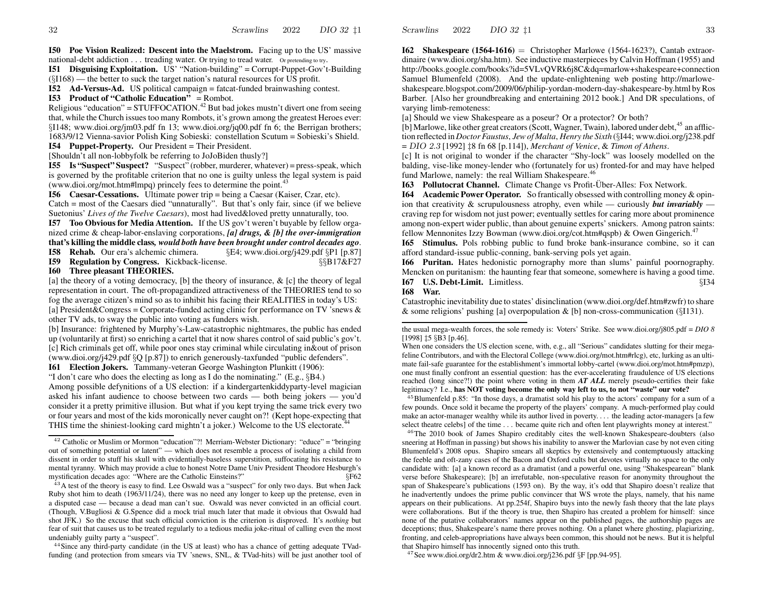**I50 Poe Vision Realized: Descent into the Maelstrom.** Facing up to the US' massive national-debt addiction . . . treading water. Or trying to tread water. Or pretending to try.

**I51 Disguising Exploitation.** US' "Nation-building" = Corrupt-Puppet-Gov't-Building (§I168) — the better to suck the target nation's natural resources for US profit.

**I52 Ad-Versus-Ad.** US political campaign = fatcat-funded brainwashing contest.

### **I53 Product of "Catholic Education"** = Rombot.

Religious "education" = STUFFOCATION.<sup>42</sup> But bad jokes mustn't divert one from seeing that, while the Church issues too many Rombots, it's grown among the greatest Heroes ever: §I148; www.dioi.org/jm03.pdf fn 13; www.dioi.org/jq00.pdf fn 6; the Berrigan brothers; 1683/9/12 Vienna-savior Polish King Sobieski: constellation Scutum = Sobieski's Shield. **I54 Puppet-Property.** Our President = Their President.

[Shouldn't all non-lobbyfolk be referring to JoJoBiden thusly?]

**I55 Is "Suspect" Suspect?** "Suspect" (robber, murderer, whatever) = press-speak, which is governed by the profitable criterion that no one is guilty unless the legal system is paid (www.dioi.org/mot.htm#lmpq) princely fees to determine the point.<sup>43</sup>

**I56** Caesar-Cessations. Ultimate power trip = being a Caesar (Kaiser, Czar, etc). Catch= most of the Caesars died "unnaturally". But that's only fair, since (if we believe Suetonius' *Lives of the Twelve Caesars*), most had lived&loved pretty unnaturally, too.

**I57Too Obvious for Media Attention.** If the US gov't weren't buyable by fello w organized crime & cheap-labor-enslaving corporations, *[a] drugs, & [b] the over-immigration* **that's killing the middle class***, would both have been brought under control decades ago*.

**I58 Rehab.** Our era's alchemic chimera.  $\S E4$ ; www.dioi.org/j429.pdf  $\S P1$  [p.87]

**I59Regulation by Congress.** Kickback-license.  $§$ §B17&F27

### **I60 Three pleasant THEORIES.**

[a] the theory of <sup>a</sup> voting democracy, [b] the theory of insurance, & [c] the theory of legal representation in court. The oft-propagandized attractiveness of the THEORIES tend to so fog the average citizen's mind so as to inhibit his facing their REALITIES in today's US: [a] President&Congress = Corporate-funded acting clinic for performance on TV 'snews &other TV ads, to sway the public into voting as funders wish.

[b] Insurance: frightened by Murphy's-Law-catastrophic nightmares, the public has ended up (voluntarily at first) so enriching <sup>a</sup> cartel that it no w shares control of said public's gov't. [c] Rich criminals ge<sup>t</sup> off, while poor ones stay criminal while circulating in&out of prison (www.dioi.org/j429.pdf §Q [p.87]) to enrich generously-taxfunded "public defenders".

**I61 Election Jokers.** Tammany-veteran George Washington Plunkitt (1906):

"I don't care who does the electing as long as I do the nominating." (E.g., §B4.) Among possible defynitions of <sup>a</sup> US election: if <sup>a</sup> kindergartenkiddyparty-level magician asked his infant audience to choose between two cards — both being jokers — you'd consider it <sup>a</sup> pretty primitive illusion. But what if you kept trying the same trick every two or four years and most of the kids moronically never caught on?! (Kept hope-expecting that THIS time the shiniest-looking card mightn't a joker.) Welcome to the US electorate.<sup>44</sup>

 $44$ Since any third-party candidate (in the US at least) who has a chance of getting adequate TVadfunding (and protection from smears via TV 'snews, SNL, & TVad-hits) will be just another tool of

**I62 Shakespeare (1564-1616)** = Christopher Marlowe (1564-1623?), Cantab extraordinaire (www.dioi.org/sha.htm). See inductive masterpieces by Calvin Hoffman (1955) and http://books.google.com/books?id=5VLvQVRk6j8C&dq=marlow+shakespeare+connection Samuel Blumenfeld (2008). And the update-enlightening web posting http://marloweshakespeare.blogspot.com/2009/06/philip-yordan-modern-day-shakespeare-by.html byRos Barber. [Also her groundbreaking and entertaining 2012 book.] And DR speculations, of varying limb-remoteness:

[a] Should we vie w Shakespeare as <sup>a</sup> poseur? Or <sup>a</sup> protector? Or both?

Scrawlins

2022

[b] Marlowe, like other great creators (Scott, Wagner, Twain), labored under debt, <sup>45</sup> an affliction reflected in *Doctor Faustus*, *Jewof Malta*, *Henry the Sixth* (§I44; www.dioi.org/j238.pdf = DIO 2.3 [1992] ‡8 fn 68 [p.114]), *Merchant of Venice*, & *Timon of Athens*.

[c] It is not original to wonder if the character "Shy-lock" was loosely modelled on the balding, vise-like money-lender who (fortunately for us) fronted-for and may have helped fund Marlowe, namely: the real William Shakespeare.<sup>46</sup>

**I63** Pollutocrat Channel. Climate Change vs Profit-Über-Alles: Fox Network.

**I64 Academic Power Operator.** So frantically obsessed with controlling money & opinion that creativity & scrupulousness atrophy, even while — curiously *but invariably* craving rep for wisdom not just power; eventually settles for caring more about prominence among non-expert wider public, than about genuine experts' snickers. Among patron saints: fellow Mennonites Izzy Bowman (www.dioi.org/cot.htm#qspb) & Owen Gingerich.<sup>47</sup>

**I65 Stimulus.** Pols robbing public to fund broke bank-insurance combine, so it can afford standard-issue public-conning, bank-serving pols ye<sup>t</sup> again.

**I66 Puritan.** Hates hedonistic pornography more than slums' painful poornography. Mencken on puritanism: the haunting fear that someone, somewhere is having <sup>a</sup> good time. **I67 U.S. Debt-Limit.** Limitless. §I34 **I68War.**

Catastrophic inevitability due to states' disinclination (www.dioi.org/def.htm#zwfr)to share & some religions' pushing [a] overpopulation & [b] non-cross-communication (§I131).

 $45$ Blumenfeld p.85: "In those days, a dramatist sold his play to the actors' company for a sum of a few pounds. Once sold it became the property of the players' company. A much-performed play could make an actor-manager wealthy while its author lived in poverty. . . . the leading actor-managers [a fe w select theatre celebs] of the time . . . became quite rich and often lent playwrights money at interest."

<sup>46</sup>The 2010 book of James Shapiro creditably cites the well-known Shakespeare-doubters (also sneering at Hoffman in passing) but shows his inability to answer the Marlovian case by not even citing Blumenfeld's 2008 opus. Shapiro smears all skeptics by extensively and contemptuously attacking the feeble and oft-zany cases of the Bacon and Oxford cults but devotes virtually no space to the only candidate with: [a] <sup>a</sup> known record as <sup>a</sup> dramatist (and <sup>a</sup> powerful one, using "Shakespearean" blank verse before Shakespeare); [b] an irrefutable, non-speculative reason for anonymity throughout the span of Shakespeare's publications (1593 on). By the way, it's odd that Shapiro doesn't realize that he inadvertently undoes the prime public convincer that WS wrote the plays, namely, that his name appears on their publications. At pp.254f, Shapiro buys into the newly fash theory that the late plays were collaborations. But if the theory is true, then Shapiro has created <sup>a</sup> problem for himself: since none of the putative collaborators' names appear on the published pages, the authorship pages are deceptions; thus, Shakespeare's name there proves nothing. On <sup>a</sup> planet where ghosting, plagiarizing, fronting, and celeb-appropriations have al ways been common, this should not be news. But it is helpful that Shapiro himself has innocently signed onto this truth.

<sup>47</sup>See www.dioi.org/dr2.htm & www.dioi.org/j236.pdf  $\S F$  [pp.94-95].

 $42$  Catholic or Muslim or Mormon "education"?! Merriam-Webster Dictionary: "educe" = "bringing out of something potential or latent" — which does not resemble <sup>a</sup> process of isolating <sup>a</sup> child from dissent in order to stuff his skull with evidentially-baseless superstition, suffocating his resistance to mental tyranny. Which may provide <sup>a</sup> clue to honest Notre Dame Univ President Theodore Hesburgh's mystification decades ago: "Where are the Catholic Einsteins?" §F62

 $43A$  test of the theory is easy to find. Lee Oswald was a "suspect" for only two days. But when Jack Ruby shot him to death (1963/11/24), there was no need any longer to keep up the pretense, even in a disputed case — because <sup>a</sup> dead man can't sue. Oswald was never convicted in an official court. (Though, V.Bugliosi & G.Spence did <sup>a</sup> mock trial much later that made it obvious that Oswald had shot JFK.) So the excuse that such official conviction is the criterion is disproved. It's *nothing* but fear of suit that causes us to be treated regularly to <sup>a</sup> tedious media joke-ritual of calling even the most undeniably guilty party <sup>a</sup> "suspect".

the usual mega-wealth forces, the sole remedy is: Voters' Strike. See www.dioi.org/j805.pdf <sup>=</sup> *DIO 8* [1998] ‡5 §B3 [p.46].

When one considers the US election scene, with, e.g., all "Serious" candidates slutting for their megafeline Contributors, and with the Electoral College (www.dioi.org/mot.htm#rlcg), etc, lurking as an ultimate fail-safe guarantee for the establishment's immortal lobby-cartel (www.dioi.org/mot.htm#pmzp), one must finally confront an essential question: has the ever-accelerating fraudulence of US elections reached (long since?!) the point where voting in them *AT ALL* merely pseudo-certifies their fake legitimacy? I.e., **has NO T voting become the only way left to us, to not "waste" our vote?**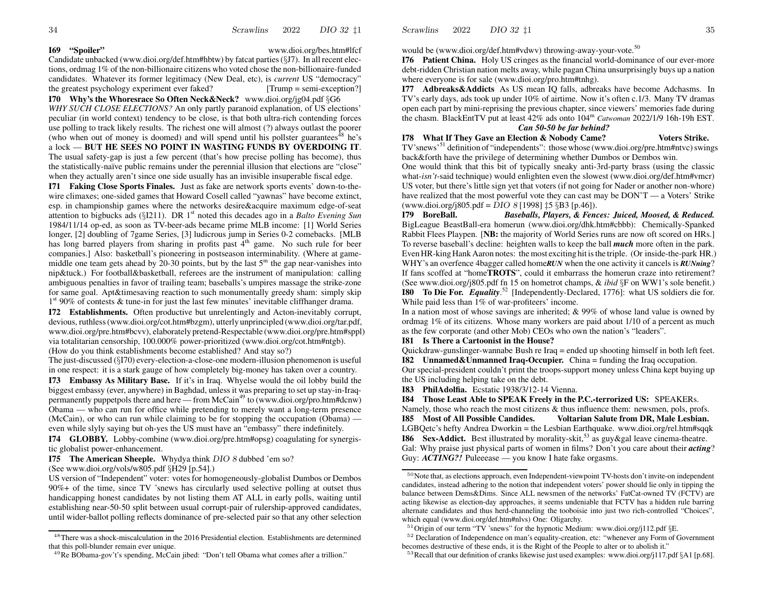DIO 32 11 Scrawlins 2022

### 169 "Spoiler"

www.dioi.org/bes.htm#lfcf

Candidate unbacked (www.dioi.org/def.htm#hbtw) by fatcat parties  $(\S J7)$ . In all recent elections, ordmag 1% of the non-billionaire citizens who voted chose the non-billionaire-funded candidates. Whatever its former legitimacy (New Deal, etc), is *current* US "democracy" the greatest psychology experiment ever faked?  $[Trump = semi-exception?]$ 

I70 Why's the Whoresrace So Often Neck&Neck? www.dioi.org/jg04.pdf §G6 WHY SUCH CLOSE ELECTIONS? An only partly paranoid explanation, of US elections' peculiar (in world context) tendency to be close, is that both ultra-rich contending forces use polling to track likely results. The richest one will almost (?) always outlast the poorer (who when out of money is doomed) and will spend until his pollster guarantees<sup>48</sup> he's a lock - BUT HE SEES NO POINT IN WASTING FUNDS BY OVERDOING IT. The usual safety-gap is just a few percent (that's how precise polling has become), thus the statistically-naïve public remains under the perennial illusion that elections are "close" when they actually aren't since one side usually has an invisible insuperable fiscal edge.

171 Faking Close Sports Finales. Just as fake are network sports events' down-to-thewire climaxes; one-sided games that Howard Cosell called "yawnas" have become extinct, esp. in championship games where the networks desire&acquire maximum edge-of-seat attention to bigbucks ads ( $\S$ [211). DR 1<sup>st</sup> noted this decades ago in a *Balto Evening Sun* 1984/11/14 op-ed, as soon as TV-beer-ads became prime MLB income: [1] World Series longer, [2] doubling of 7game Series, [3] ludicrous jump in Series 0-2 comebacks. [MLB has long barred players from sharing in profits past 4<sup>th</sup> game. No such rule for beer companies.] Also: basketball's pioneering in postseason interminability. (Where at gamemiddle one team gets ahead by 20-30 points, but by the last  $5<sup>m</sup>$  the gap near-vanishes into nip&tuck.) For football&basketball, referees are the instrument of manipulation: calling ambiguous penalties in favor of trailing team; baseballs's umpires massage the strike-zone for same goal. Apt&timesaving reaction to such monumentally greedy sham: simply skip  $1<sup>st</sup>$  90% of contests & tune-in for just the last few minutes' inevitable cliffhanger drama.

**I72** Establishments. Often productive but unrelentingly and Acton-inevitably corrupt, devious, ruthless (www.dioi.org/cot.htm#bzgm), utterly unprincipled (www.dioi.org/tar.pdf, www.dioi.org/pre.htm#bcvv), elaborately pretend-Respectable (www.dioi.org/pre.htm#sppl) via totalitarian censorship, 100.000% power-prioritized (www.dioi.org/cot.htm#ntgb). (How do you think establishments become established? And stay so?)

The just-discussed  $(\S170)$  every-election-a-close-one modern-illusion phenomenon is useful

in one respect: it is a stark gauge of how completely big-money has taken over a country.

173 Embassy As Military Base. If it's in Iraq. Whyelse would the oil lobby build the biggest embassy (ever, anywhere) in Baghdad, unless it was preparing to set up stay-in-Iraqpermanently puppetpols there and here  $-$  from McCain<sup>49</sup> to (www.dioi.org/pro.htm#dcnw) Obama — who can run for office while pretending to merely want a long-term presence (McCain), or who can run while claiming to be for stopping the occupation (Obama) even while slyly saying but oh-yes the US must have an "embassy" there indefinitely.

**I74** GLOBBY. Lobby-combine (www.dioi.org/pre.htm#opsg) coagulating for synergistic globalist power-enhancement.

**I75** The American Sheeple. Whydya think DIO 8 dubbed 'em so?

(See www.dioi.org/vols/w805.pdf  $\S$ H29 [p.54].)

US version of "Independent" voter: votes for homogeneously-globalist Dumbos or Dembos 90%+ of the time, since TV 'snews has circularly used selective polling at outset thus handicapping honest candidates by not listing them AT ALL in early polls, waiting until establishing near-50-50 split between usual corrupt-pair of rulership-approved candidates, until wider-ballot polling reflects dominance of pre-selected pair so that any other selection would be (www.dioi.org/def.htm#vdwy) throwing-away-your-vote.<sup>50</sup>

176 Patient China. Holy US cringes as the financial world-dominance of our ever-more debt-ridden Christian nation melts away, while pagan China unsurprisingly buys up a nation where everyone is for sale (www.dioi.org/pro.htm#tnhg).

177 Adbreaks&Addicts As US mean IQ falls, adbreaks have become Adchasms. In TV's early days, ads took up under 10% of airtime. Now it's often c.1/3. Many TV dramas open each part by mini-reprising the previous chapter, since viewers' memories fade during the chasm. BlackEntTV put at least 42% ads onto 104<sup>m</sup> Catwoman 2022/1/9 16h-19h EST.

### Can 50-50 be far behind?

I78 What If They Gave an Election & Nobody Came? **Voters Strike.** 

TV'snews'<sup>51</sup> definition of "independents": those whose (www.dioi.org/pre.htm#ntvc) swings back&forth have the privilege of determining whether Dumbos or Dembos win.

One would think that this bit of typically sneaky anti-3rd-party brass (using the classic what-*isn't*-said technique) would enlighten even the slowest (www.dioi.org/def.htm#vmcr) US voter, but there's little sign yet that voters (if not going for Nader or another non-whore) have realized that the most powerful vote they can cast may be DON'T — a Voters' Strike (www.dioi.org/j805.pdf = DIO 8 [1998]  $\sharp$ 5 §B3 [p.46]).

179 BoreBall. Baseballs, Players, & Fences: Juiced, Moosed, & Reduced. BigLeague BeastBall-era homerun (www.dioi.org/dhk.htm#cbbb): Chemically-Spanked Rabbit Flees Playpen. [NB: the majority of World Series runs are now oft scored on HRs.] To reverse baseball's decline: heighten walls to keep the ball *much* more often in the park. Even HR-king Hank Aaron notes: the most exciting hit is the triple. (Or inside-the-park HR.) WHY's an overfence 4bagger called homeRUN when the one activity it cancels is RUNning? If fans scoffed at "home**TROTS**", could it embarrass the homerun craze into retirement? (See www.dioi.org/j805.pdf fn 15 on hometrot champs, & *ibid* §F on WW1's sole benefit.) **180** To Die For. *Equality*.<sup>52</sup> [Independently-Declared, 1776]: what US soldiers die for. While paid less than 1% of war-profiteers' income.

In a nation most of whose savings are inherited;  $& 99\%$  of whose land value is owned by ordmag 1% of its citizens. Whose many workers are paid about 1/10 of a percent as much as the few corporate (and other Mob) CEOs who own the nation's "leaders".

### **I81** Is There a Cartoonist in the House?

Quickdraw-gunslinger-wannabe Bush re Iraq = ended up shooting himself in both left feet. **I82** Unnamed & Unmanned Iraq-Occupier. China = funding the Iraq occupation.

Our special-president couldn't print the troops-support money unless China kept buying up the US including helping take on the debt.

I83 PhilAdolfia. Ecstatic 1938/3/12-14 Vienna.

**I84** Those Least Able to SPEAK Freely in the P.C.-terrorized US: SPEAKERs. Namely, those who reach the most citizens  $\&$  thus influence them: newsmen, pols, profs. **I85** Most of All Possible Candides. Voltarian Salute from DR, Male Lesbian. LGBQetc's hefty Andrea Dworkin = the Lesbian Earthquake. www.dioi.org/rel.htm#sqqk **186** Sex-Addict. Best illustrated by morality-skit,<sup>53</sup> as guy & gal leave cinema-theatre. Gal: Why praise just physical parts of women in films? Don't you care about their *acting*? Guy:  $ACTING$ ?! Puleeease — you know I hate fake orgasms.

 $48$  There was a shock-miscalculation in the 2016 Presidential election. Establishments are determined that this poll-blunder remain ever unique.

<sup>&</sup>lt;sup>49</sup>Re BObama-gov't's spending, McCain jibed: "Don't tell Obama what comes after a trillion."

<sup>&</sup>lt;sup>50</sup>Note that, as elections approach, even Independent-viewpoint TV-hosts don't invite-on independent candidates, instead adhering to the notion that independent voters' power should lie only in tipping the balance between Dems&Dims. Since ALL newsmen of the networks' FatCat-owned TV (FCTV) are acting likewise as election-day approaches, it seems undeniable that FCTV has a hidden rule barring alternate candidates and thus herd-channeling the tooboisie into just two rich-controlled "Choices", which equal (www.dioi.org/def.htm#nlvs) One: Oligarchy.

 $51$ Origin of our term "TV 'snews" for the hypnotic Medium: www.dioi.org/j112.pdf §E.

<sup>&</sup>lt;sup>52</sup> Declaration of Independence on man's equality-creation, etc: "whenever any Form of Government becomes destructive of these ends, it is the Right of the People to alter or to abolish it."

<sup>&</sup>lt;sup>53</sup> Recall that our definition of cranks likewise just used examples: www.dioi.org/j117.pdf §A1 [p.68].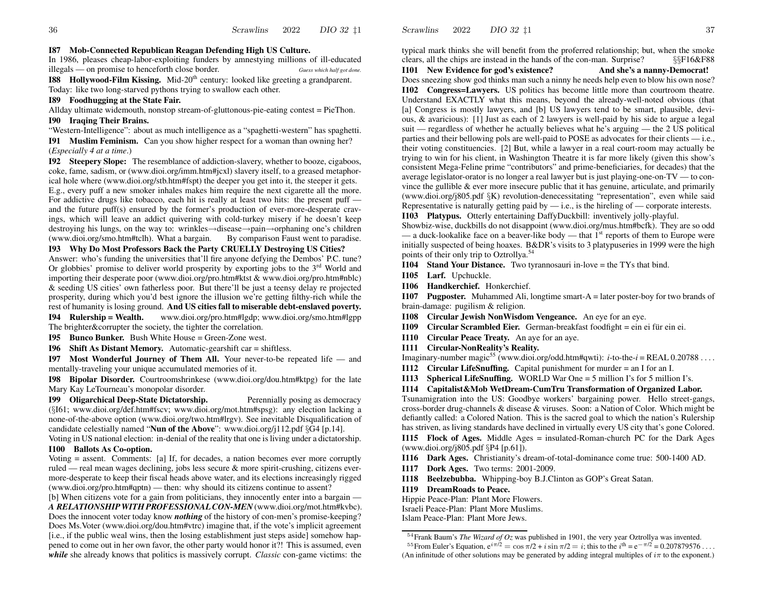#### **I87 Mob-Connected Republican Reagan Defending High US Culture.**

In 1986, pleases cheap-labor-exploiting funders by amnestying millions of ill-educated illegals — on promise to henceforth close border. *Guess which half go<sup>t</sup> done.*

**I88 Hollywood-Film Kissing.** Mid-20<sup>th</sup> century: looked like greeting a grandparent. Today: like two long-starved pythons trying to swallo w each other.

#### **I89 Foodhugging at the State Fair.**

Allday ultimate widemouth, nonstop stream-of-gluttonous-pie-eating contest = PieThon.

#### **I90 Iraqing Their Brains.**

"Western-Intelligence": about as much intelligence as <sup>a</sup> "spaghetti-western" has spaghetti.

**I91 MuslimFeminism.** Can you sho w higher respec<sup>t</sup> for <sup>a</sup> woman than owning her? (*Especially 4 at <sup>a</sup> time*.)

**I92 Steepery Slope:** The resemblance of addiction-slavery, whether to booze, cigaboos, coke, fame, sadism, or (www.dioi.org/imm.htm#jcxl) slavery itself, to <sup>a</sup> greased metaphorical hole where (www.dioi.org/stb.htm#fspt) the deeper you ge<sup>t</sup> into it, the steeper it gets. E.g., every puff <sup>a</sup> ne w smoker inhales makes him require the next cigarette all the more. For addictive drugs like tobacco, each hit is really at least two hits: the presen<sup>t</sup> puff and the future puff(s) ensured by the former's production of ever-more-desperate cravings, which will leave an addict quivering with cold-turkey misery if he doesn't keep destroying his lungs, on the way to: wrinkles→disease→pain→orphaning one's children (www.dioi.org/smo.htm#tclh). What a bargain. Faust went to paradise.

#### **I93 Why Do Most Professors Back the Party CRUELLY Destroying US Cities?**

Answer: who's funding the universities that'll fire anyone defying the Dembos' P.C. tune?Or globbies' promise to deliver world prosperity by exporting jobs to the 3<sup>rd</sup> World and importing their desperate poor (www.dioi.org/pro.htm#ktst & www.dioi.org/pro.htm#nblc) & seeding US cities' own fatherless poor. But there'll be just <sup>a</sup> teensy delay re projected prosperity, during which you'd best ignore the illusion we're getting filthy-rich while the rest of humanity is losing ground. **And US cities fall to miserable debt-enslaved poverty.**

**I94 Rulership = Wealth.** www.dioi.org/pro.htm#lgdp; www.dioi.org/smo.htm#lgpp The brighter&corrupter the society, the tighter the correlation.

**I95 Bunco Bunker.** Bush White House = Green-Zone west.

**I96 Shift As Distant Memory.** Automatic-gearshift car = shiftless.

**I97 Most Wonderful Journey of Them All.** Your never-to-be repeated life — and mentally-traveling your unique accumulated memories of it.

**I98 Bipolar Disorder.** Courtroomshrinkese (www.dioi.org/dou.htm#ktpg) for the late Mary Kay LeTourneau's monopolar disorder.

**I99 Oligarchical Deep-State Dictatorship.** Perennially posing as democracy

(§I61; www.dioi.org/def.htm#fscv; www.dioi.org/mot.htm#spsg): any election lacking <sup>a</sup> none-of-the-above option (www.dioi.org/two.htm#lrgv). See inevitable Disqualification of candidate celestially named "**Nun of the Above**": www.dioi.org/j112.pdf §G4 [p.14].

Voting in US national election: in-denial of the reality that one isliving under <sup>a</sup> dictatorship.

#### **I100 Ballots As Co-option.**

Voting = assent. Comments: [a] If, for decades, <sup>a</sup> nation becomes ever more corruptly ruled — real mean wages declining, jobs less secure & more spirit-crushing, citizens evermore-desperate to keep their fiscal heads above water, and its elections increasingly rigged (www.dioi.org/pro.htm#qptn) — then: why should its citizens continue to assent?

[b] When citizens vote for <sup>a</sup> gain from politicians, they innocently enter into <sup>a</sup> bargain —*A RELATIONSHIPWITHPROFESSIONALCON-MEN* (www.dioi.org/mot.htm#kvbc). Does the innocent voter today know *nothing* of the history of con-men's promise-keeping? Does Ms.Voter (www.dioi.org/dou.htm#vtrc) imagine that, if the vote's implicit agreemen<sup>t</sup> [i.e., if the public weal wins, then the losing establishment just steps aside] someho w happened to come out in her own favor, the other party would honor it?! This is assumed, even *while* she already knows that politics is massively corrupt. *Classic* con-game victims: the typical mark thinks she will benefit from the proferred relationship; but, when the smoke clears, all the chips are instead in the hands of the con-man. Surprise?  $\S$   $\S$ F16&F88

**I101 New Evidence for god's existence? And she's <sup>a</sup> nanny-Democrat!** Does sneezing sho w god thinks man such <sup>a</sup> ninny he needs help even to blo w his own nose? **I102 Congress=Lawyers.** US politics has become little more than courtroom theatre. Understand EXACTLY what this means, beyond the already-well-noted obvious (that [a] Congress is mostly lawyers, and [b] US lawyers tend to be smart, plausible, devious, & avaricious): [1] Just as each of 2 lawyers is well-paid by his side to argue <sup>a</sup> legal suit — regardless of whether he actually believes what he's arguing — the 2 US political parties and their bellowing pols are well-paid to POSE as advocates for their clients — i.e., their voting constituencies. [2] But, while <sup>a</sup> lawyer in <sup>a</sup> real court-room may actually be trying to win for his client, in Washington Theatre it is far more likely (given this show's consistent Mega-Feline prime "contributors" and prime-beneficiaries, for decades) that the average legislator-orator is no longer <sup>a</sup> real lawyer but is just playing-one-on-TV — to convince the gullible & ever more insecure public that it has genuine, articulate, and primarily (www.dioi.org/j805.pdf §K) revolution-denecessitating "representation", even while said Representative is naturally getting paid by — i.e., is the hireling of — corporate interests.

**I103 Platypus.** Otterly entertaining DaffyDuckbill: inventively jolly-playful.

Showbiz-wise, duckbills do not disappoint (www.dioi.org/mus.htm#bcfk). They are so odd — a duck-lookalike face on a beaver-like body — that  $1<sup>st</sup>$  reports of them to Europe were initially suspected of being hoaxes. B&DR's visits to 3 platypuseries in 1999 were the high points of their only trip to Oztrollya.<sup>54</sup>

**I104 Stand Your Distance.** Two tyrannosauri in-love <sup>=</sup> the TYs that bind.

**I105 Larf.** Upchuckle.

**I106 Handkerchief.** Honkerchief.

**I107 Pugposter.** Muhammed Ali, longtime smart-A = later poster-boy for two brands of brain-damage: pugilism & religion.

**I108 Circular Jewish NonWisdom Vengeance.** An eye for an eye.

**I109** Circular Scrambled Eier. German-breakfast foodfight = ein ei für ein ei.

**I110 Circular PeaceTreaty.** An aye for an aye.

**I111 Circular-NonReality's Reality.**

Imaginary-number magic<sup>55</sup> (www.dioi.org/odd.htm#qwti):  $i$ -to-the- $i$  = REAL 0.20788 ...

**I112 Circular LifeSnuffing.** Capital punishment for murder = an I for an I.

**I113** Spherical LifeSnuffing. WORLD War One = 5 million I's for 5 million I's.

**I114 Capitalist&Mob WetDream-CumTru Transformation of Organized Labor.**

Tsunamigration into the US: Goodbye workers' bargaining power. Hello street-gangs, cross-border drug-channels & disease & viruses. Soon: <sup>a</sup> Nation of Color. Which might be defiantly called: <sup>a</sup> Colored Nation. This is the sacred goal to which the nation's Rulership has striven, as living standards have declined in virtually every US city that's gone Colored.

**I115 Flock of Ages.** Middle Ages = insulated-Roman-church PC for the Dark Ages (www.dioi.org/j805.pdf §P4 [p.61]).

**I116 Dark Ages.** Christianity's dream-of-total-dominance come true: 500-1400 AD.

**I117 Dork Ages.** Two terms: 2001-2009.

**I118 Beelzebubba.** Whipping-boy B.J.Clinton as GOP's Great Satan.

**I119 DreamRoads to Peace.**

Hippie Peace-Plan: Plant More Flowers.

Israeli Peace-Plan: Plant More Muslims.

Islam Peace-Plan: Plant More Jews.

<sup>54</sup>Frank Baum's *The Wizard of Oz* was published in 1901, the very year Oztrollya was invented. <sup>55</sup> From Euler's Equation,  $e^{i\pi/2} = \cos \pi/2 + i \sin \pi/2 = i$ ; this to the  $i^{th} = e^{-\pi/2} = 0.207879576...$ (An infinitude of other solutions may be generated by adding integral multiples of  $i\pi$  to the exponent.)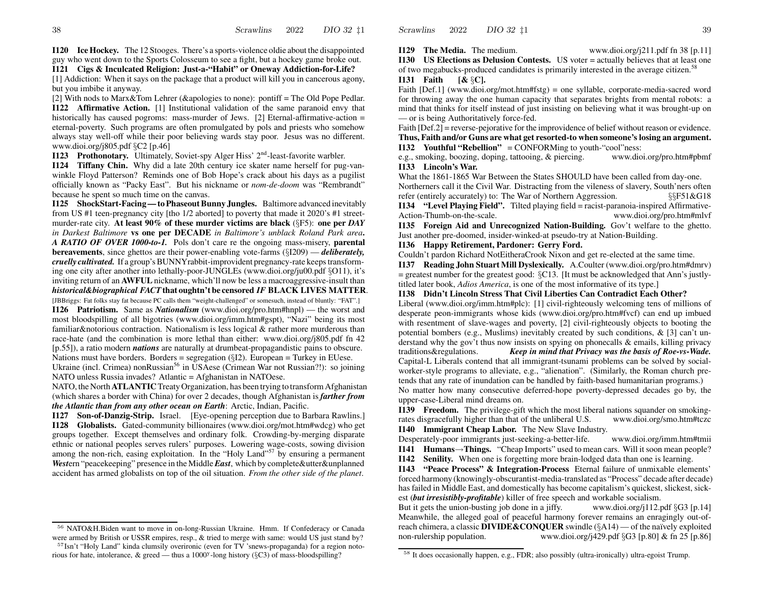**I129** The Media. The medium.

**WWW.dioi.org/j211.pdf** fn 38 [p.11]

**I130 US Elections as Delusion Contests.** US voter = actually believes that at least one of two megabucks-produced candidates is primarily interested in the average citizen.<sup>58</sup>

### **I131Faith [&** §**C].**

Faith [Def.1] (www.dioi.org/mot.htm#fstg) = one syllable, corporate-media-sacred word for throwing away the one human capacity that separates brights from mental robots: <sup>a</sup> mind that thinks for itself instead of just insisting on believing what it was brought-up on — or is being Authoritatively force-fed.

Faith [Def.2] = reverse-pejorative for the improvidence of belief without reason or evidence. **Thus, Faith and/or Guns are what get resorted-to when someone's losing an argument. I132 Youthful "Rebellion"** = CONFORMing to youth-"cool"ness:

e.g., smoking, boozing, doping, tattooing, &www.dioi.org/pro.htm#pbmf **I133 Lincoln's War.**

What the 1861-1865 War Between the States SHOULD have been called from day-one. Northerners call it the Civil War. Distracting from the vileness of slavery, South'ners often refer (entirely accurately) to: The War of Northern Aggression.  $\S$  §§F51&G18 **I134 "Level Playing Field".** Tilted playing field = racist-paranoia-inspired Affirmative-

Action-Thumb-on-the-scale. www.dioi.org/pro.htm#mlvf **I135Foreign Aid and Unrecognized Nation-Building.** Gov't welfare to the ghetto.

Just another pre-doomed, insider-winked-at pseudo-try at Nation-Building.

### **I136 Happy Retirement, Pardoner: Gerry Ford.**

Couldn't pardon Richard NotEitheraCrook Nixon and ge<sup>t</sup> re-elected at the same time.

**I137 Reading John Stuart Mill Dyslexically.** A.Coulter (www.dioi.org/pro.htm#dmrv) = greatest number for the greatest good: §C13. [It must be acknowledged that Ann's justlytitled later book, *Adios America*, is one of the most informative of its type.]

#### **I138 Didn't Lincoln Stress That Civil Liberties Can Contradict Each Other?**

Liberal (www.dioi.org/imm.htm#plc): [1] civil-righteously welcoming tens of millions of desperate peon-immigrants whose kids (www.dioi.org/pro.htm#fvcf) can end up imbued with resentment of slave-wages and poverty, [2] civil-righteously objects to booting the potential bombers (e.g., Muslims) inevitably created by such conditions, & [3] can't understand why the gov't thus no w insists on spying on phonecalls & emails, killing privacy traditions&regulations. *Keep in mind that Privacy was the basis of Roe-vs-Wade.* Capital-L Liberals contend that all immigrant-tsunami problems can be solved by socialworker-style programs to alleviate, e.g., "alienation". (Similarly, the Roman church pretends that any rate of inundation can be handled by faith-based humanitarian programs.) No matter ho w many consecutive deferred-hope poverty-depressed decades go by, the upper-case-Liberal mind dreams on.

**I139 Freedom.** The privilege-gift which the most liberal nations squander on smokingrates disgracefully higher than that of the unliberal U.S. www.dioi.org/smo.htm#tczc **I140 Immigrant Cheap Labor.** The Ne w Slave Industry.

Desperately-poor immigrants just-seeking-a-better-life. www.dioi.org/imm.htm#tmii **I141 • Humans→Things.** "Cheap Imports" used to mean cars. Will it soon mean people?

**I142 Senility.** When one is forgetting more brain-lodged data than one is learning.

**I143 "Peace Process" & Integration-Process** Eternal failure of unmixable elements' forced harmony (knowingly-obscurantist-media-translated as "Process" decade after decade) has failed in Middle East, and domestically has become capitalism's quickest, slickest, sickest (*but irresistibly-profitable*) killer of free speech and workable socialism.

But it gets the union-busting job done in <sup>a</sup> jiffy. www.dioi.org/j112.pdf §G3 [p.14] Meanwhile, the alleged goal of peaceful harmony forever remains an enragingly out-ofreach chimera, a classic **DIVIDE&CONQUER** swindle (§A14)— of the naïvely exploited non-rulership population. www.dioi.org/j429.pdf §G3 [p.80] & fn 25 [p.86]

but you imbibe it anyway.

www.dioi.org/j805.pdf §C2 [p.46]

because he spen<sup>t</sup> so much time on the canvas.

**I126** Patriotism. Same as *Nationalism* (www.dioi.org/pro.htm#hnpl) — the worst and most bloodspilling of all bigotries (www.dioi.org/imm.htm#gspt), "Nazi" being its most

familiar&notorious contraction. Nationalism is less logical & rather more murderous than race-hate (and the combination is more lethal than either: www.dioi.org/j805.pdf fn 42 [p.55]), <sup>a</sup> ratio modern *nations* are naturally at drumbeat-propagandistic pains to obscure.

**I120 Ice Hockey.** The 12 Stooges. There's <sup>a</sup> sports-violence oldie about the disappointed guy who went down to the Sports Colosseum to see <sup>a</sup> fight, but <sup>a</sup> hockey game broke out. **I121 Cigs & Inculcated Religion: Just-a-"Habit" or Oneway Addiction-for-Life?** [1] Addiction: When it says on the package that <sup>a</sup> product will kill you in cancerous agony,

[2] With nods to Marx&Tom Lehrer (&apologies to none): pontiff <sup>=</sup> The Old Pope Pedlar. **I122 Affirmative Action.** [1] Institutional validation of the same paranoid envy that historically has caused pogroms: mass-murder of Jews. [2] Eternal-affirmative-action =eternal-poverty. Such programs are often promulgated by pols and priests who someho w al ways stay well-off while their poor believing wards stay poor. Jesus was no different.

**I123** Prothonotary. Ultimately, Soviet-spy Alger Hiss' 2<sup>nd</sup>-least-favorite warbler. **I124 Tiffany Chin.** Why did <sup>a</sup> late 20th century ice skater name herself for pug-vanwinkle Floyd Patterson? Reminds one of Bob Hope's crack about his days as <sup>a</sup> pugilist officially known as "Packy East". But his nickname or *nom-de-doom* was "Rembrandt"

**I125** ShockStart-Facing — to Phaseout Bunny Jungles. Baltimore advanced inevitably from US #1 teen-pregnancy city [tho 1/2 aborted] to poverty that made it 2020's #1 streetmurder-rate city. **At least 90% of these murder victims are black** (§F5): **one per** *DAYin Darkest Baltimore* **vs one per DECADE** *in Baltimore's unblack Roland Park area***.** *A RATIO OF OVER 1000-to-1.* Pols don't care re the ongoing mass-misery, **parental bereavements**, since ghettos are their power-enabling vote-farms (§I209) — *deliberately, cruelly cultivated.* If a group's BUNNYrabbit-improvident pregnancy-rate keeps transforming one city after another into lethally-poor-JUNGLEs (www.dioi.org/ju00.pdf §O11), it's inviting return of an **AWFUL** nickname, which'll no w be less <sup>a</sup> macroaggressive-insult than *historical&biographical FACT***that oughtn't be censored** *IF* **BLACK LIVES MATTER**. [JBBriggs: Fat folks stay fat because PC calls them "weight-challenged" or somesuch, instead of bluntly: "FAT".]

Nations must have borders. Borders = segregation (§I2). European =Turkey in EUese.

Ukraine (incl. Crimea) nonRussian<sup>56</sup> in USAese (Crimean War not Russian?!): so joining NAT O unless Russia invades? Atlantic = Afghanistan in NATOese.

NATO, the North **ATLANTIC** Treaty Organization, has been trying to transform Afghanistan (which shares <sup>a</sup> border with China) for over 2 decades, though Afghanistan is *farther from the Atlantic than from any other ocean on Earth*: Arctic, Indian, Pacific.

**I127 Son-of-Danzig-Strip.** Israel. [Eye-opening perception due to Barbara Rawlins.] **I128 Globalists.** Gated-community billionaires (www.dioi.org/mot.htm#wdcg) who ge<sup>t</sup> groups together. Except themselves and ordinary folk. Crowding-by-merging disparate ethnic or national peoples serves rulers' purposes. Lowering wage-costs, sowing division among the non-rich, easing exploitation. In the "Holy Land"<sup>57</sup> by ensuring a permanent *West*ern "peacekeeping" presence in the Middle*East*, which by complete&utter&unplanned accident has armed globalists on top of the oil situation. *From the other side of the planet*.

<sup>56</sup> NATO&H.Biden want to move in on-long-Russian Ukraine. Hmm. If Confederacy or Canada were armed by British or USSR empires, resp., & tried to merge with same: would US just stand by?

<sup>&</sup>lt;sup>57</sup>Isn't "Holy Land" kinda clumsily overironic (even for TV 'snews-propaganda) for a region notorious for hate, intolerance, & greed — thus a 1000<sup>y</sup>-long history (§C3) of mass-bloodspilling?

<sup>&</sup>lt;sup>58</sup> It does occasionally happen, e.g., FDR; also possibly (ultra-ironically) ultra-egoist Trump.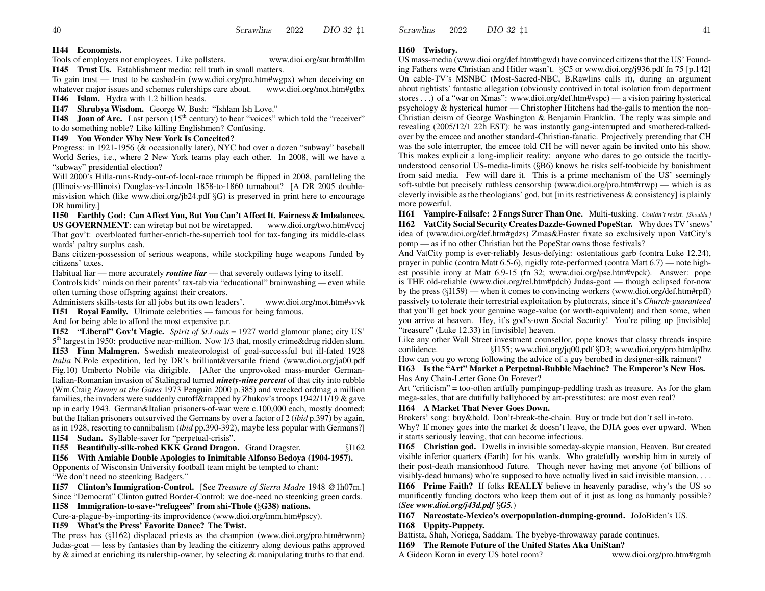### **I144 Economists.**

Tools of employers not employees. Like pollsters. www.dioi.org/sur.htm#hllm **I145Trust Us.** Establishment media: tell truth in small matters.

To gain trust — trust to be cashed-in (www.dioi.org/pro.htm#wgpx) when deceiving on whatever major issues and schemes rulerships care about. www.dioi.org/mot.htm#gtbx **I146 Islam.** Hydra with 1.2 billion heads.

**I147 Shrubya Wisdom.** George W. Bush: "Ishlam Ish Love."

**I148 Joan of Arc.** Last person (15<sup>th</sup> century) to hear "voices" which told the "receiver" to do something noble? Like killing Englishmen? Confusing.

### **I149 You Wonder Why New York Is Conceited?**

Progress: in 1921-1956 (& occasionally later), NYC had over <sup>a</sup> dozen "subway" baseball World Series, i.e., where 2 New York teams play each other. In 2008, will we have a "subway" presidential election?

Will 2000's Hilla-runs-Rudy-out-of-local-race triumph be flipped in 2008, paralleling the (Illinois-vs-Illinois) Douglas-vs-Lincoln 1858-to-1860 turnabout? [A DR 2005 doublemisvision which (like www.dioi.org/jb24.pdf §G) is preserved in print here to encourage DR humility.]

**I150 Earthly God: Can Affect You, But You Can't Affect It. Fairness & Imbalances. US GOVERNMENT**: can wiretap but not be wiretapped. www.dioi.org/two.htm#vccj That gov't: overbloated further-enrich-the-superrich tool for tax-fanging its middle-class wards' paltry surplus cash.

Bans citizen-possession of serious weapons, while stockpiling huge weapons funded by citizens' taxes.

Habitual liar— more accurately *routine liar* — that severely outlaws lying to itself.

Controls kids' minds on their parents' tax-tab via "educational" brainwashing — even while often turning those offspring against their creators.

Administers skills-tests for all jobs but its own leaders'. www.dioi.org/mot.htm#svvk

**I151 Royal Family.** Ultimate celebrities — famous for being famous.

And for being able to afford the most expensive p.r.

**I152 "Liberal" Gov't Magic.** *Spirit of St.Louis* = 1927 world glamour plane; city US' 5<sup>th</sup> largest in 1950: productive near-million. Now 1/3 that, mostly crime&drug ridden slum. **I153 Finn Malmgren.** Swedish meateorologist of goal-successful but ill-fated 1928 *Italia* N.Pole expedition, led by DR's brilliant&versatile friend (www.dioi.org/ja00.pdf Fig.10) Umberto Nobile via dirigible. [After the unprovoked mass-murder German-Italian-Romanian invasion of Stalingrad turned *ninety-nine percent* of that city into rubble (Wm.Craig *Enemy at the Gates* 1973 Penguin 2000 p.385) and wrecked ordmag <sup>a</sup> million families, the invaders were suddenly cutoff&trapped by Zhukov's troops 1942/11/19 & gave up in early 1943. German&Italian prisoners-of-war were c.100,000 each, mostly doomed; but the Italian prisoners outsurvived the Germans by over <sup>a</sup> factor of 2 (*ibid* p.397) by again, as in 1928, resorting to cannibalism (*ibid* pp.390-392), maybe less popular with Germans?]

**I154 Sudan.** Syllable-saver for "perpetual-crisis".

### **I155 Beautifully-silk-robed KKK Grand Dragon.** Grand Dragster. §I162 **I156With Amiable Double Apologies to Inimitable Alfonso Bedoya (1904-1957).**

Opponents of Wisconsin University football team might be tempted to chant:

"We don't need no steenking Badgers."

**I157 Clinton's Immigration-Control.** [See *Treasure of Sierra Madre* 1948 @1h07m.] Since "Democrat" Clinton gutted Border-Control: we doe-need no steenking green cards.

**I158 Immigration-to-save-"refugees" from shi-Thole (**§**G38) nations.**

Cure-a-plague-by-importing-its improvidence (www.dioi.org/imm.htm#pscy).

### **I159 What's the Press' Favorite Dance? The Twist.**

The press has (§I162) displaced priests as the champion (www.dioi.org/pro.htm#rwnm) Judas-goat — less by fantasies than by leading the citizenry along devious paths approved by & aimed at enriching its rulership-owner, by selecting & manipulating truths to that end.

### **I160Twistory.**

2022

Scrawlins

US mass-media (www.dioi.org/def.htm#hgwd) have convinced citizensthat the US' Founding Fathers were Christian and Hitler wasn't. §C5 or www.dioi.org/j936.pdf fn 75 [p.142] On cable-TV's MSNBC (Most-Sacred-NBC, B.Rawlins calls it), during an argumen<sup>t</sup> about rightists' fantastic allegation (obviously contrived in total isolation from department stores . . .) of <sup>a</sup> "war on Xmas": www.dioi.org/def.htm#vspc) — <sup>a</sup> vision pairing hysterical psychology & hysterical humor — Christopher Hitchens had the-galls to mention the non-Christian deism of George Washington & Benjamin Franklin. The reply was simple and revealing (2005/12/1 22h EST): he was instantly gang-interrupted and smothered-talkedover by the emcee and another standard-Christian-fanatic. Projectively pretending that CH was the sole interrupter, the emcee told CH he will never again be invited onto his sho w. This makes explicit <sup>a</sup> long-implicit reality: anyone who dares to go outside the tacitlyunderstood censorial US-media-limits (§B6) knows he risks self-toobicide by banishment from said media. Fe w will dare it. This is <sup>a</sup> prime mechanism of the US' seemingly soft-subtle but precisely ruthless censorship (www.dioi.org/pro.htm#rrwp) — which is as cleverly invisible as the theologians' god, but [in itsrestrictiveness & consistency] is plainly more powerful.

**I161 Vampire-Failsafe: 2 Fangs Surer Than One.** Multi-tusking. *Couldn't resist. [Shoulda.]* **I162VatCity Social Security Creates Dazzle-Gowned PopeStar.** Why doesTV 'snews' idea of (www.dioi.org/def.htm#gdzs) Zmas&Easter fixate so exclusively upon VatCity's pomp — as if no other Christian but the PopeStar owns those festivals?

And VatCity pomp is ever-reliably Jesus-defying: ostentatious garb (contra Luke 12.24), prayer in public (contra Matt 6.5-6), rigidly rote-performed (contra Matt 6.7) — note highest possible irony at Matt 6.9-15 (fn 32; www.dioi.org/pse.htm#vpck). Answer: pope is THE old-reliable (www.dioi.org/rel.htm#pdcb) Judas-goat — though eclipsed for-no w by the press (§I159) — when it comes to convincing workers (www.dioi.org/def.htm#rpff) passively to tolerate their terrestrial exploitation by plutocrats, since it's *Church-guaranteed* that you'll ge<sup>t</sup> back your genuine wage-value (or worth-equivalent) and then some, when you arrive at heaven. Hey, it's god's-own Social Security! You're piling up [invisible] "treasure" (Luke 12.33) in [invisible] heaven.

Like any other Wall Street investment counsellor, pope knows that classy threads inspire confidence.§I155; www.dioi.org/jq00.pdf §D3; www.dioi.org/pro.htm#pfbz

Ho w can you go wrong following the advice of <sup>a</sup> guy berobed in designer-silk raiment? **I163 Is the "Art" Market <sup>a</sup> Perpetual-Bubble Machine? The Emperor's New Hos.**

Has Any Chain-Letter Gone On Forever? Art "criticism"= too-often artfully pumpingup-peddling trash as treasure. As for the glam

mega-sales, that are dutifully ballyhooed by art-presstitutes: are most even real?

### **I164 A Market That Never Goes Down.**

Brokers' song: buy&hold. Don't-break-the-chain. Buy or trade but don't sell in-toto. Why? If money goes into the market & doesn't leave, the DJIA goes ever upward. When it starts seriously leaving, that can become infectious.

**I165 Christian god.** Dwells in invisible someday-skypie mansion, Heaven. But created visible inferior quarters (Earth) for his wards. Who gratefully worship him in surety of their post-death mansionhood future. Though never having met anyone (of billions of visibly-dead humans) who're supposed to have actually lived in said invisible mansion. . . .

**I166 Prime Faith?** If folks **REALLY** believe in heavenly paradise, why's the US so munificently funding doctors who keep them out of it just as long as humanly possible? (*See www.dioi.org/j43d.pdf* §*G5.*)

**I167 Narcostate-Mexico's overpopulation-dumping-ground.** JoJoBiden's US.

**I168 Uppity-Puppety.**

Battista, Shah, Noriega, Saddam. The byebye-thro waway parade continues.

**I169 The Remote Future of the United States Aka UniStan?**

A Gideon Koran

www.dioi.org/pro.htm#rgmh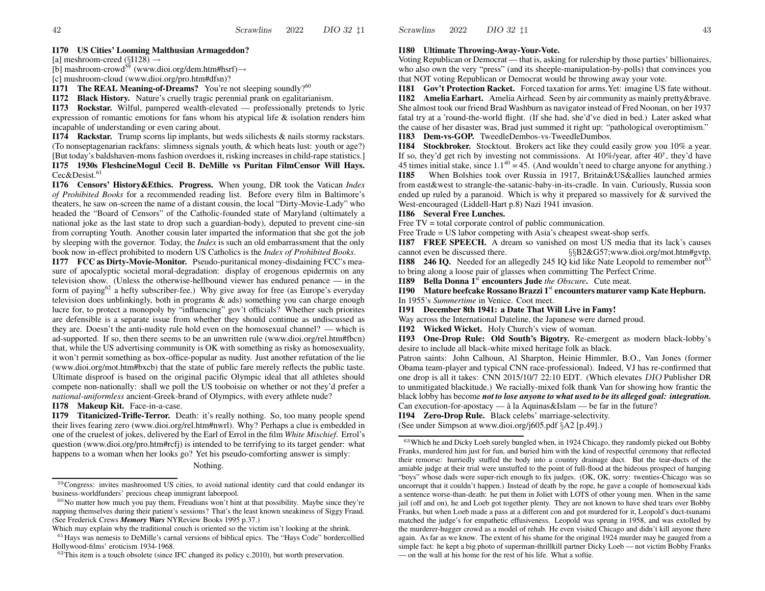[a] meshroom-creed (§I128)  $\rightarrow$ 

[b] mashroom-crowd<sup>59</sup> (www.dioi.org/dem.htm#hsrf) $\rightarrow$ 

[c] mushroom-cloud (www.dioi.org/pro.htm#dfsn)?

**I171** The REAL Meaning-of-Dreams? You're not sleeping soundly?<sup>60</sup>

**I172 Black History.** Nature's cruelly tragic perennial prank on egalitarianism.

**I173 Rockstar.** Wilful, pampered wealth-elevated — professionally pretends to lyric expression of romantic emotions for fans whom his atypical life  $\&$  isolation renders him incapable of understanding or even caring about.

**I174 Rackstar.** Trump scorns lip implants, but weds silichests & nails stormy rackstars. (To nonseptagenarian rackfans: slimness signals youth, & which heats lust: youth or age?) [But today's baldshaven-mons fashion overdoes it, risking increases in child-rape statistics.]

**I175 1930s FleshcineMogul Cecil B. DeMille vs Puritan FilmCensor Will Hays.** Cec&Desist.<sup>61</sup>

**I176 Censors' History&Ethics. Progress.** When young, DR took the Vatican *Index of Prohibited Books* for <sup>a</sup> recommended reading list. Before every film in Baltimore's theaters, he sa w on-screen the name of <sup>a</sup> distant cousin, the local "Dirty-Movie-Lady" who headed the "Board of Censors" of the Catholic-founded state of Maryland (ultimately <sup>a</sup> national joke as the last state to drop such <sup>a</sup> guardian-body), deputed to preven<sup>t</sup> cine-sin from corrupting Youth. Another cousin later imparted the information that she go<sup>t</sup> the job by sleeping with the governor. Today, the *Index* is such an old embarrassment that the only book no w in-effect prohibited to modern US Catholics is the *Index of Prohibited Books*.

**I177 FCC as Dirty-Movie-Monitor.** Pseudo-puritanical money-disdaining FCC's measure of apocalyptic societal moral-degradation: display of erogenous epidermis on any television sho w. (Unless the otherwise-hellbound viewer has endured penance — in the form of paying<sup>62</sup> a hefty subscriber-fee.) Why give away for free (as Europe's everyday television does unblinkingly, both in programs & ads) something you can charge enough lucre for, to protect <sup>a</sup> monopoly by "influencing" gov't officials? Whether such priorites are defensible is <sup>a</sup> separate issue from whether they should continue as undiscussed as they are. Doesn't the anti-nudity rule hold even on the homosexual channel? — which is ad-supported. If so, then there seems to be an unwritten rule (www.dioi.org/rel.htm#fbcn) that, while the US advertising community is OK with something as risky as homosexuality, it won't permit something as box-office-popular as nudity. Just another refutation of the lie (www.dioi.org/mot.htm#bxcb) that the state of public fare merely reflects the public taste. Ultimate disproof is based on the original pacific Olympic ideal that all athletes should compete non-nationally: shall we poll the US tooboisie on whether or not they'd prefer <sup>a</sup> *national-uniformless* ancient-Greek-brand of Olympics, with every athlete nude?

**I178 Makeup Kit.** Face-in-a-case.

**I179 Titanicized-Trifle-Terror.** Death: it's really nothing. So, too many people spend their lives fearing zero (www.dioi.org/rel.htm#nwrl). Why? Perhaps <sup>a</sup> clue is embedded in one of the cruelest of jokes, delivered by the Earl of Errol in the film *White Mischief*. Errol's question (www.dioi.org/pro.htm#rcfj) is intended to be terrifying to its target gender: what happens to <sup>a</sup> woman when her looks go? Yet his pseudo-comforting answer is simply:

#### Nothing.

#### **I180 Ultimate Throwing-Away-Your-Vote.**

Voting Republican or Democrat — that is, asking for rulership by those parties' billionaires, who also own the very "press" (and its sheeple-manipulation-by-polls) that convinces you that NOT voting Republican or Democrat would be throwing away your vote.

**I181 Gov't Protection Racket.** Forced taxation for arms.Yet: imagine US fate without. **I182 Amelia Earhart.** Amelia Airhead. Seen by air community as mainly pretty&brave. She almost took our friend Brad Washburn as navigator instead of Fred Noonan, on her 1937 fatal try at <sup>a</sup> 'round-the-world flight. (If she had, she'd've died in bed.) Later asked what the cause of her disaster was, Brad just summed it right up: "pathological overoptimism."

**I183 Dem-vs-GOP.** TweedleDembos-vs-TweedleDumbos.

**I184** Stockbroker. Stocktout. Brokers act like they could easily grow you 10% a year. If so, they'd get rich by investing not commissions. At  $10\%$ /year, after  $40^{\circ}$ , they'd have 45 times initial stake, since  $1.1^{40} = 45$ . (And wouldn't need to charge anyone for anything.) **I185** When Bolshies took over Russia in 1917, Britain&US&allies launched armies from east&west to strangle-the-satanic-baby-in-its-cradle. In vain. Curiously, Russia soon ended up ruled by <sup>a</sup> paranoid. Which is why it prepared so massively for & survived the

### **I186 Several Free Lunches.**

Free TV = total corporate control of public communication.

West-encouraged (Liddell-Hart p.8) Nazi 1941 invasion.

Free Trade = US labor competing with Asia's cheapest sweat-shop serfs.

**I187 FREE SPEECH.** A dream so vanished on most US media that its lack's causes cannot even§§B2&G57;www.dioi.org/mot.htm#gvtp.

**I188 246 IQ.** Needed for an allegedly 245 IQ kid like Nate Leopold to remember not<sup>63</sup> to bring along <sup>a</sup> loose pair of glasses when committing The Perfect Crime.

**I189 Bella Donna 1**st **encounters Jude** *the Obscure***.** Cute meat.

**I190 Mature beefcake Rossano Brazzi <sup>1</sup>**st **encounters maturer vamp Kate Hepburn.** In 1955's *Summertime* in Venice. Coot meet.

**I191 December 8th 1941: <sup>a</sup> Date That Will Live inFamy!**

Way across the International Dateline, the Japanese were darned proud.

**I192** Wicked Wicket. Holy Church's view of woman.

**I193 One-Drop Rule: Old South's Bigotry.** Re-emergent as modern black-lobby's desire to include all black-white mixed heritage folk as black.

Patron saints: John Calhoun, Al Sharpton, Heinie Himmler, B.O., Van Jones (former Obama team-player and typical CNN race-professional). Indeed, VJ has re-confirmed that one drop is all it takes: CNN 2015/10/7 22:10 EDT. (Which elevates DIO Publisher DR to unmitigated blackitude.) We racially-mixed folk thank Van for showing ho w frantic the black lobby has become *not to lose anyone to what used to be its alleged goal: integration.* Can execution-for-apostacy — à la Aquinas&Islam — be far in the future?

**I194 Zero-Drop Rule.** Black celebs' marriage-selectivity.

(See under Simpson at www.dioi.org/j605.pdf §A2 [p.49].)

<sup>&</sup>lt;sup>59</sup>Congress: invites mashroomed US cities, to avoid national identity card that could endanger its business-worldfunders' precious cheap immigrant laborpool.

 $60$ No matter how much you pay them, Freudians won't hint at that possibility. Maybe since they're napping themselves during their patient's sessions? That's the least known sneakiness of Siggy Fraud. (See Frederick Crews *Memory Wars* NYRevie w Books 1995 p.37.)

Which may explain why the traditional couch is oriented so the victim isn't looking at the shrink.

 $61$  Hays was nemesis to DeMille's carnal versions of biblical epics. The "Hays Code" bordercollied Hollywood-films' eroticism 1934-1968.

 $62$ This item is a touch obsolete (since IFC changed its policy c.2010), but worth preservation.

 $63$  Which he and Dicky Loeb surely bungled when, in 1924 Chicago, they randomly picked out Bobby Franks, murdered him just for fun, and buried him with the kind of respectful ceremony that reflected their remorse: hurriedly stuffed the body into <sup>a</sup> country drainage duct. But the tear-ducts of the amiable judge at their trial were unstuffed to the point of full-flood at the hideous prospec<sup>t</sup> of hanging "boys" whose dads were super-rich enough to fix judges. (OK, OK, sorry: twenties-Chicago was so uncorrup<sup>t</sup> that it couldn't happen.) Instead of death by the rope, he gave <sup>a</sup> couple of homosexual kids a sentence worse-than-death: he pu<sup>t</sup> them in Joliet with LOTS of other young men. When in the same jail (off and on), he and Loeb go<sup>t</sup> together plenty. They are not known to have shed tears over Bobby Franks, but when Loeb made <sup>a</sup> pass at <sup>a</sup> different con and go<sup>t</sup> murdered for it, Leopold's duct-tsunami matched the judge's for empathetic effusiveness. Leopold was sprung in 1958, and was extolled by the murderer-hugger crowd as <sup>a</sup> model of rehab. He even visited Chicago and didn't kill anyone there again. As far as we kno w. The extent of his shame for the original 1924 murder may be gauged from <sup>a</sup> simple fact: he kept <sup>a</sup> big photo of superman-thrillkill partner Dicky Loeb — not victim Bobby Franks — on the wall at his home for the rest of his life. What <sup>a</sup> softie.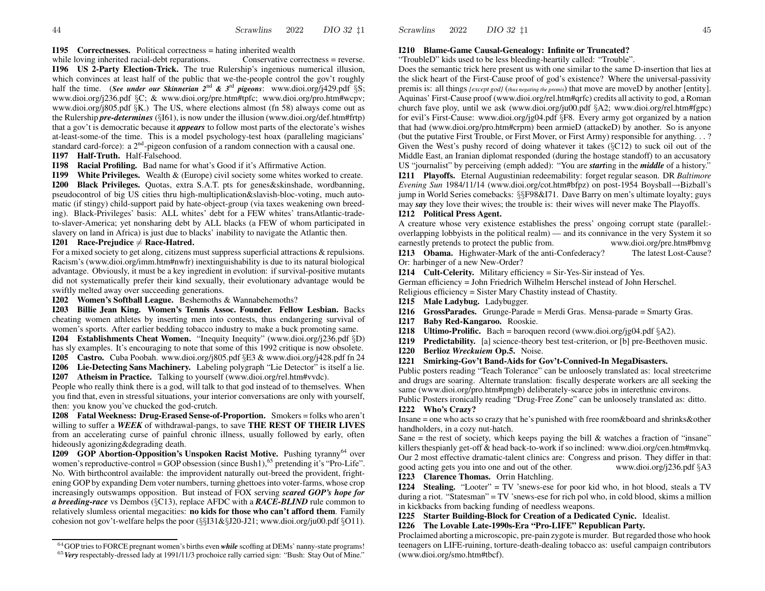#### **I195 Correctnesses.** Political correctness = hating inherited wealth

while loving inherited racial-debt reparations. Conservative correctness = reverse. **I196 US 2-Party Election-Trick.** The true Rulership's ingenious numerical illusion, which convinces at least half of the public that we-the-people control the gov't roughly half the time. (*See under our Skinnerian <sup>2</sup>*nd *& <sup>3</sup>*rd *pigeons*: www.dioi.org/j429.pdf §S; www.dioi.org/j236.pdf §C; & www.dioi.org/pre.htm#tpfc; www.dioi.org/pro.htm#wcpv; www.dioi.org/j805.pdf §K.) The US, where elections almost (fn 58) al ways come out as the Rulership *pre-determines* (§I61), is no w under the illusion (www.dioi.org/def.htm#frtp) that a gov't is democratic because it *appears* to follo w most parts of the electorate's wishes at-least-some-of the time. This is <sup>a</sup> model psychology-test hoax (paralleling magicians' standard card-force): a  $2<sup>nd</sup>$ -pigeon confusion of a random connection with a causal one. **I197 Half-Truth.** Half-Falsehood.

**I198 Racial Profiling.** Bad name for what's Good if it's Affirmative Action.

**I199** White Privileges. Wealth & (Europe) civil society some whites worked to create. **I200 Black Privileges.** Quotas, extra S.A.T. pts for genes&skinshade, wordbanning, pseudocontrol of big US cities thru high-multiplication&slavish-bloc-voting, much automatic (if stingy) child-support paid by hate-object-group (via taxes weakening own breeding). Black-Privileges' basis: ALL whites' debt for <sup>a</sup> FEW whites' transAtlantic-tradeto-slaver-America; ye<sup>t</sup> nonsharing debt by ALL blacks (a FEW of whom participated in slavery on land in Africa) is just due to blacks' inability to navigate the Atlantic then.

#### **I201 Race-Prejudice** 6<sup>=</sup> **Race-Hatred.**

For a mixed society to ge<sup>t</sup> along, citizens must suppress superficial attractions & repulsions. Racism's (www.dioi.org/imm.htm#nwfr) inextinguishability is due to its natural biological advantage. Obviously, it must be <sup>a</sup> key ingredient in evolution: if survival-positive mutants did not systematically prefer their kind sexually, their evolutionary advantage would be swiftly melted away over succeeding generations.

**I202 Women's Softball League.** Beshemoths & Wannabehemoths?

**I203 Billie Jean King. Women's Tennis Assoc. Founder. Fello w Lesbian.** Backs cheating women athletes by inserting men into contests, thus endangering survival of women's sports. After earlier bedding tobacco industry to make <sup>a</sup> buck promoting same.

**I204 Establishments Cheat Women.** "Inequity Inequity" (www.dioi.org/j236.pdf §D) has sly examples. It's encouraging to note that some of this 1992 critique is no w obsolete.

**I205 Castro.** Cuba Poobah. www.dioi.org/j805.pdf §E3 & www.dioi.org/j428.pdf fn 24 **I206 Lie-Detecting Sans Machinery.** Labeling polygraph "Lie Detector" is itself <sup>a</sup> lie.

**I207 Atheism in Practice.** Talking to yourself (www.dioi.org/rel.htm#vvdc).

People who really think there is <sup>a</sup> god, will talk to that god instead of to themselves. When you find that, even in stressful situations, your interior conversations are only with yourself, then: you kno w you've chucked the god-crutch.

**I208 Fatal Weekness: Drug-Erased Sense-of-Proportion.** Smokers = folks who aren't willing to suffer <sup>a</sup> *WEEK* of withdra wal-pangs, to save **THE REST OF THEIR LIVES** from an accelerating curse of painful chronic illness, usually followed by early, often hideously agonizing&degrading death.

**I209 GOP Abortion-Opposition's Unspoken Racist Motive.** Pushing tyranny<sup>64</sup> over women's reproductive-control = GOP obsession (since Bush1),<sup>65</sup> pretending it's "Pro-Life". No. With birthcontrol available: the improvident naturally out-breed the provident, frightening GOP by expanding Dem voter numbers, turning ghettoesinto voter-farms, whose crop increasingly outswamps opposition. But instead of FO X serving *scared GOP's hope for a breeding-race* vs Dembos (§C13), replace AFDC with <sup>a</sup> *RACE-BLIND* rule common to relatively slumless oriental megacities: **no kids for those who can't afford them**. Family cohesion not gov't-welfare helps the poor (§§I31&§J20-J21; www.dioi.org/ju00.pdf §O11).

### **I210 Blame-Game Causal-Genealogy: Infinite or Truncated?**

"TroubleD" kids used to be less bleeding-heartily called: "Trouble".

Does the semantic trick here presen<sup>t</sup> us with one similar to the same D-insertion that lies at the slick heart of the First-Cause proof of god's existence? Where the universal-passivity premis is: all things *[except god]* (*thus negating the premis*) that move are moveD by another [entity]. Aquinas' First-Cause proof (www.dioi.org/rel.htm#qrfc) credits all activity to god, <sup>a</sup> Roman church fave ploy, until we ask (www.dioi.org/ju00.pdf §A2; www.dioi.org/rel.htm#fgpc) for evil's First-Cause: www.dioi.org/jg04.pdf §F8. Every army go<sup>t</sup> organized by <sup>a</sup> nation that had (www.dioi.org/pro.htm#crpm) been armieD (attackeD) by another. So is anyone (but the putative First Trouble, or First Mover, or First Army) responsible for anything. . . ? Given the West's pushy record of doing whatever it takes (§C12) to suck oil out of the Middle East, an Iranian diplomat responded (during the hostage standoff) to an accusatory US "journalist" by perceiving (emph added): "You are *start*ing in the *middle* of <sup>a</sup> history."

**I211 Playoffs.** Eternal Augustinian redeemability: forget regular season. DR *Baltimore Evening Sun* 1984/11/14 (www.dioi.org/cot.htm#bfpz) on post-1954 Boysball →Bizball's jump in World Series comebacks: §§F98&I71. Dave Barry on men's ultimate loyalty; guys may *say* they love their wives; the trouble is: their wives will never make The Playoffs.

#### **I212Political Press Agent.**

Scrawlins

2022

A creature whose very existence establishes the press' ongoing corrup<sup>t</sup> state (parallel: overlapping lobbyists in the political realm) — and its connivance in the very System it so earnestly pretends to protect the public from. www.dioi.org/pre.htm#bmvg

**I213 Obama.** Highwater-Mark of the anti-Confederacy? The latest Lost-Cause? Or: harbinger of <sup>a</sup> ne w New-Order?

**I214 Cult-Celerity.** Military efficiency <sup>=</sup> Sir-Yes-Sir instead of Yes.

German efficiency <sup>=</sup> John Friedrich Wilhelm Herschel instead of John Herschel. Religious efficiency <sup>=</sup> Sister Mary Chastity instead of Chastity.

**I215 Male Ladybug.** Ladybugger.

- **I216 GrossParades.** Grunge-Parade = Merdi Gras. Mensa-parade = Smarty Gras.
- **I217 Baby Red-Kangaroo.** Rooskie.
- **I218 Ultimo-Prolific.** Bach = baroquen record (www.dioi.org/jg04.pdf §A2).
- **I219 Predictability.** [a] science-theory best test-criterion, or [b] pre-Beethoven music.
- **I220 Berlioz** *Wreckuiem* **Op.5.** Noise.
- **I221 Smirking-Gov't Band-Aids for Gov't-Connived-In MegaDisasters.**

Public posters reading "Teach Tolerance" can be unloosely translated as: local streetcrime and drugs are soaring. Alternate translation: fiscally desperate workers are all seeking the same (www.dioi.org/pro.htm#pmgb) deliberately-scarce jobs in interethnic environs.

Public Posters ironically reading "Drug-Free Zone" can be unloosely translated as: ditto.

#### **I222 Who's Crazy?**

Insane = one who acts so crazy that he's punished with free room&board and shrinks&other handholders, in <sup>a</sup> cozy nut-hatch.

Sane = the rest of society, which keeps paying the bill & watches a fraction of "insane" killers thespianly get-off  $\&$  head back-to-work if so inclined: www.dioi.org/cen.htm#mvkq. Our 2 most effective dramatic-talent clinics are: Congress and prison. They differ in that: good acting gets you into one and out of the other. www.dioi.org/j236.pdf §A3

### **I223 Clarence Thomas.** Orrin Hatchling.

**I224 Stealing.** "Looter" = TV 'snews-ese for poor kid who, in hot blood, steals <sup>a</sup> TV during <sup>a</sup> riot. "Statesman" = TV 'snews-ese for rich pol who, in cold blood, skims <sup>a</sup> million in kickbacks from backing funding of needless weapons.

**I225 Starter Building-Block for Creation of <sup>a</sup> Dedicated Cynic.** Idealist.

#### **I226 The Lovable Late-1990s-Era "Pro-LIFE" Republican Party.**

Proclaimed aborting <sup>a</sup> microscopic, pre-pain zygote is murder. Butregarded those who hook teenagers on LIFE-ruining, torture-death-dealing tobacco as: useful campaign contributors (www.dioi.org/smo.htm#tbcf).

<sup>&</sup>lt;sup>64</sup>GOP tries to FORCE pregnant women's births even *while* scoffing at DEMs' nanny-state programs!

<sup>65</sup> *Very* respectably-dressed lady at 1991/11/3 prochoice rally carried sign: "Bush: Stay Out of Mine."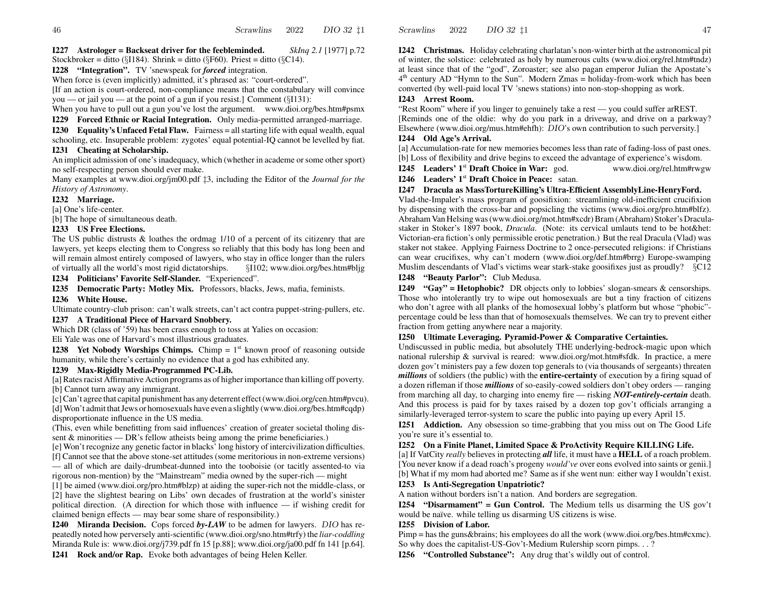**I227 Astrologer = Backseat driver for the feebleminded.** *SkInq 2.1* [1977] p.72

Stockbroker = ditto (§I184). Shrink = ditto (§F60). Priest = ditto (§C14).

**I228 "Integration".** TV 'snewspeak for *forced* integration.

When force is (even implicitly) admitted, it's phrased as: "court-ordered".

[If an action is court-ordered, non-compliance means that the constabulary will convince you — or jail you — at the point of <sup>a</sup> gun if you resist.] Comment (§I131):

When you have to pull out a gun you've lost the argument. www.dioi.org/bes.htm#psmx

**I229 Forced Ethnic or Racial Integration.** Only media-permitted arranged-marriage.

**I230 Equality's Unfaced Fetal Flaw.** Fairness = all starting life with equal wealth, equal schooling, etc. Insuperable problem: zygotes' equal potential-IQ cannot be levelled by fiat.

#### **I231 Cheating at Scholarship.**

An implicit admission of one's inadequacy, which (whether in academe orsome other sport) no self-respecting person should ever make.

Many examples at www.dioi.org/jm00.pdf ‡3, including the Editor of the *Journal for the History of Astronomy*.

### **I232 Marriage.**

[a] One's life-center.

[b] The hope of simultaneous death.

#### **I233 US Free Elections.**

The US public distrusts & loathes the ordmag 1/10 of <sup>a</sup> percen<sup>t</sup> of its citizenry that are lawyers, ye<sup>t</sup> keeps electing them to Congress so reliably that this body has long been and will remain almost entirely composed of lawyers, who stay in office longer than the rulers of virtually all the world's§I102; www.dioi.org/bes.htm#bljg

**I234 Politicians' Favorite Self-Slander.** "Experienced".

**I235 Democratic Party: Motley Mix.** Professors, blacks, Jews, mafia, feminists.

#### **I236 White House.**

Ultimate country-club prison: can't walk streets, can't act contra puppet-string-pullers, etc.

#### **I237 ATraditional Piece of Harvard Snobbery.**

Which DR (class of '59) has been crass enough to toss at Yalies on occasion:

Eli Yale was one of Harvard's most illustrious graduates.

**I238** Yet Nobody Worships Chimps. Chimp  $= 1<sup>st</sup>$  known proof of reasoning outside humanity, while there's certainly no evidence that <sup>a</sup> god has exhibited any.

#### **I239 Max-Rigidly Media-Programmed PC-Lib.**

[a] Rates racist Affirmative Action programs as of higher importance than killing off poverty. [b] Cannot turn away any immigrant.

[c]Can't agree that capital punishment has any deterrent effect(www.dioi.org/cen.htm#pvcu). [d] Won't admit thatJews or homosexuals have even <sup>a</sup> slightly (www.dioi.org/bes.htm#cqdp)

disproportionate influence in the US media. (This, even while benefitting from said influences' creation of greater societal tholing dis-

sent & minorities — DR's fello w atheists being among the prime beneficiaries.)

[e] Won't recognize any genetic factor in blacks' long history of intercivilization difficulties. [f] Cannot see that the above stone-set attitudes (some meritorious in non-extreme versions)

— all of which are daily-drumbeat-dunned into the tooboisie (or tacitly assented-to via rigorous non-mention) by the "Mainstream" media owned by the super-rich — might

[1] be aimed (www.dioi.org/pro.htm#blzp) at aiding the super-rich not the middle-class, or [2] have the slightest bearing on Libs' own decades of frustration at the world's sinister political direction. (A direction for which those with influence — if wishing credit for claimed benign effects — may bear some share of responsibility.)

**I240 Miranda Decision.** Cops forced *by-LA W* to be admen for lawyers. DIO has repeatedly noted ho w perversely anti-scientific (www.dioi.org/sno.htm#trfy) the *liar-coddling* Miranda Rule is: www.dioi.org/j739.pdf fn 15 [p.88]; www.dioi.org/ja00.pdf fn 141 [p.64]. **I241 Rock and/or Rap.** Evoke both advantages of being Helen Keller.

**I242 Christmas.** Holiday celebrating charlatan's non-winter birth at the astronomical pit of winter, the solstice: celebrated as holy by numerous cults (www.dioi.org/rel.htm#tndz) at least since that of the "god", Zoroaster; see also pagan emperor Julian the Apostate's  $4<sup>th</sup>$  century AD "Hymn to the Sun". Modern Zmas = holiday-from-work which has been converted (by well-paid local TV 'snews stations) into non-stop-shopping as work.

#### **I243 Arrest Room.**

"Rest Room" where if you linger to genuinely take <sup>a</sup> rest — you could suffer arREST. [Reminds one of the oldie: why do you park in <sup>a</sup> driveway, and drive on <sup>a</sup> parkway? Elsewhere (www.dioi.org/mus.htm#ehfh): DIO's own contribution to such perversity.]

#### **I244 Old Age's Arrival.**

[a] Accumulation-rate for ne w memories becomes less than rate of fading-loss of pas<sup>t</sup> ones. [b] Loss of flexibility and drive begins to exceed the advantage of experience's wisdom.

**I245 Leaders' 1**st **Draft Choice inWar:**www.dioi.org/rel.htm#rwgw

**I246 Leaders' 1**st **Draft Choice inPeace:** satan.

#### **I247 Dracula as MassTortureKilling's Ultra-Efficient AssemblyLine-HenryFord.**

Vlad-the-Impaler's mass program of goosifixion: streamlining old-inefficient crucifixion by dispensing with the cross-bar and popsicling the victims (www.dioi.org/pro.htm#blfz). Abraham Van Helsing was(www.dioi.org/mot.htm#xcdr)Bram(Abraham) Stoker's Draculastaker in Stoker's 1897 book, *Dracula*. (Note: its cervical umlauts tend to be hot&het: Victorian-era fiction's only permissible erotic penetration.) But the real Dracula (Vlad) was staker not stakee. Applying Fairness Doctrine to 2 once-persecuted religions: if Christians can wear crucifixes, why can't modern (www.dioi.org/def.htm#brrg) Europe-swamping Muslim descendants of Vlad's victims wear stark-stake goosifixes just as proudly? §C12

#### **I248 "Beauty Parlor":** Club Medusa.

**I249 "Gay" = Hetophobic?** DR objects only to lobbies' slogan-smears & censorships. Those who intolerantly try to wipe out homosexuals are but <sup>a</sup> tiny fraction of citizens who don't agree with all planks of the homosexual lobby's platform but whose "phobic" percentage could be less than that of homosexuals themselves. We can try to preven<sup>t</sup> either fraction from getting anywhere near <sup>a</sup> majority.

#### **I250 Ultimate Leveraging. Pyramid-Power & Comparative Certainties.**

Undiscussed in public media, but absolutely THE underlying-bedrock-magic upon which national rulership & survival is reared: www.dioi.org/mot.htm#sfdk. In practice, <sup>a</sup> mere dozen gov't ministers pay <sup>a</sup> fe w dozen top generals to (via thousands of sergeants) threaten *millions* of soldiers (the public) with the **entire-certainty** of execution by <sup>a</sup> firing squad of a dozen rifleman if those *millions* of so-easily-cowed soldiers don't obey orders — ranging from marching all day, to charging into enemy fire — risking *NO T-entirely-certain* death. And this process is paid for by taxes raised by <sup>a</sup> dozen top gov't officials arranging <sup>a</sup> similarly-leveraged terror-system to scare the public into paying up every April 15.

**I251 Addiction.** Any obsession so time-grabbing that you miss out on The Good Life you're sure it's essential to.

#### **I252 On <sup>a</sup> Finite Planet, Limited Space & ProActivity Require KILLING Life.**

[a] If VatCity *really* believes in protecting *all* life, it must have <sup>a</sup> **HELL** of <sup>a</sup> roach problem. [You never kno w if <sup>a</sup> dead roach's progeny *would've* over eons evolved into saints or genii.] [b] What if my mom had aborted me? Same as if she went nun: either way I wouldn't exist.

#### **I253 Is Anti-Segregation Unpatriotic?**

A nation without borders isn't <sup>a</sup> nation. And borders are segregation.

**I254 "Disarmament" = Gun Control.** The Medium tells us disarming the US gov't would be naïve. while telling us disarming US citizens is wise.

#### **I255 Division of Labor.**

Pimp = has the guns&brains; his employees do all the work (www.dioi.org/bes.htm#cxmc). So why does the capitalist-US-Gov't-Medium Rulership scorn pimps. . . ?

**I256 "Controlled Substance":** Any drug that's wildly out of control.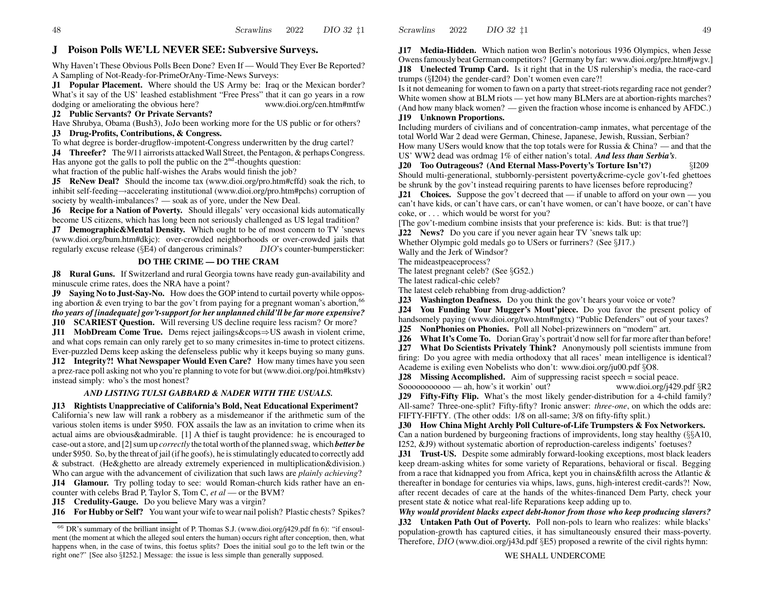#### **J PoisonPolls WE'LL NEVER SEE: Sub versi ve Sur veys.**

Why Haven't These Obvious Polls Been Done? Even If —Would They Ever Be Reported? A Sampling of Not-Ready-for-PrimeOrAny-Time-News Surveys:

**J1 Popular Placement.** Where should the US Army be: Iraq or the Mexican border? What's it say of the US' leashed establishment "Free Press" that it can go years in a row dodging or ameliorating the obvious here? www.dioi.org/cen.htm#mtfw

### **J2 Public Servants? Or Private Servants?**

Have Shrubya, Obama (Bush3), JoJo been working more for the US public or for others? **J3 Drug-Profits, Contributions, & Congress.**

To what degree is border-drugflow-impotent-Congress underwritten by the drug cartel?

**J4** Threefer? The 9/11 airrorists attacked Wall Street, the Pentagon, & perhaps Congress. Has anyone got the galls to poll the public on the  $2<sup>nd</sup>$ -thoughts question:

what fraction of the public half-wishes the Arabs would finish the job?

**J5 ReNew Deal?** Should the income tax (www.dioi.org/pro.htm#cffd) soak the rich, to inhibit self-feeding <sup>→</sup>accelerating institutional (www.dioi.org/pro.htm#pchs) corruption of society by wealth-imbalances? — soak as of yore, under the Ne w Deal.

**J6 Recipe for <sup>a</sup> Nation of Poverty.** Should illegals' very occasional kids automatically become US citizens, which has long been not seriously challenged as US legal tradition?

**J7 Demographic&Mental Density.** Which ought to be of most concern to TV 'snews (www.dioi.org/bum.htm#dkjc): over-crowded neighborhoods or over-crowded jails that regularly excuse release (§E4) of dangerous criminals? DIO's counter-bumpersticker:

### **DO THE CRIME — DO THE CRAM**

**J8 Rural Guns.** If Switzerland and rural Georgia towns have ready gun-availability and minuscule crime rates, does the NRA have <sup>a</sup> point?

**J9 Saying No to Just-Say-No.** Ho w does the GOP intend to curtail poverty while opposing abortion & even trying to bar the gov't from paying for a pregnant woman's abortion, <sup>66</sup> *tho years of [inadequate] gov't-support for her unplanned child'll be far more expensive?*

**J10 SCARIEST Question.** Will reversing US decline require less racism? Or more? **J11 MobDream Come True.** Dems reject jailings&cops⇒US awash in violent crime,

and what cops remain can only rarely ge<sup>t</sup> to so many crimesites in-time to protect citizens. Ever-puzzled Dems keep asking the defenseless public why it keeps buying so many guns. **J12 Integrity?! What Newspaper Would Even Care?** Ho w many times have you seen a prez-race poll asking not who you're planning to vote for but (www.dioi.org/poi.htm#kstv) instead simply: who's the most honest?

### *AND LISTING TULSI GABBARD &NADER WITH THE USUALS.*

**J13 Rightists Unappreciative of California's Bold, Neat Educational Experiment?**

California's ne w la w will rank <sup>a</sup> robbery as <sup>a</sup> misdemeanor if the arithmetic sum of the various stolen items is under \$950. FO X assails the la w as an invitation to crime when its actual aims are obvious&admirable. [1] A thief is taught providence: he is encouraged to case-out a store, and [2] sum up *correctly* the total worth of the planned swag, which **better be** under \$950. So, by the threat ofjail(if he goofs), he isstimulatingly educated to correctly add & substract. (He&ghetto are already extremely experienced in multiplication&division.) Who can argue with the advancement of civilization that such laws are *plainly achieving*? **J14 Glamour.** Try polling today to see: would Roman-church kids rather have an en-

counter with celebs Brad P, Taylor S, Tom C, *et al* — or the BVM?

**J15 Credulity-Gauge.** Do you believe Mary was a virgin?

**J16 For Hubby or Self?** You want your wife to wear nail polish? Plastic chests? Spikes?

**J17 Media-Hidden.** Which nation won Berlin's notorious 1936 Olympics, when Jesse Owensfamously beat German competitors? [Germany by far: www.dioi.org/pre.htm#jwgv.] **J18 Unelected Trump Card.** Is it right that in the US rulership's media, the race-card trumps (§I204) the gender-card? Don't women even care?!

Is it not demeaning for women to fawn on <sup>a</sup> party thatstreet-riots regarding race not gender? White women sho w at BLM riots — ye<sup>t</sup> ho w many BLMers are at abortion-rights marches? (And ho w many black women? — given the fraction whose income is enhanced by AFDC.) **J19 Unknown Proportions.**

Including murders of civilians and of concentration-camp inmates, what percentage of the total World War 2 dead were German, Chinese, Japanese, Jewish, Russian, Serbian? Ho w many USers would kno w that the top totals were for Russia & China? — and that the US' WW2 dead was ordmag 1% of either nation's total. *And less than Serbia's*.

**J20 Too Outrageous? (And Eternal Mass-Poverty's Torture Isn't?)** §I209 Should multi-generational, stubbornly-persistent poverty&crime-cycle gov't-fed ghettoes be shrunk by the gov't instead requiring parents to have licenses before reproducing?

**J21** Choices. Suppose the gov't decreed that — if unable to afford on your own — you can't have kids, or can't have cars, or can't have women, or can't have booze, or can't have coke, or . . . which would be worst for you?

[The gov't-medium combine insists that your preference is: kids. But: is that true?]

**J22 News?** Do you care if you never again hear TV 'snews talk up:

Whether Olympic gold medals go to USers or furriners? (See §J17.)

Wally and the Jerk of Windsor?

Scrawlins

2022

The mideastpeaceprocess?

The latest pregnan<sup>t</sup> celeb? (See §G52.)

The latest radical-chic celeb?

The latest celeb rehabbing from drug-addiction?

**J23 Washington Deafness.** Do you think the gov't hears your voice or vote?

**J24 You Funding Your Mugger's Mout'piece.** Do you favor the presen<sup>t</sup> policy of handsomely paying (www.dioi.org/two.htm#mgtx) "Public Defenders" out of your taxes? **J25 NonPhonies on Phonies.** Poll all Nobel-prizewinners on "modern" art.

**J26** What It's Come To. Dorian Gray's portrait'd now sell for far more after than before!

**J27 What Do Scientists Privately Think?** Anonymously poll scientists immune from firing: Do you agree with media orthodoxy that all races' mean intelligence is identical? Academe is exiling even Nobelists who don't: www.dioi.org/ju00.pdf §O8.

**J28** Missing Accomplished. Aim of suppressing racist speech = social peace. Sooooooooooo— ah, how's it workin' out?www.dioi.org/j429.pdf §R2

**J29 Fifty-Fifty Flip.** What's the most likely gender-distribution for <sup>a</sup> 4-child family? All-same? Three-one-split? Fifty-fifty? Ironic answer: *three-one*, on which the odds are: FIFTY-FIFTY. (The other odds: 1/8 on all-same; 3/8 on fifty-fifty split.)

**J30 Ho w China Might Archly Poll Culture-of-LifeTrumpsters &Fox Networkers.**

Can <sup>a</sup> nation burdened by burgeoning fractions of improvidents, long stay healthy (§§A10, I252, &J9) without systematic abortion of reproduction-careless indigents' foetuses?

**J31 Trust-US.** Despite some admirably forward-looking exceptions, most black leaders keep dream-asking whites for some variety of Reparations, behavioral or fiscal. Begging from <sup>a</sup> race that kidnapped you from Africa, kept you in chains&filth across the Atlantic & thereafter in bondage for centuries via whips, laws, guns, high-interest credit-cards?! No w, after recent decades of care at the hands of the whites-financed DemParty, check your present state & notice what real-life Reparations keep adding up to.

*Why would provident blacks expect debt-honor from those who keep producing slavers?* **J32 Untaken Path Out of Poverty.** Poll non-pols to learn who realizes: while blacks' population-growth has captured cities, it has simultaneously ensured their mass-poverty. Therefore, DIO (www.dioi.org/j43d.pdf §E5) proposed <sup>a</sup> rewrite of the civil rights hymn:

 $66$  DR's summary of the brilliant insight of P. Thomas S.J. (www.dioi.org/j429.pdf fn 6): "if ensoulment (the moment at which the alleged soul enters the human) occurs right after conception, then, what happens when, in the case of twins, this foetus splits? Does the initial soul go to the left twin or the right one?" [See also §I252.] Message: the issue is less simple than generally supposed.